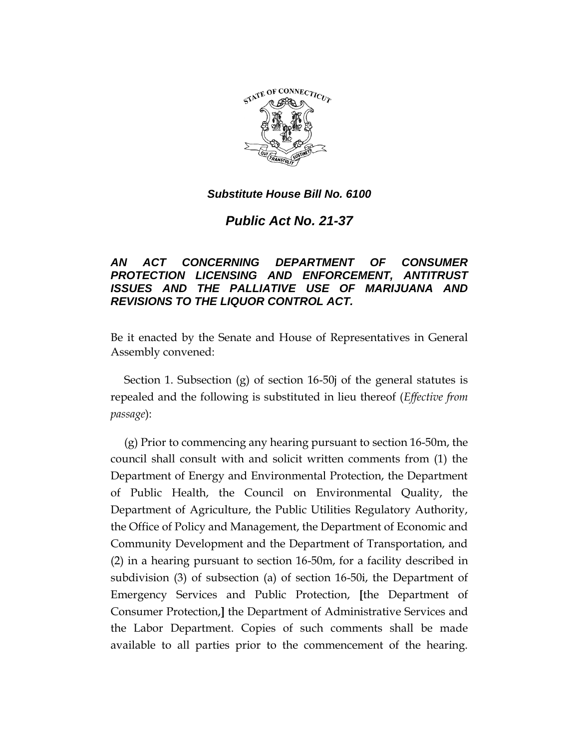

*Public Act No. 21-37*

# *AN ACT CONCERNING DEPARTMENT OF CONSUMER PROTECTION LICENSING AND ENFORCEMENT, ANTITRUST ISSUES AND THE PALLIATIVE USE OF MARIJUANA AND REVISIONS TO THE LIQUOR CONTROL ACT.*

Be it enacted by the Senate and House of Representatives in General Assembly convened:

Section 1. Subsection (g) of section 16-50j of the general statutes is repealed and the following is substituted in lieu thereof (*Effective from passage*):

(g) Prior to commencing any hearing pursuant to section 16-50m, the council shall consult with and solicit written comments from (1) the Department of Energy and Environmental Protection, the Department of Public Health, the Council on Environmental Quality, the Department of Agriculture, the Public Utilities Regulatory Authority, the Office of Policy and Management, the Department of Economic and Community Development and the Department of Transportation, and (2) in a hearing pursuant to section 16-50m, for a facility described in subdivision (3) of subsection (a) of section 16-50i, the Department of Emergency Services and Public Protection, **[**the Department of Consumer Protection,**]** the Department of Administrative Services and the Labor Department. Copies of such comments shall be made available to all parties prior to the commencement of the hearing.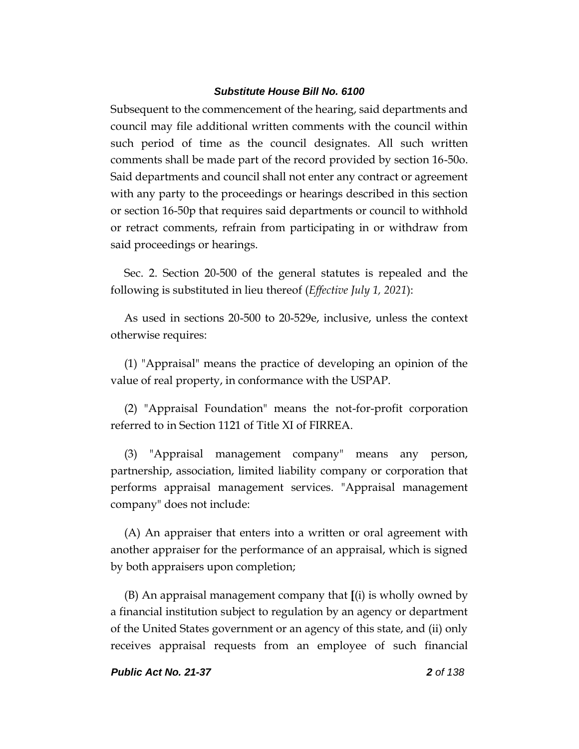Subsequent to the commencement of the hearing, said departments and council may file additional written comments with the council within such period of time as the council designates. All such written comments shall be made part of the record provided by section 16-50o. Said departments and council shall not enter any contract or agreement with any party to the proceedings or hearings described in this section or section 16-50p that requires said departments or council to withhold or retract comments, refrain from participating in or withdraw from said proceedings or hearings.

Sec. 2. Section 20-500 of the general statutes is repealed and the following is substituted in lieu thereof (*Effective July 1, 2021*):

As used in sections 20-500 to 20-529e, inclusive, unless the context otherwise requires:

(1) "Appraisal" means the practice of developing an opinion of the value of real property, in conformance with the USPAP.

(2) "Appraisal Foundation" means the not-for-profit corporation referred to in Section 1121 of Title XI of FIRREA.

(3) "Appraisal management company" means any person, partnership, association, limited liability company or corporation that performs appraisal management services. "Appraisal management company" does not include:

(A) An appraiser that enters into a written or oral agreement with another appraiser for the performance of an appraisal, which is signed by both appraisers upon completion;

(B) An appraisal management company that **[**(i) is wholly owned by a financial institution subject to regulation by an agency or department of the United States government or an agency of this state, and (ii) only receives appraisal requests from an employee of such financial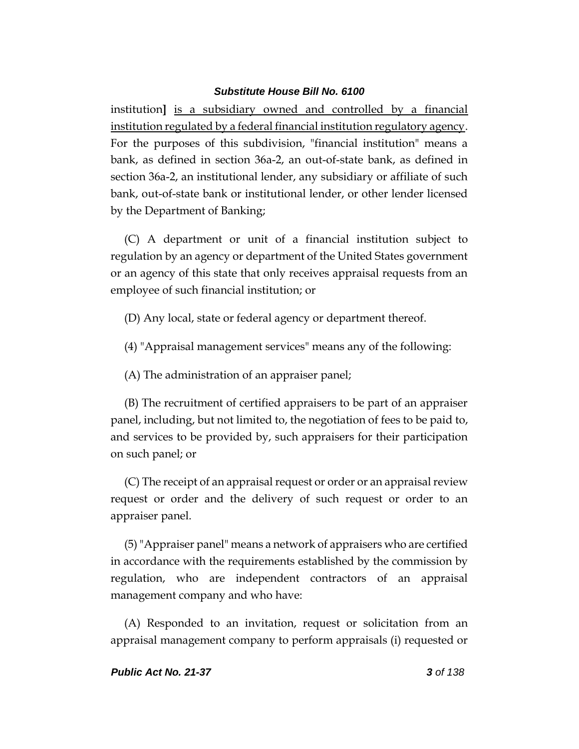institution**]** is a subsidiary owned and controlled by a financial institution regulated by a federal financial institution regulatory agency. For the purposes of this subdivision, "financial institution" means a bank, as defined in section 36a-2, an out-of-state bank, as defined in section 36a-2, an institutional lender, any subsidiary or affiliate of such bank, out-of-state bank or institutional lender, or other lender licensed by the Department of Banking;

(C) A department or unit of a financial institution subject to regulation by an agency or department of the United States government or an agency of this state that only receives appraisal requests from an employee of such financial institution; or

- (D) Any local, state or federal agency or department thereof.
- (4) "Appraisal management services" means any of the following:
- (A) The administration of an appraiser panel;

(B) The recruitment of certified appraisers to be part of an appraiser panel, including, but not limited to, the negotiation of fees to be paid to, and services to be provided by, such appraisers for their participation on such panel; or

(C) The receipt of an appraisal request or order or an appraisal review request or order and the delivery of such request or order to an appraiser panel.

(5)"Appraiser panel" means a network of appraisers who are certified in accordance with the requirements established by the commission by regulation, who are independent contractors of an appraisal management company and who have:

(A) Responded to an invitation, request or solicitation from an appraisal management company to perform appraisals (i) requested or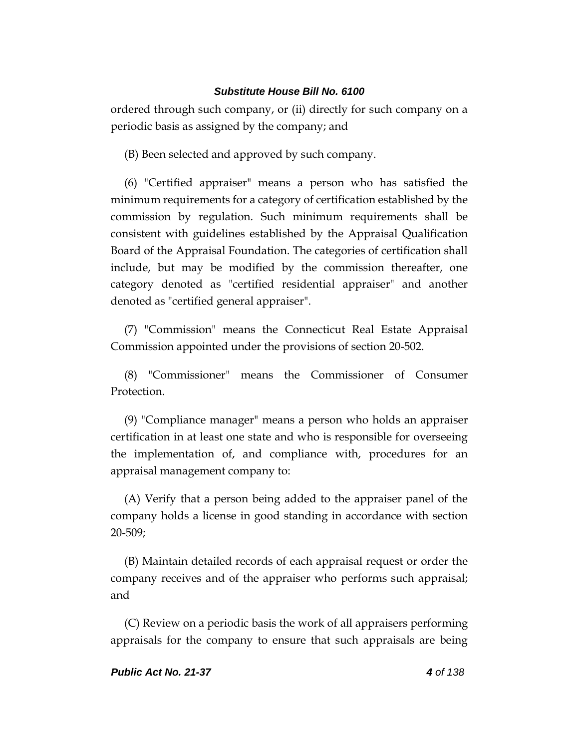ordered through such company, or (ii) directly for such company on a periodic basis as assigned by the company; and

(B) Been selected and approved by such company.

(6) "Certified appraiser" means a person who has satisfied the minimum requirements for a category of certification established by the commission by regulation. Such minimum requirements shall be consistent with guidelines established by the Appraisal Qualification Board of the Appraisal Foundation. The categories of certification shall include, but may be modified by the commission thereafter, one category denoted as "certified residential appraiser" and another denoted as "certified general appraiser".

(7) "Commission" means the Connecticut Real Estate Appraisal Commission appointed under the provisions of section 20-502.

(8) "Commissioner" means the Commissioner of Consumer Protection.

(9) "Compliance manager" means a person who holds an appraiser certification in at least one state and who is responsible for overseeing the implementation of, and compliance with, procedures for an appraisal management company to:

(A) Verify that a person being added to the appraiser panel of the company holds a license in good standing in accordance with section 20-509;

(B) Maintain detailed records of each appraisal request or order the company receives and of the appraiser who performs such appraisal; and

(C) Review on a periodic basis the work of all appraisers performing appraisals for the company to ensure that such appraisals are being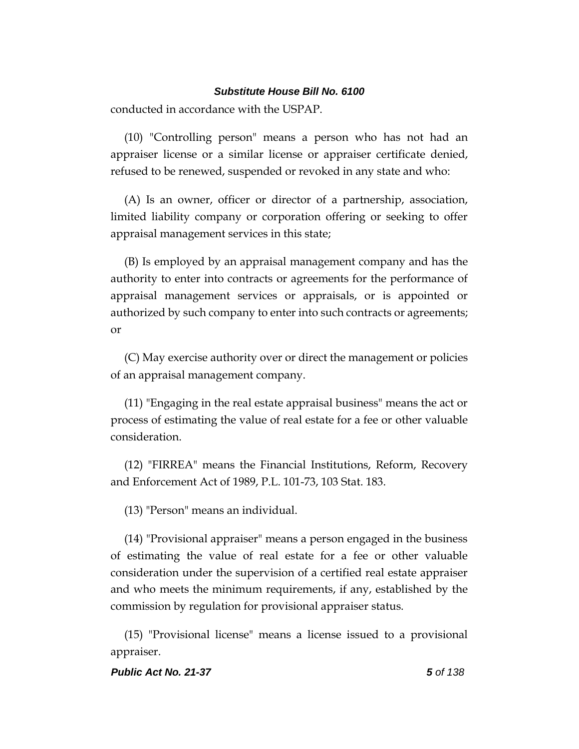conducted in accordance with the USPAP.

(10) "Controlling person" means a person who has not had an appraiser license or a similar license or appraiser certificate denied, refused to be renewed, suspended or revoked in any state and who:

(A) Is an owner, officer or director of a partnership, association, limited liability company or corporation offering or seeking to offer appraisal management services in this state;

(B) Is employed by an appraisal management company and has the authority to enter into contracts or agreements for the performance of appraisal management services or appraisals, or is appointed or authorized by such company to enter into such contracts or agreements; or

(C) May exercise authority over or direct the management or policies of an appraisal management company.

(11) "Engaging in the real estate appraisal business" means the act or process of estimating the value of real estate for a fee or other valuable consideration.

(12) "FIRREA" means the Financial Institutions, Reform, Recovery and Enforcement Act of 1989, P.L. 101-73, 103 Stat. 183.

(13) "Person" means an individual.

(14) "Provisional appraiser" means a person engaged in the business of estimating the value of real estate for a fee or other valuable consideration under the supervision of a certified real estate appraiser and who meets the minimum requirements, if any, established by the commission by regulation for provisional appraiser status.

(15) "Provisional license" means a license issued to a provisional appraiser.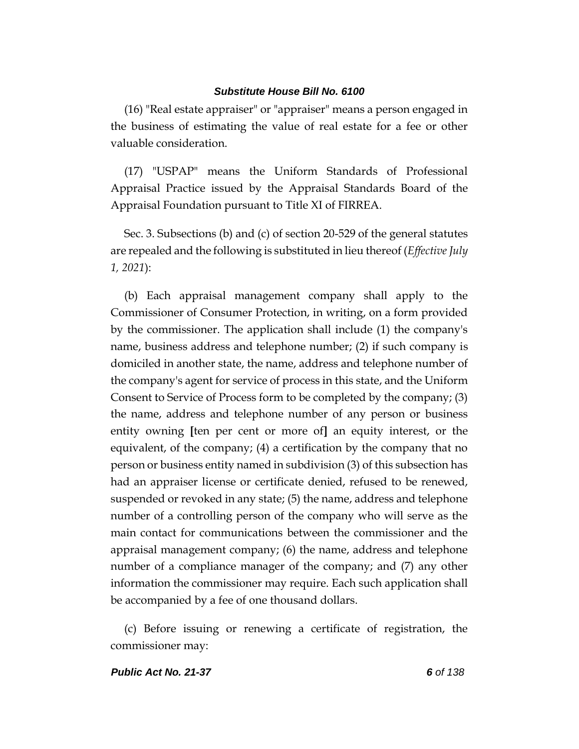(16) "Real estate appraiser" or "appraiser" means a person engaged in the business of estimating the value of real estate for a fee or other valuable consideration.

(17) "USPAP" means the Uniform Standards of Professional Appraisal Practice issued by the Appraisal Standards Board of the Appraisal Foundation pursuant to Title XI of FIRREA.

Sec. 3. Subsections (b) and (c) of section 20-529 of the general statutes are repealed and the following is substituted in lieu thereof (*Effective July 1, 2021*):

(b) Each appraisal management company shall apply to the Commissioner of Consumer Protection, in writing, on a form provided by the commissioner. The application shall include (1) the company's name, business address and telephone number; (2) if such company is domiciled in another state, the name, address and telephone number of the company's agent for service of process in this state, and the Uniform Consent to Service of Process form to be completed by the company; (3) the name, address and telephone number of any person or business entity owning **[**ten per cent or more of**]** an equity interest, or the equivalent, of the company; (4) a certification by the company that no person or business entity named in subdivision (3) of this subsection has had an appraiser license or certificate denied, refused to be renewed, suspended or revoked in any state; (5) the name, address and telephone number of a controlling person of the company who will serve as the main contact for communications between the commissioner and the appraisal management company; (6) the name, address and telephone number of a compliance manager of the company; and (7) any other information the commissioner may require. Each such application shall be accompanied by a fee of one thousand dollars.

(c) Before issuing or renewing a certificate of registration, the commissioner may: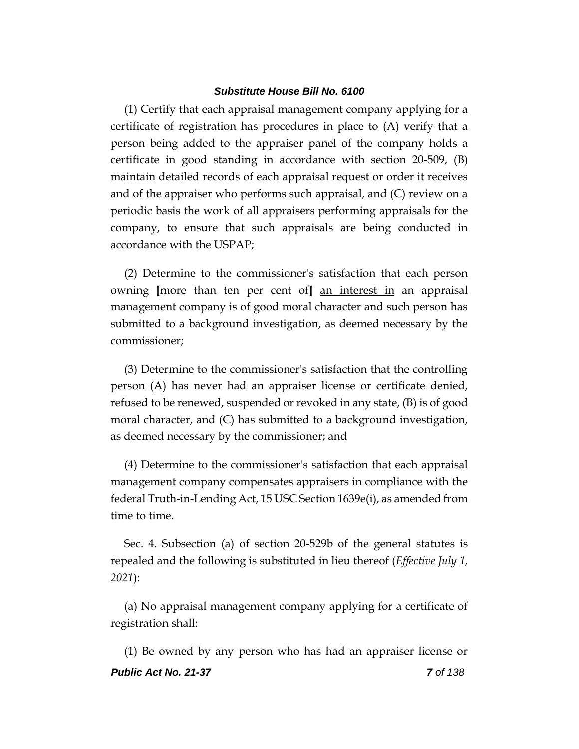(1) Certify that each appraisal management company applying for a certificate of registration has procedures in place to (A) verify that a person being added to the appraiser panel of the company holds a certificate in good standing in accordance with section 20-509, (B) maintain detailed records of each appraisal request or order it receives and of the appraiser who performs such appraisal, and (C) review on a periodic basis the work of all appraisers performing appraisals for the company, to ensure that such appraisals are being conducted in accordance with the USPAP;

(2) Determine to the commissioner's satisfaction that each person owning **[**more than ten per cent of**]** an interest in an appraisal management company is of good moral character and such person has submitted to a background investigation, as deemed necessary by the commissioner;

(3) Determine to the commissioner's satisfaction that the controlling person (A) has never had an appraiser license or certificate denied, refused to be renewed, suspended or revoked in any state, (B) is of good moral character, and (C) has submitted to a background investigation, as deemed necessary by the commissioner; and

(4) Determine to the commissioner's satisfaction that each appraisal management company compensates appraisers in compliance with the federal Truth-in-Lending Act, 15 USC Section 1639e(i), as amended from time to time.

Sec. 4. Subsection (a) of section 20-529b of the general statutes is repealed and the following is substituted in lieu thereof (*Effective July 1, 2021*):

(a) No appraisal management company applying for a certificate of registration shall:

*Public Act No. 21-37 7 of 138* (1) Be owned by any person who has had an appraiser license or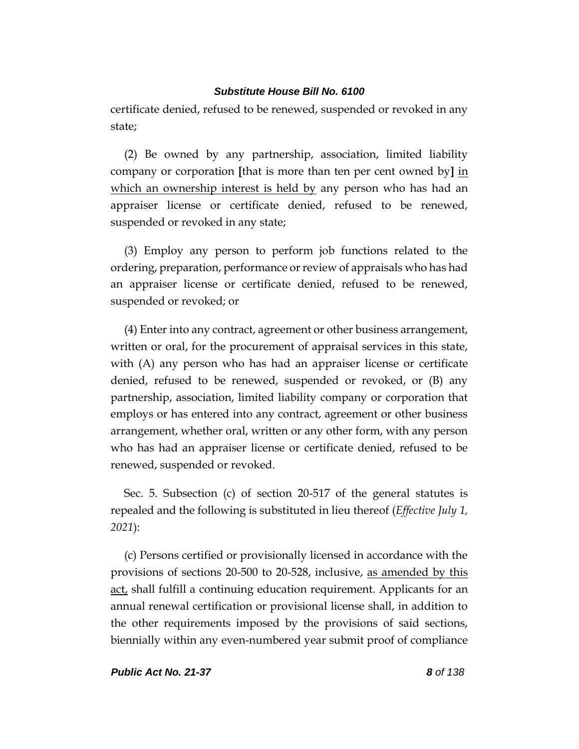certificate denied, refused to be renewed, suspended or revoked in any state;

(2) Be owned by any partnership, association, limited liability company or corporation **[**that is more than ten per cent owned by**]** in which an ownership interest is held by any person who has had an appraiser license or certificate denied, refused to be renewed, suspended or revoked in any state;

(3) Employ any person to perform job functions related to the ordering, preparation, performance or review of appraisals who has had an appraiser license or certificate denied, refused to be renewed, suspended or revoked; or

(4) Enter into any contract, agreement or other business arrangement, written or oral, for the procurement of appraisal services in this state, with (A) any person who has had an appraiser license or certificate denied, refused to be renewed, suspended or revoked, or (B) any partnership, association, limited liability company or corporation that employs or has entered into any contract, agreement or other business arrangement, whether oral, written or any other form, with any person who has had an appraiser license or certificate denied, refused to be renewed, suspended or revoked.

Sec. 5. Subsection (c) of section 20-517 of the general statutes is repealed and the following is substituted in lieu thereof (*Effective July 1, 2021*):

(c) Persons certified or provisionally licensed in accordance with the provisions of sections 20-500 to 20-528, inclusive, as amended by this act, shall fulfill a continuing education requirement. Applicants for an annual renewal certification or provisional license shall, in addition to the other requirements imposed by the provisions of said sections, biennially within any even-numbered year submit proof of compliance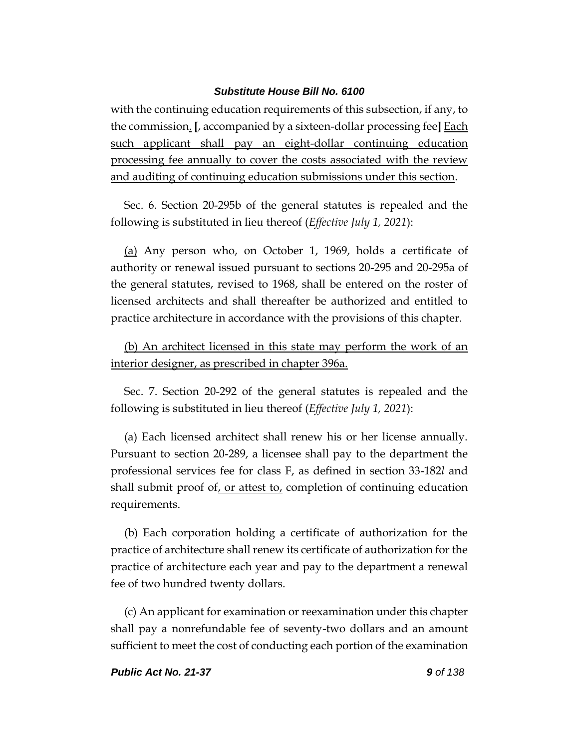with the continuing education requirements of this subsection, if any, to the commission. **[**, accompanied by a sixteen-dollar processing fee**]** Each such applicant shall pay an eight-dollar continuing education processing fee annually to cover the costs associated with the review and auditing of continuing education submissions under this section.

Sec. 6. Section 20-295b of the general statutes is repealed and the following is substituted in lieu thereof (*Effective July 1, 2021*):

(a) Any person who, on October 1, 1969, holds a certificate of authority or renewal issued pursuant to sections 20-295 and 20-295a of the general statutes, revised to 1968, shall be entered on the roster of licensed architects and shall thereafter be authorized and entitled to practice architecture in accordance with the provisions of this chapter.

(b) An architect licensed in this state may perform the work of an interior designer, as prescribed in chapter 396a.

Sec. 7. Section 20-292 of the general statutes is repealed and the following is substituted in lieu thereof (*Effective July 1, 2021*):

(a) Each licensed architect shall renew his or her license annually. Pursuant to section 20-289, a licensee shall pay to the department the professional services fee for class F, as defined in section 33-182*l* and shall submit proof of, or attest to, completion of continuing education requirements.

(b) Each corporation holding a certificate of authorization for the practice of architecture shall renew its certificate of authorization for the practice of architecture each year and pay to the department a renewal fee of two hundred twenty dollars.

(c) An applicant for examination or reexamination under this chapter shall pay a nonrefundable fee of seventy-two dollars and an amount sufficient to meet the cost of conducting each portion of the examination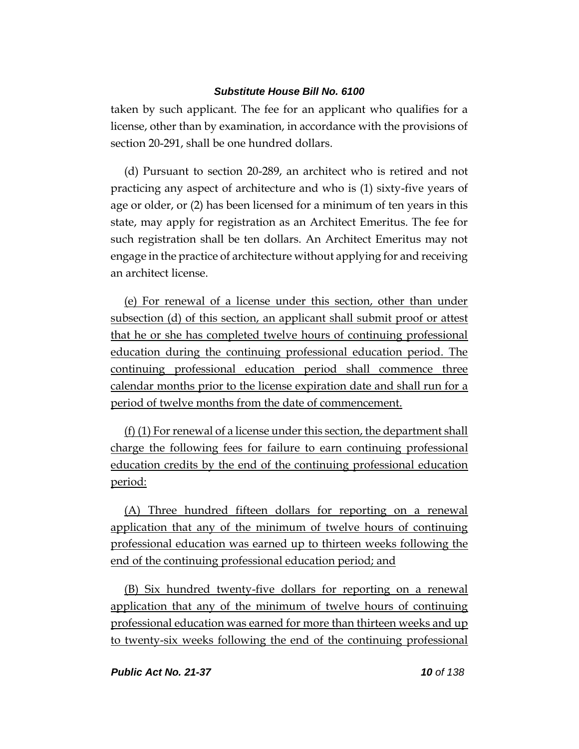taken by such applicant. The fee for an applicant who qualifies for a license, other than by examination, in accordance with the provisions of section 20-291, shall be one hundred dollars.

(d) Pursuant to section 20-289, an architect who is retired and not practicing any aspect of architecture and who is (1) sixty-five years of age or older, or (2) has been licensed for a minimum of ten years in this state, may apply for registration as an Architect Emeritus. The fee for such registration shall be ten dollars. An Architect Emeritus may not engage in the practice of architecture without applying for and receiving an architect license.

(e) For renewal of a license under this section, other than under subsection (d) of this section, an applicant shall submit proof or attest that he or she has completed twelve hours of continuing professional education during the continuing professional education period. The continuing professional education period shall commence three calendar months prior to the license expiration date and shall run for a period of twelve months from the date of commencement.

(f) (1) For renewal of a license under this section, the department shall charge the following fees for failure to earn continuing professional education credits by the end of the continuing professional education period:

(A) Three hundred fifteen dollars for reporting on a renewal application that any of the minimum of twelve hours of continuing professional education was earned up to thirteen weeks following the end of the continuing professional education period; and

(B) Six hundred twenty-five dollars for reporting on a renewal application that any of the minimum of twelve hours of continuing professional education was earned for more than thirteen weeks and up to twenty-six weeks following the end of the continuing professional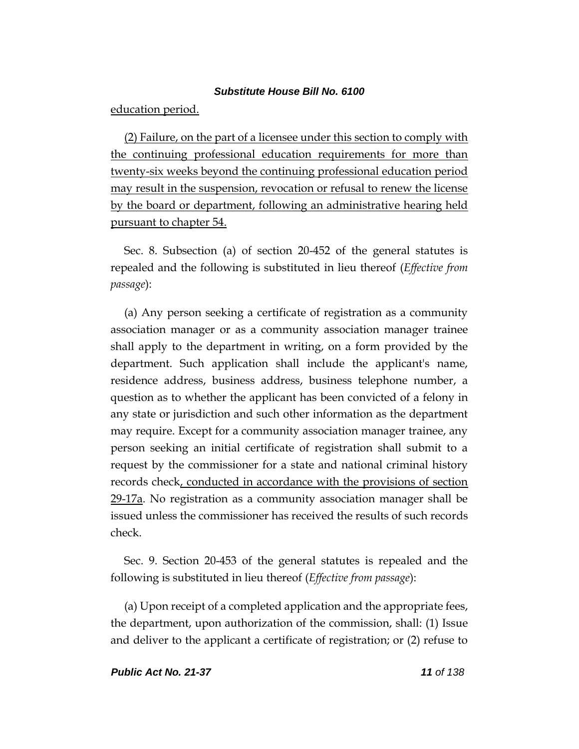education period.

(2) Failure, on the part of a licensee under this section to comply with the continuing professional education requirements for more than twenty-six weeks beyond the continuing professional education period may result in the suspension, revocation or refusal to renew the license by the board or department, following an administrative hearing held pursuant to chapter 54.

Sec. 8. Subsection (a) of section 20-452 of the general statutes is repealed and the following is substituted in lieu thereof (*Effective from passage*):

(a) Any person seeking a certificate of registration as a community association manager or as a community association manager trainee shall apply to the department in writing, on a form provided by the department. Such application shall include the applicant's name, residence address, business address, business telephone number, a question as to whether the applicant has been convicted of a felony in any state or jurisdiction and such other information as the department may require. Except for a community association manager trainee, any person seeking an initial certificate of registration shall submit to a request by the commissioner for a state and national criminal history records check, conducted in accordance with the provisions of section 29-17a. No registration as a community association manager shall be issued unless the commissioner has received the results of such records check.

Sec. 9. Section 20-453 of the general statutes is repealed and the following is substituted in lieu thereof (*Effective from passage*):

(a) Upon receipt of a completed application and the appropriate fees, the department, upon authorization of the commission, shall: (1) Issue and deliver to the applicant a certificate of registration; or (2) refuse to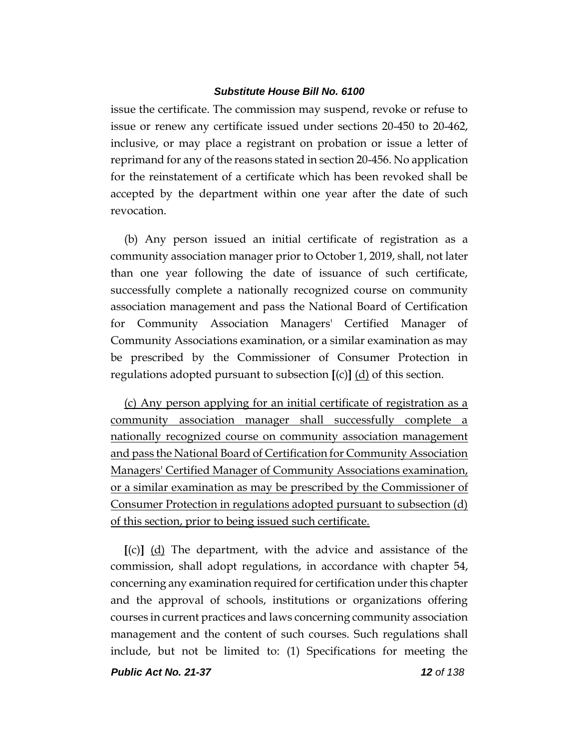issue the certificate. The commission may suspend, revoke or refuse to issue or renew any certificate issued under sections 20-450 to 20-462, inclusive, or may place a registrant on probation or issue a letter of reprimand for any of the reasons stated in section 20-456. No application for the reinstatement of a certificate which has been revoked shall be accepted by the department within one year after the date of such revocation.

(b) Any person issued an initial certificate of registration as a community association manager prior to October 1, 2019, shall, not later than one year following the date of issuance of such certificate, successfully complete a nationally recognized course on community association management and pass the National Board of Certification for Community Association Managers' Certified Manager of Community Associations examination, or a similar examination as may be prescribed by the Commissioner of Consumer Protection in regulations adopted pursuant to subsection **[**(c)**]** (d) of this section.

(c) Any person applying for an initial certificate of registration as a community association manager shall successfully complete a nationally recognized course on community association management and pass the National Board of Certification for Community Association Managers' Certified Manager of Community Associations examination, or a similar examination as may be prescribed by the Commissioner of Consumer Protection in regulations adopted pursuant to subsection (d) of this section, prior to being issued such certificate.

**[**(c)**]** (d) The department, with the advice and assistance of the commission, shall adopt regulations, in accordance with chapter 54, concerning any examination required for certification under this chapter and the approval of schools, institutions or organizations offering courses in current practices and laws concerning community association management and the content of such courses. Such regulations shall include, but not be limited to: (1) Specifications for meeting the

*Public Act No. 21-37 12 of 138*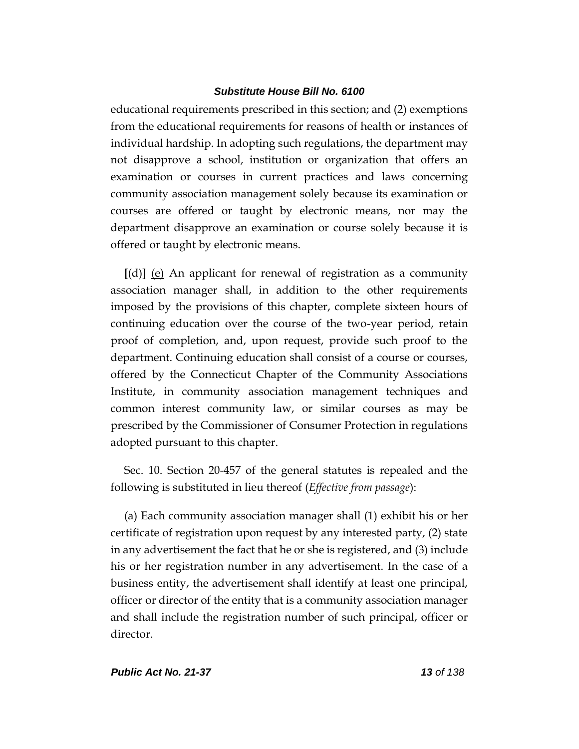educational requirements prescribed in this section; and (2) exemptions from the educational requirements for reasons of health or instances of individual hardship. In adopting such regulations, the department may not disapprove a school, institution or organization that offers an examination or courses in current practices and laws concerning community association management solely because its examination or courses are offered or taught by electronic means, nor may the department disapprove an examination or course solely because it is offered or taught by electronic means.

**[**(d)**]** (e) An applicant for renewal of registration as a community association manager shall, in addition to the other requirements imposed by the provisions of this chapter, complete sixteen hours of continuing education over the course of the two-year period, retain proof of completion, and, upon request, provide such proof to the department. Continuing education shall consist of a course or courses, offered by the Connecticut Chapter of the Community Associations Institute, in community association management techniques and common interest community law, or similar courses as may be prescribed by the Commissioner of Consumer Protection in regulations adopted pursuant to this chapter.

Sec. 10. Section 20-457 of the general statutes is repealed and the following is substituted in lieu thereof (*Effective from passage*):

(a) Each community association manager shall (1) exhibit his or her certificate of registration upon request by any interested party, (2) state in any advertisement the fact that he or she is registered, and (3) include his or her registration number in any advertisement. In the case of a business entity, the advertisement shall identify at least one principal, officer or director of the entity that is a community association manager and shall include the registration number of such principal, officer or director.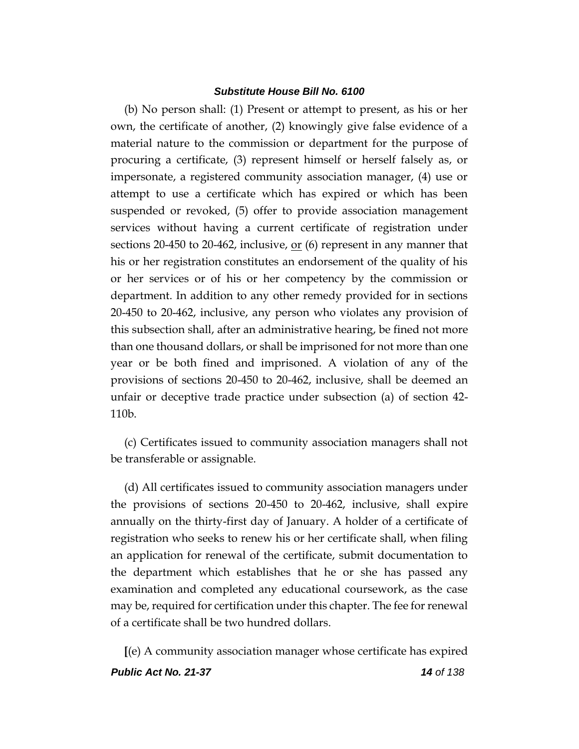(b) No person shall: (1) Present or attempt to present, as his or her own, the certificate of another, (2) knowingly give false evidence of a material nature to the commission or department for the purpose of procuring a certificate, (3) represent himself or herself falsely as, or impersonate, a registered community association manager, (4) use or attempt to use a certificate which has expired or which has been suspended or revoked, (5) offer to provide association management services without having a current certificate of registration under sections 20-450 to 20-462, inclusive,  $or(6)$  represent in any manner that his or her registration constitutes an endorsement of the quality of his or her services or of his or her competency by the commission or department. In addition to any other remedy provided for in sections 20-450 to 20-462, inclusive, any person who violates any provision of this subsection shall, after an administrative hearing, be fined not more than one thousand dollars, or shall be imprisoned for not more than one year or be both fined and imprisoned. A violation of any of the provisions of sections 20-450 to 20-462, inclusive, shall be deemed an unfair or deceptive trade practice under subsection (a) of section 42- 110b.

(c) Certificates issued to community association managers shall not be transferable or assignable.

(d) All certificates issued to community association managers under the provisions of sections 20-450 to 20-462, inclusive, shall expire annually on the thirty-first day of January. A holder of a certificate of registration who seeks to renew his or her certificate shall, when filing an application for renewal of the certificate, submit documentation to the department which establishes that he or she has passed any examination and completed any educational coursework, as the case may be, required for certification under this chapter. The fee for renewal of a certificate shall be two hundred dollars.

*Public Act No. 21-37 14 of 138* **[**(e) A community association manager whose certificate has expired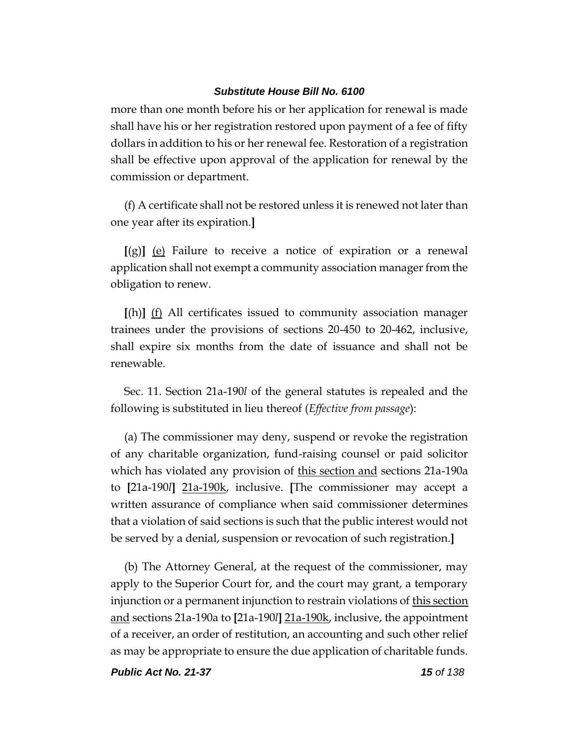more than one month before his or her application for renewal is made shall have his or her registration restored upon payment of a fee of fifty dollars in addition to his or her renewal fee. Restoration of a registration shall be effective upon approval of the application for renewal by the commission or department.

(f) A certificate shall not be restored unless it is renewed not later than one year after its expiration.**]**

**[**(g)**]** (e) Failure to receive a notice of expiration or a renewal application shall not exempt a community association manager from the obligation to renew.

**[**(h)**]** (f) All certificates issued to community association manager trainees under the provisions of sections 20-450 to 20-462, inclusive, shall expire six months from the date of issuance and shall not be renewable.

Sec. 11. Section 21a-190*l* of the general statutes is repealed and the following is substituted in lieu thereof (*Effective from passage*):

(a) The commissioner may deny, suspend or revoke the registration of any charitable organization, fund-raising counsel or paid solicitor which has violated any provision of this section and sections 21a-190a to **[**21a-190*l***]** 21a-190k, inclusive. **[**The commissioner may accept a written assurance of compliance when said commissioner determines that a violation of said sections is such that the public interest would not be served by a denial, suspension or revocation of such registration.**]**

(b) The Attorney General, at the request of the commissioner, may apply to the Superior Court for, and the court may grant, a temporary injunction or a permanent injunction to restrain violations of <u>this section</u> and sections 21a-190a to **[**21a-190*l***]** 21a-190k, inclusive, the appointment of a receiver, an order of restitution, an accounting and such other relief as may be appropriate to ensure the due application of charitable funds.

*Public Act No. 21-37 15 of 138*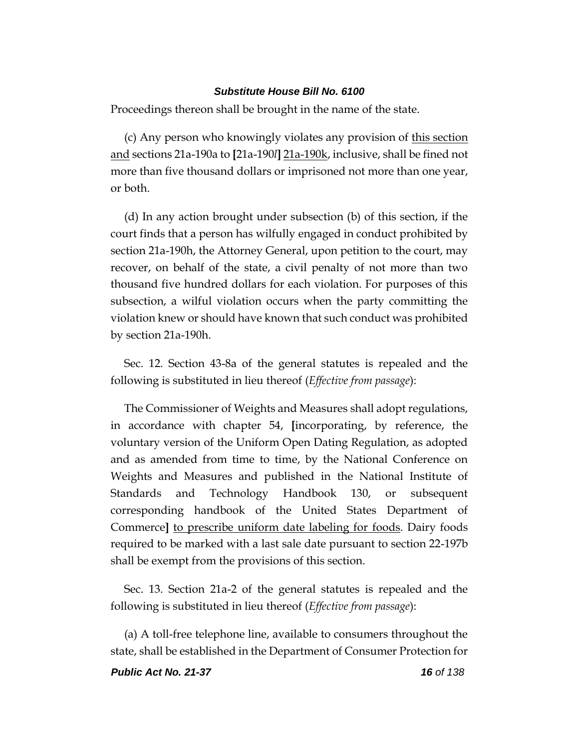Proceedings thereon shall be brought in the name of the state.

(c) Any person who knowingly violates any provision of this section and sections 21a-190a to **[**21a-190*l***]** 21a-190k, inclusive, shall be fined not more than five thousand dollars or imprisoned not more than one year, or both.

(d) In any action brought under subsection (b) of this section, if the court finds that a person has wilfully engaged in conduct prohibited by section 21a-190h, the Attorney General, upon petition to the court, may recover, on behalf of the state, a civil penalty of not more than two thousand five hundred dollars for each violation. For purposes of this subsection, a wilful violation occurs when the party committing the violation knew or should have known that such conduct was prohibited by section 21a-190h.

Sec. 12. Section 43-8a of the general statutes is repealed and the following is substituted in lieu thereof (*Effective from passage*):

The Commissioner of Weights and Measures shall adopt regulations, in accordance with chapter 54, **[**incorporating, by reference, the voluntary version of the Uniform Open Dating Regulation, as adopted and as amended from time to time, by the National Conference on Weights and Measures and published in the National Institute of Standards and Technology Handbook 130, or subsequent corresponding handbook of the United States Department of Commerce**]** to prescribe uniform date labeling for foods. Dairy foods required to be marked with a last sale date pursuant to section 22-197b shall be exempt from the provisions of this section.

Sec. 13. Section 21a-2 of the general statutes is repealed and the following is substituted in lieu thereof (*Effective from passage*):

(a) A toll-free telephone line, available to consumers throughout the state, shall be established in the Department of Consumer Protection for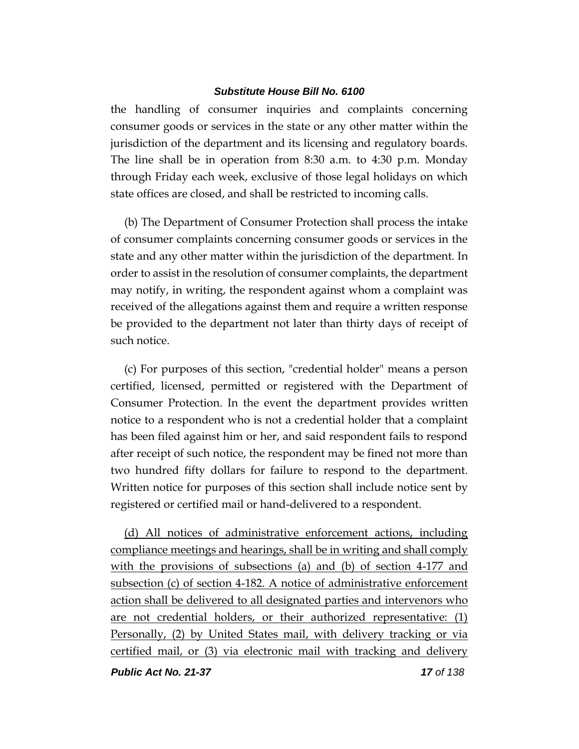the handling of consumer inquiries and complaints concerning consumer goods or services in the state or any other matter within the jurisdiction of the department and its licensing and regulatory boards. The line shall be in operation from 8:30 a.m. to 4:30 p.m. Monday through Friday each week, exclusive of those legal holidays on which state offices are closed, and shall be restricted to incoming calls.

(b) The Department of Consumer Protection shall process the intake of consumer complaints concerning consumer goods or services in the state and any other matter within the jurisdiction of the department. In order to assist in the resolution of consumer complaints, the department may notify, in writing, the respondent against whom a complaint was received of the allegations against them and require a written response be provided to the department not later than thirty days of receipt of such notice.

(c) For purposes of this section, "credential holder" means a person certified, licensed, permitted or registered with the Department of Consumer Protection. In the event the department provides written notice to a respondent who is not a credential holder that a complaint has been filed against him or her, and said respondent fails to respond after receipt of such notice, the respondent may be fined not more than two hundred fifty dollars for failure to respond to the department. Written notice for purposes of this section shall include notice sent by registered or certified mail or hand-delivered to a respondent.

(d) All notices of administrative enforcement actions, including compliance meetings and hearings, shall be in writing and shall comply with the provisions of subsections (a) and (b) of section 4-177 and subsection (c) of section 4-182. A notice of administrative enforcement action shall be delivered to all designated parties and intervenors who are not credential holders, or their authorized representative: (1) Personally, (2) by United States mail, with delivery tracking or via certified mail, or (3) via electronic mail with tracking and delivery

*Public Act No. 21-37 17 of 138*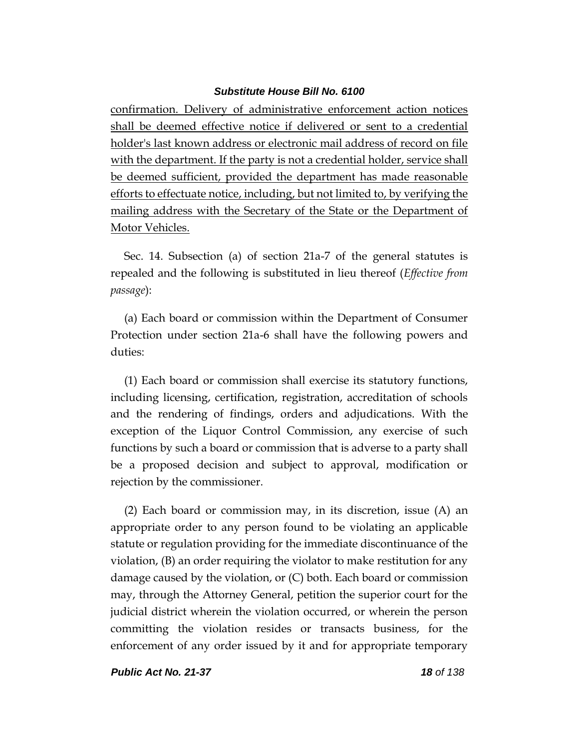confirmation. Delivery of administrative enforcement action notices shall be deemed effective notice if delivered or sent to a credential holder's last known address or electronic mail address of record on file with the department. If the party is not a credential holder, service shall be deemed sufficient, provided the department has made reasonable efforts to effectuate notice, including, but not limited to, by verifying the mailing address with the Secretary of the State or the Department of Motor Vehicles.

Sec. 14. Subsection (a) of section 21a-7 of the general statutes is repealed and the following is substituted in lieu thereof (*Effective from passage*):

(a) Each board or commission within the Department of Consumer Protection under section 21a-6 shall have the following powers and duties:

(1) Each board or commission shall exercise its statutory functions, including licensing, certification, registration, accreditation of schools and the rendering of findings, orders and adjudications. With the exception of the Liquor Control Commission, any exercise of such functions by such a board or commission that is adverse to a party shall be a proposed decision and subject to approval, modification or rejection by the commissioner.

(2) Each board or commission may, in its discretion, issue (A) an appropriate order to any person found to be violating an applicable statute or regulation providing for the immediate discontinuance of the violation, (B) an order requiring the violator to make restitution for any damage caused by the violation, or (C) both. Each board or commission may, through the Attorney General, petition the superior court for the judicial district wherein the violation occurred, or wherein the person committing the violation resides or transacts business, for the enforcement of any order issued by it and for appropriate temporary

*Public Act No. 21-37 18 of 138*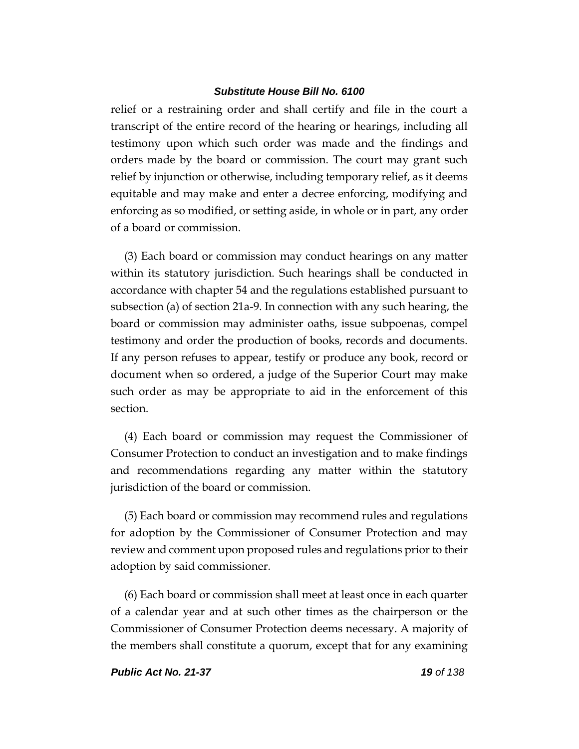relief or a restraining order and shall certify and file in the court a transcript of the entire record of the hearing or hearings, including all testimony upon which such order was made and the findings and orders made by the board or commission. The court may grant such relief by injunction or otherwise, including temporary relief, as it deems equitable and may make and enter a decree enforcing, modifying and enforcing as so modified, or setting aside, in whole or in part, any order of a board or commission.

(3) Each board or commission may conduct hearings on any matter within its statutory jurisdiction. Such hearings shall be conducted in accordance with chapter 54 and the regulations established pursuant to subsection (a) of section 21a-9. In connection with any such hearing, the board or commission may administer oaths, issue subpoenas, compel testimony and order the production of books, records and documents. If any person refuses to appear, testify or produce any book, record or document when so ordered, a judge of the Superior Court may make such order as may be appropriate to aid in the enforcement of this section.

(4) Each board or commission may request the Commissioner of Consumer Protection to conduct an investigation and to make findings and recommendations regarding any matter within the statutory jurisdiction of the board or commission.

(5) Each board or commission may recommend rules and regulations for adoption by the Commissioner of Consumer Protection and may review and comment upon proposed rules and regulations prior to their adoption by said commissioner.

(6) Each board or commission shall meet at least once in each quarter of a calendar year and at such other times as the chairperson or the Commissioner of Consumer Protection deems necessary. A majority of the members shall constitute a quorum, except that for any examining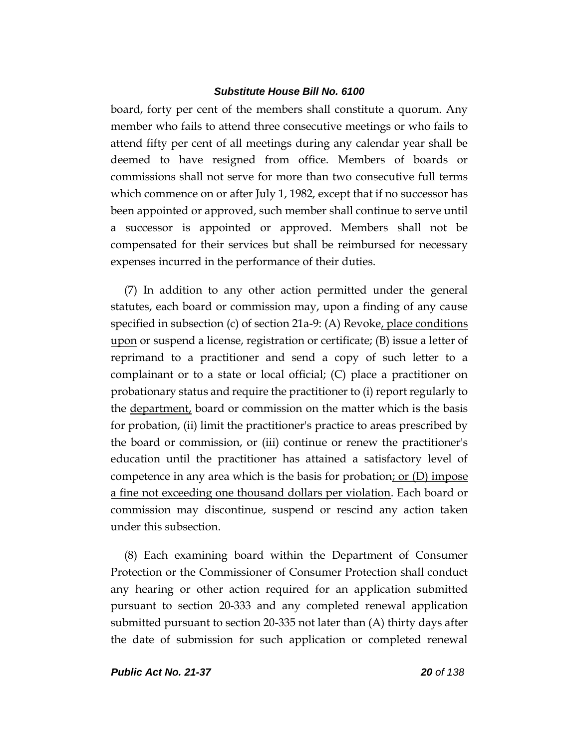board, forty per cent of the members shall constitute a quorum. Any member who fails to attend three consecutive meetings or who fails to attend fifty per cent of all meetings during any calendar year shall be deemed to have resigned from office. Members of boards or commissions shall not serve for more than two consecutive full terms which commence on or after July 1, 1982, except that if no successor has been appointed or approved, such member shall continue to serve until a successor is appointed or approved. Members shall not be compensated for their services but shall be reimbursed for necessary expenses incurred in the performance of their duties.

(7) In addition to any other action permitted under the general statutes, each board or commission may, upon a finding of any cause specified in subsection (c) of section 21a-9: (A) Revoke, place conditions upon or suspend a license, registration or certificate; (B) issue a letter of reprimand to a practitioner and send a copy of such letter to a complainant or to a state or local official; (C) place a practitioner on probationary status and require the practitioner to (i) report regularly to the <u>department</u>, board or commission on the matter which is the basis for probation, (ii) limit the practitioner's practice to areas prescribed by the board or commission, or (iii) continue or renew the practitioner's education until the practitioner has attained a satisfactory level of competence in any area which is the basis for probation; or  $(D)$  impose a fine not exceeding one thousand dollars per violation. Each board or commission may discontinue, suspend or rescind any action taken under this subsection.

(8) Each examining board within the Department of Consumer Protection or the Commissioner of Consumer Protection shall conduct any hearing or other action required for an application submitted pursuant to section 20-333 and any completed renewal application submitted pursuant to section 20-335 not later than (A) thirty days after the date of submission for such application or completed renewal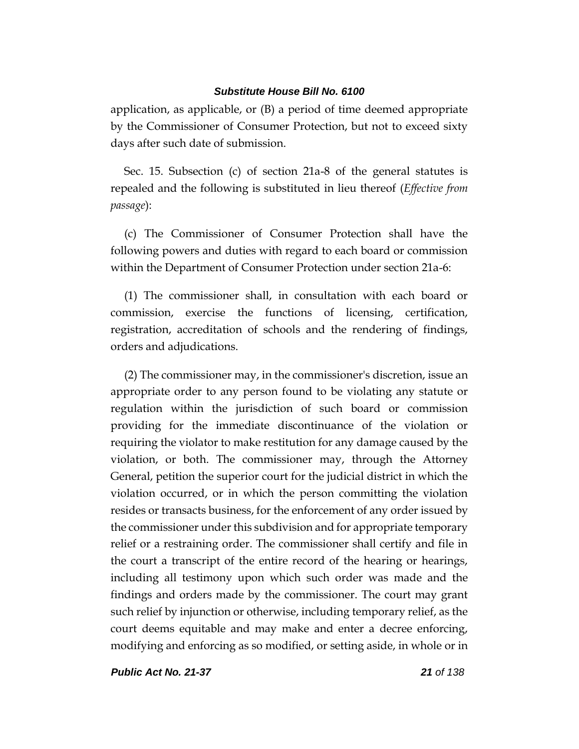application, as applicable, or (B) a period of time deemed appropriate by the Commissioner of Consumer Protection, but not to exceed sixty days after such date of submission.

Sec. 15. Subsection (c) of section 21a-8 of the general statutes is repealed and the following is substituted in lieu thereof (*Effective from passage*):

(c) The Commissioner of Consumer Protection shall have the following powers and duties with regard to each board or commission within the Department of Consumer Protection under section 21a-6:

(1) The commissioner shall, in consultation with each board or commission, exercise the functions of licensing, certification, registration, accreditation of schools and the rendering of findings, orders and adjudications.

(2) The commissioner may, in the commissioner's discretion, issue an appropriate order to any person found to be violating any statute or regulation within the jurisdiction of such board or commission providing for the immediate discontinuance of the violation or requiring the violator to make restitution for any damage caused by the violation, or both. The commissioner may, through the Attorney General, petition the superior court for the judicial district in which the violation occurred, or in which the person committing the violation resides or transacts business, for the enforcement of any order issued by the commissioner under this subdivision and for appropriate temporary relief or a restraining order. The commissioner shall certify and file in the court a transcript of the entire record of the hearing or hearings, including all testimony upon which such order was made and the findings and orders made by the commissioner. The court may grant such relief by injunction or otherwise, including temporary relief, as the court deems equitable and may make and enter a decree enforcing, modifying and enforcing as so modified, or setting aside, in whole or in

*Public Act No. 21-37 21 of 138*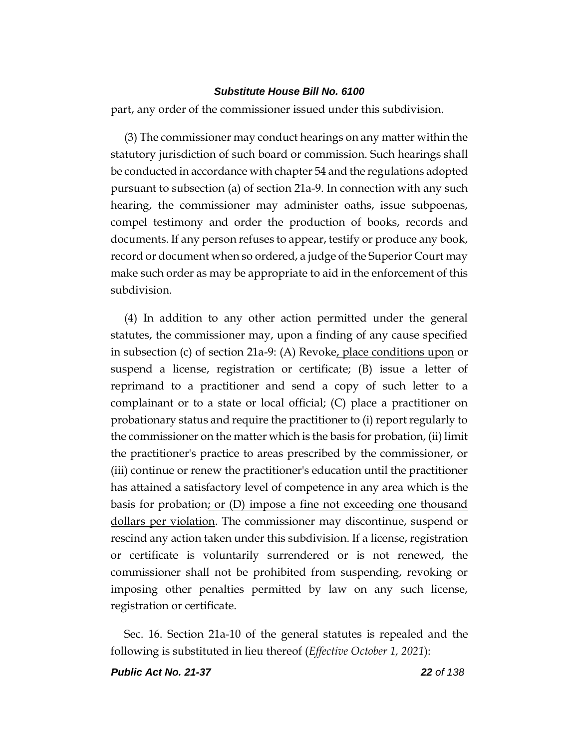part, any order of the commissioner issued under this subdivision.

(3) The commissioner may conduct hearings on any matter within the statutory jurisdiction of such board or commission. Such hearings shall be conducted in accordance with chapter 54 and the regulations adopted pursuant to subsection (a) of section 21a-9. In connection with any such hearing, the commissioner may administer oaths, issue subpoenas, compel testimony and order the production of books, records and documents. If any person refuses to appear, testify or produce any book, record or document when so ordered, a judge of the Superior Court may make such order as may be appropriate to aid in the enforcement of this subdivision.

(4) In addition to any other action permitted under the general statutes, the commissioner may, upon a finding of any cause specified in subsection (c) of section 21a-9: (A) Revoke, place conditions upon or suspend a license, registration or certificate; (B) issue a letter of reprimand to a practitioner and send a copy of such letter to a complainant or to a state or local official; (C) place a practitioner on probationary status and require the practitioner to (i) report regularly to the commissioner on the matter which is the basis for probation, (ii) limit the practitioner's practice to areas prescribed by the commissioner, or (iii) continue or renew the practitioner's education until the practitioner has attained a satisfactory level of competence in any area which is the basis for probation; or (D) impose a fine not exceeding one thousand dollars per violation. The commissioner may discontinue, suspend or rescind any action taken under this subdivision. If a license, registration or certificate is voluntarily surrendered or is not renewed, the commissioner shall not be prohibited from suspending, revoking or imposing other penalties permitted by law on any such license, registration or certificate.

Sec. 16. Section 21a-10 of the general statutes is repealed and the following is substituted in lieu thereof (*Effective October 1, 2021*):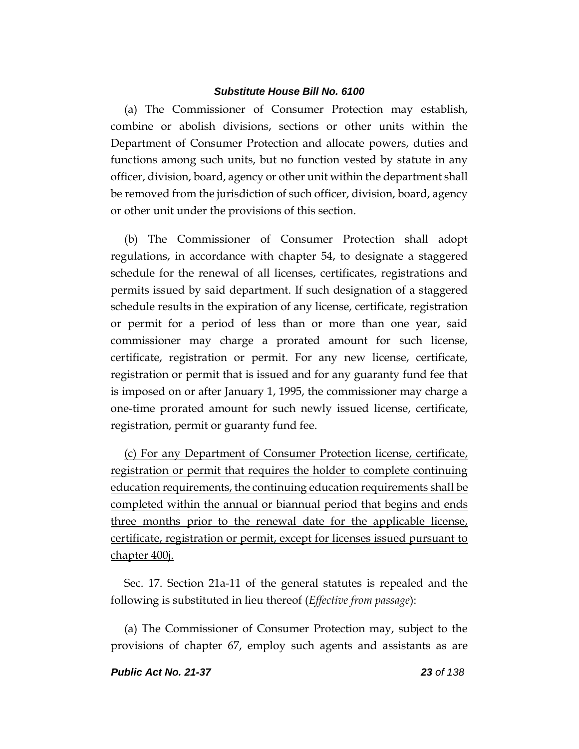(a) The Commissioner of Consumer Protection may establish, combine or abolish divisions, sections or other units within the Department of Consumer Protection and allocate powers, duties and functions among such units, but no function vested by statute in any officer, division, board, agency or other unit within the department shall be removed from the jurisdiction of such officer, division, board, agency or other unit under the provisions of this section.

(b) The Commissioner of Consumer Protection shall adopt regulations, in accordance with chapter 54, to designate a staggered schedule for the renewal of all licenses, certificates, registrations and permits issued by said department. If such designation of a staggered schedule results in the expiration of any license, certificate, registration or permit for a period of less than or more than one year, said commissioner may charge a prorated amount for such license, certificate, registration or permit. For any new license, certificate, registration or permit that is issued and for any guaranty fund fee that is imposed on or after January 1, 1995, the commissioner may charge a one-time prorated amount for such newly issued license, certificate, registration, permit or guaranty fund fee.

(c) For any Department of Consumer Protection license, certificate, registration or permit that requires the holder to complete continuing education requirements, the continuing education requirements shall be completed within the annual or biannual period that begins and ends three months prior to the renewal date for the applicable license, certificate, registration or permit, except for licenses issued pursuant to chapter 400j.

Sec. 17. Section 21a-11 of the general statutes is repealed and the following is substituted in lieu thereof (*Effective from passage*):

(a) The Commissioner of Consumer Protection may, subject to the provisions of chapter 67, employ such agents and assistants as are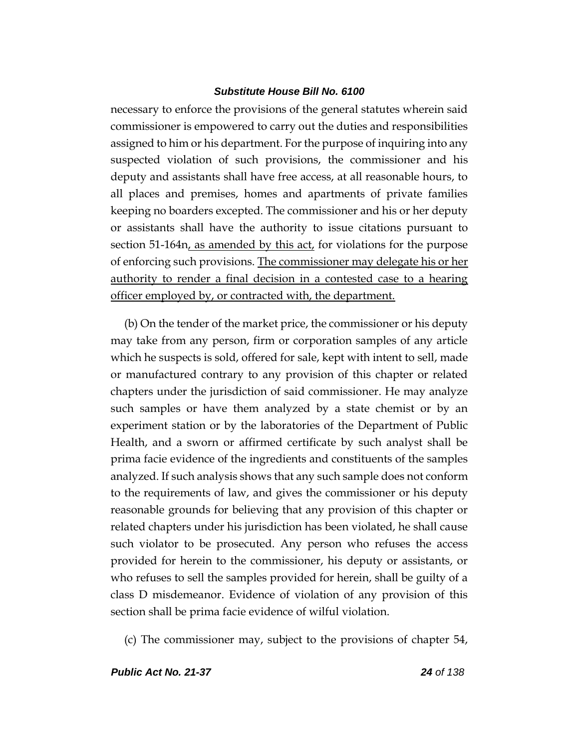necessary to enforce the provisions of the general statutes wherein said commissioner is empowered to carry out the duties and responsibilities assigned to him or his department. For the purpose of inquiring into any suspected violation of such provisions, the commissioner and his deputy and assistants shall have free access, at all reasonable hours, to all places and premises, homes and apartments of private families keeping no boarders excepted. The commissioner and his or her deputy or assistants shall have the authority to issue citations pursuant to section 51-164n, as amended by this act, for violations for the purpose of enforcing such provisions. The commissioner may delegate his or her authority to render a final decision in a contested case to a hearing officer employed by, or contracted with, the department.

(b) On the tender of the market price, the commissioner or his deputy may take from any person, firm or corporation samples of any article which he suspects is sold, offered for sale, kept with intent to sell, made or manufactured contrary to any provision of this chapter or related chapters under the jurisdiction of said commissioner. He may analyze such samples or have them analyzed by a state chemist or by an experiment station or by the laboratories of the Department of Public Health, and a sworn or affirmed certificate by such analyst shall be prima facie evidence of the ingredients and constituents of the samples analyzed. If such analysis shows that any such sample does not conform to the requirements of law, and gives the commissioner or his deputy reasonable grounds for believing that any provision of this chapter or related chapters under his jurisdiction has been violated, he shall cause such violator to be prosecuted. Any person who refuses the access provided for herein to the commissioner, his deputy or assistants, or who refuses to sell the samples provided for herein, shall be guilty of a class D misdemeanor. Evidence of violation of any provision of this section shall be prima facie evidence of wilful violation.

(c) The commissioner may, subject to the provisions of chapter 54,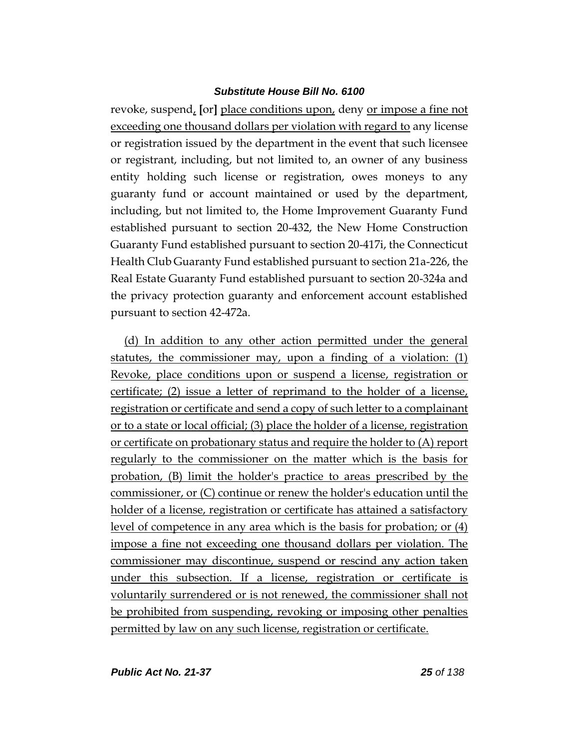revoke, suspend, **[**or**]** place conditions upon, deny or impose a fine not exceeding one thousand dollars per violation with regard to any license or registration issued by the department in the event that such licensee or registrant, including, but not limited to, an owner of any business entity holding such license or registration, owes moneys to any guaranty fund or account maintained or used by the department, including, but not limited to, the Home Improvement Guaranty Fund established pursuant to section 20-432, the New Home Construction Guaranty Fund established pursuant to section 20-417i, the Connecticut Health Club Guaranty Fund established pursuant to section 21a-226, the Real Estate Guaranty Fund established pursuant to section 20-324a and the privacy protection guaranty and enforcement account established pursuant to section 42-472a.

(d) In addition to any other action permitted under the general statutes, the commissioner may, upon a finding of a violation: (1) Revoke, place conditions upon or suspend a license, registration or certificate; (2) issue a letter of reprimand to the holder of a license, registration or certificate and send a copy of such letter to a complainant or to a state or local official; (3) place the holder of a license, registration or certificate on probationary status and require the holder to (A) report regularly to the commissioner on the matter which is the basis for probation, (B) limit the holder's practice to areas prescribed by the commissioner, or (C) continue or renew the holder's education until the holder of a license, registration or certificate has attained a satisfactory level of competence in any area which is the basis for probation; or (4) impose a fine not exceeding one thousand dollars per violation. The commissioner may discontinue, suspend or rescind any action taken under this subsection. If a license, registration or certificate is voluntarily surrendered or is not renewed, the commissioner shall not be prohibited from suspending, revoking or imposing other penalties permitted by law on any such license, registration or certificate.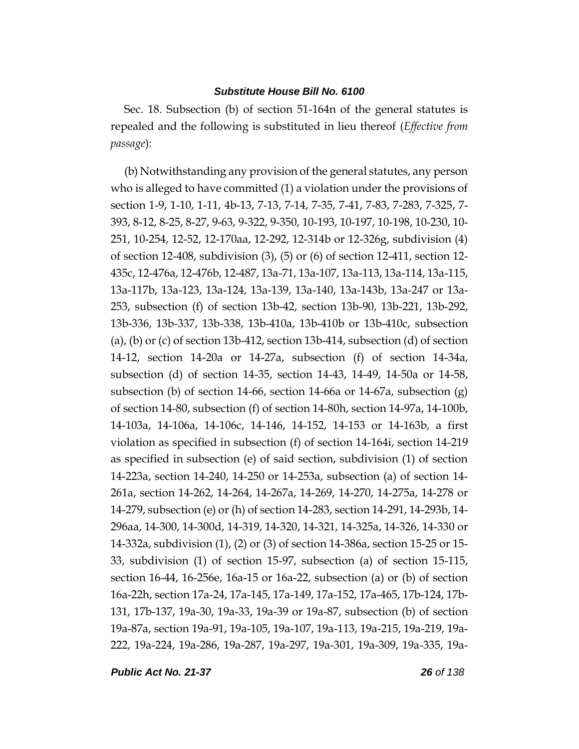Sec. 18. Subsection (b) of section 51-164n of the general statutes is repealed and the following is substituted in lieu thereof (*Effective from passage*):

(b) Notwithstanding any provision of the general statutes, any person who is alleged to have committed (1) a violation under the provisions of section 1-9, 1-10, 1-11, 4b-13, 7-13, 7-14, 7-35, 7-41, 7-83, 7-283, 7-325, 7- 393, 8-12, 8-25, 8-27, 9-63, 9-322, 9-350, 10-193, 10-197, 10-198, 10-230, 10- 251, 10-254, 12-52, 12-170aa, 12-292, 12-314b or 12-326g, subdivision (4) of section 12-408, subdivision (3), (5) or (6) of section 12-411, section 12- 435c, 12-476a, 12-476b, 12-487, 13a-71, 13a-107, 13a-113, 13a-114, 13a-115, 13a-117b, 13a-123, 13a-124, 13a-139, 13a-140, 13a-143b, 13a-247 or 13a-253, subsection (f) of section 13b-42, section 13b-90, 13b-221, 13b-292, 13b-336, 13b-337, 13b-338, 13b-410a, 13b-410b or 13b-410c, subsection  $(a)$ ,  $(b)$  or  $(c)$  of section 13b-412, section 13b-414, subsection  $(d)$  of section 14-12, section 14-20a or 14-27a, subsection (f) of section 14-34a, subsection (d) of section 14-35, section 14-43, 14-49, 14-50a or 14-58, subsection (b) of section 14-66, section 14-66a or 14-67a, subsection (g) of section 14-80, subsection (f) of section 14-80h, section 14-97a, 14-100b, 14-103a, 14-106a, 14-106c, 14-146, 14-152, 14-153 or 14-163b, a first violation as specified in subsection (f) of section 14-164i, section 14-219 as specified in subsection (e) of said section, subdivision (1) of section 14-223a, section 14-240, 14-250 or 14-253a, subsection (a) of section 14- 261a, section 14-262, 14-264, 14-267a, 14-269, 14-270, 14-275a, 14-278 or 14-279, subsection (e) or (h) of section 14-283, section 14-291, 14-293b, 14- 296aa, 14-300, 14-300d, 14-319, 14-320, 14-321, 14-325a, 14-326, 14-330 or 14-332a, subdivision (1), (2) or (3) of section 14-386a, section 15-25 or 15- 33, subdivision (1) of section 15-97, subsection (a) of section 15-115, section 16-44, 16-256e, 16a-15 or 16a-22, subsection (a) or (b) of section 16a-22h, section 17a-24, 17a-145, 17a-149, 17a-152, 17a-465, 17b-124, 17b-131, 17b-137, 19a-30, 19a-33, 19a-39 or 19a-87, subsection (b) of section 19a-87a, section 19a-91, 19a-105, 19a-107, 19a-113, 19a-215, 19a-219, 19a-222, 19a-224, 19a-286, 19a-287, 19a-297, 19a-301, 19a-309, 19a-335, 19a-

*Public Act No. 21-37 26 of 138*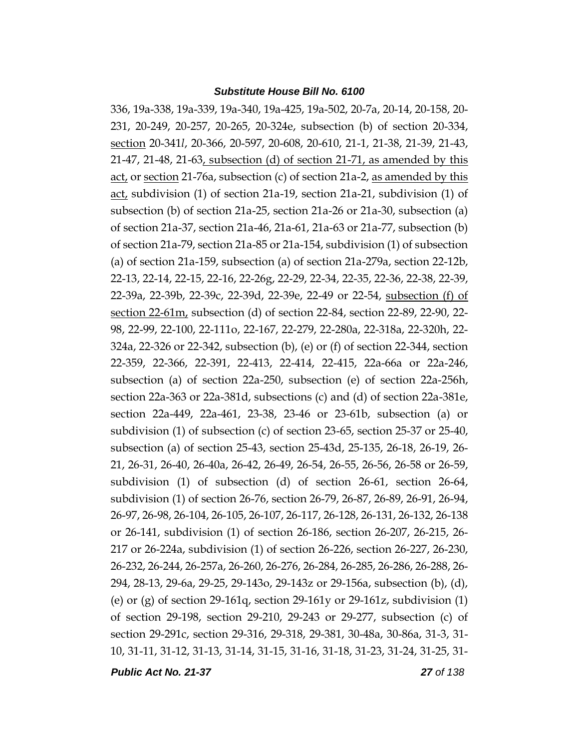336, 19a-338, 19a-339, 19a-340, 19a-425, 19a-502, 20-7a, 20-14, 20-158, 20- 231, 20-249, 20-257, 20-265, 20-324e, subsection (b) of section 20-334, section 20-341*l*, 20-366, 20-597, 20-608, 20-610, 21-1, 21-38, 21-39, 21-43, 21-47, 21-48, 21-63, subsection (d) of section 21-71, as amended by this act, or section 21-76a, subsection (c) of section 21a-2, as amended by this act, subdivision (1) of section 21a-19, section 21a-21, subdivision (1) of subsection (b) of section 21a-25, section 21a-26 or 21a-30, subsection (a) of section 21a-37, section 21a-46, 21a-61, 21a-63 or 21a-77, subsection (b) of section 21a-79, section 21a-85 or 21a-154, subdivision (1) of subsection (a) of section 21a-159, subsection (a) of section 21a-279a, section 22-12b, 22-13, 22-14, 22-15, 22-16, 22-26g, 22-29, 22-34, 22-35, 22-36, 22-38, 22-39, 22-39a, 22-39b, 22-39c, 22-39d, 22-39e, 22-49 or 22-54, subsection (f) of section 22-61m, subsection (d) of section 22-84, section 22-89, 22-90, 22- 98, 22-99, 22-100, 22-111o, 22-167, 22-279, 22-280a, 22-318a, 22-320h, 22- 324a, 22-326 or 22-342, subsection (b), (e) or (f) of section 22-344, section 22-359, 22-366, 22-391, 22-413, 22-414, 22-415, 22a-66a or 22a-246, subsection (a) of section 22a-250, subsection (e) of section 22a-256h, section 22a-363 or 22a-381d, subsections (c) and (d) of section 22a-381e, section 22a-449, 22a-461, 23-38, 23-46 or 23-61b, subsection (a) or subdivision (1) of subsection (c) of section 23-65, section 25-37 or 25-40, subsection (a) of section 25-43, section 25-43d, 25-135, 26-18, 26-19, 26- 21, 26-31, 26-40, 26-40a, 26-42, 26-49, 26-54, 26-55, 26-56, 26-58 or 26-59, subdivision (1) of subsection (d) of section 26-61, section 26-64, subdivision (1) of section 26-76, section 26-79, 26-87, 26-89, 26-91, 26-94, 26-97, 26-98, 26-104, 26-105, 26-107, 26-117, 26-128, 26-131, 26-132, 26-138 or 26-141, subdivision (1) of section 26-186, section 26-207, 26-215, 26- 217 or 26-224a, subdivision (1) of section 26-226, section 26-227, 26-230, 26-232, 26-244, 26-257a, 26-260, 26-276, 26-284, 26-285, 26-286, 26-288, 26- 294, 28-13, 29-6a, 29-25, 29-143o, 29-143z or 29-156a, subsection (b), (d), (e) or (g) of section 29-161q, section 29-161y or 29-161z, subdivision  $(1)$ of section 29-198, section 29-210, 29-243 or 29-277, subsection (c) of section 29-291c, section 29-316, 29-318, 29-381, 30-48a, 30-86a, 31-3, 31- 10, 31-11, 31-12, 31-13, 31-14, 31-15, 31-16, 31-18, 31-23, 31-24, 31-25, 31-

*Public Act No. 21-37 27 of 138*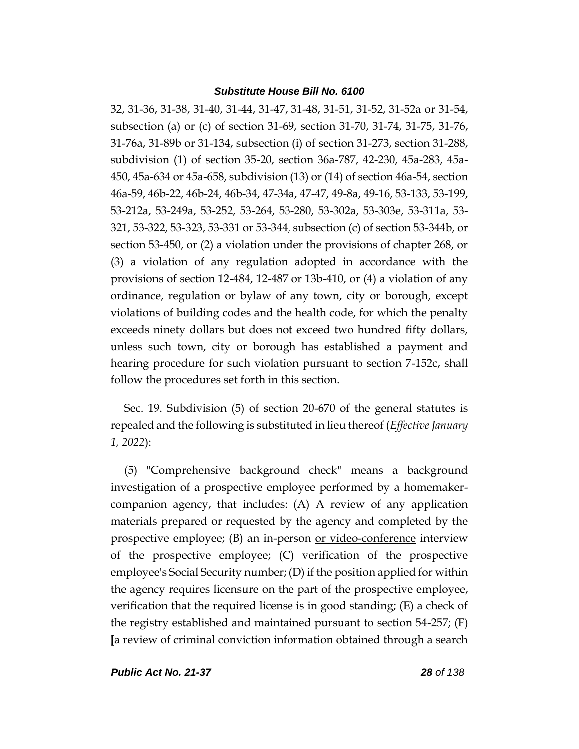32, 31-36, 31-38, 31-40, 31-44, 31-47, 31-48, 31-51, 31-52, 31-52a or 31-54, subsection (a) or (c) of section 31-69, section 31-70, 31-74, 31-75, 31-76, 31-76a, 31-89b or 31-134, subsection (i) of section 31-273, section 31-288, subdivision (1) of section 35-20, section 36a-787, 42-230, 45a-283, 45a-450, 45a-634 or 45a-658, subdivision (13) or (14) of section 46a-54, section 46a-59, 46b-22, 46b-24, 46b-34, 47-34a, 47-47, 49-8a, 49-16, 53-133, 53-199, 53-212a, 53-249a, 53-252, 53-264, 53-280, 53-302a, 53-303e, 53-311a, 53- 321, 53-322, 53-323, 53-331 or 53-344, subsection (c) of section 53-344b, or section 53-450, or (2) a violation under the provisions of chapter 268, or (3) a violation of any regulation adopted in accordance with the provisions of section 12-484, 12-487 or 13b-410, or (4) a violation of any ordinance, regulation or bylaw of any town, city or borough, except violations of building codes and the health code, for which the penalty exceeds ninety dollars but does not exceed two hundred fifty dollars, unless such town, city or borough has established a payment and hearing procedure for such violation pursuant to section 7-152c, shall follow the procedures set forth in this section.

Sec. 19. Subdivision (5) of section 20-670 of the general statutes is repealed and the following is substituted in lieu thereof (*Effective January 1, 2022*):

(5) "Comprehensive background check" means a background investigation of a prospective employee performed by a homemakercompanion agency, that includes: (A) A review of any application materials prepared or requested by the agency and completed by the prospective employee; (B) an in-person or video-conference interview of the prospective employee; (C) verification of the prospective employee's Social Security number; (D) if the position applied for within the agency requires licensure on the part of the prospective employee, verification that the required license is in good standing; (E) a check of the registry established and maintained pursuant to section 54-257; (F) **[**a review of criminal conviction information obtained through a search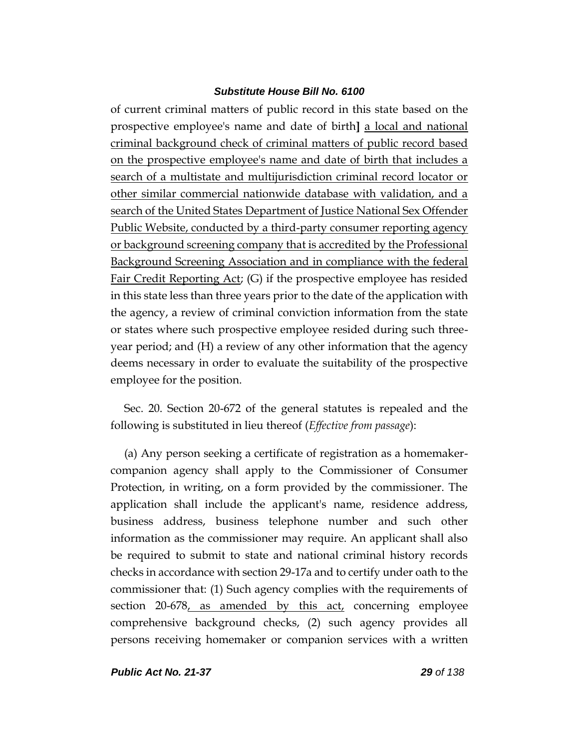of current criminal matters of public record in this state based on the prospective employee's name and date of birth**]** a local and national criminal background check of criminal matters of public record based on the prospective employee's name and date of birth that includes a search of a multistate and multijurisdiction criminal record locator or other similar commercial nationwide database with validation, and a search of the United States Department of Justice National Sex Offender Public Website, conducted by a third-party consumer reporting agency or background screening company that is accredited by the Professional Background Screening Association and in compliance with the federal Fair Credit Reporting Act; (G) if the prospective employee has resided in this state less than three years prior to the date of the application with the agency, a review of criminal conviction information from the state or states where such prospective employee resided during such threeyear period; and (H) a review of any other information that the agency deems necessary in order to evaluate the suitability of the prospective employee for the position.

Sec. 20. Section 20-672 of the general statutes is repealed and the following is substituted in lieu thereof (*Effective from passage*):

(a) Any person seeking a certificate of registration as a homemakercompanion agency shall apply to the Commissioner of Consumer Protection, in writing, on a form provided by the commissioner. The application shall include the applicant's name, residence address, business address, business telephone number and such other information as the commissioner may require. An applicant shall also be required to submit to state and national criminal history records checks in accordance with section 29-17a and to certify under oath to the commissioner that: (1) Such agency complies with the requirements of section 20-678, as amended by this act, concerning employee comprehensive background checks, (2) such agency provides all persons receiving homemaker or companion services with a written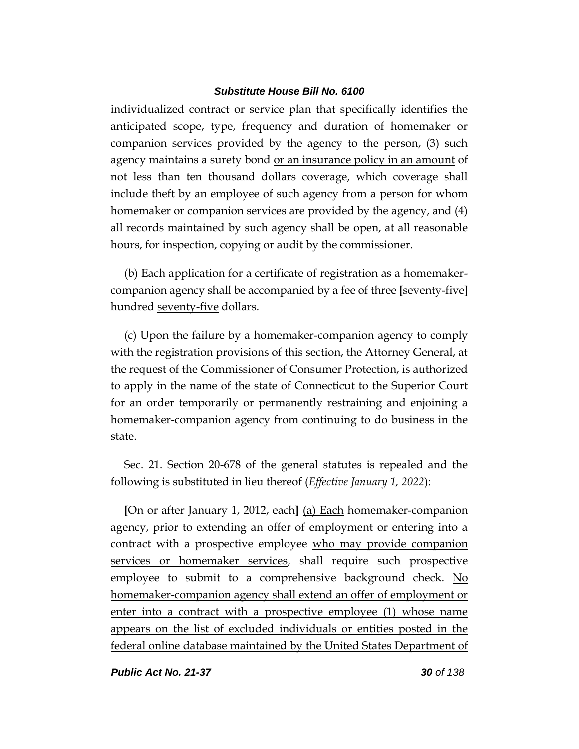individualized contract or service plan that specifically identifies the anticipated scope, type, frequency and duration of homemaker or companion services provided by the agency to the person, (3) such agency maintains a surety bond or an insurance policy in an amount of not less than ten thousand dollars coverage, which coverage shall include theft by an employee of such agency from a person for whom homemaker or companion services are provided by the agency, and (4) all records maintained by such agency shall be open, at all reasonable hours, for inspection, copying or audit by the commissioner.

(b) Each application for a certificate of registration as a homemakercompanion agency shall be accompanied by a fee of three **[**seventy-five**]** hundred seventy-five dollars.

(c) Upon the failure by a homemaker-companion agency to comply with the registration provisions of this section, the Attorney General, at the request of the Commissioner of Consumer Protection, is authorized to apply in the name of the state of Connecticut to the Superior Court for an order temporarily or permanently restraining and enjoining a homemaker-companion agency from continuing to do business in the state.

Sec. 21. Section 20-678 of the general statutes is repealed and the following is substituted in lieu thereof (*Effective January 1, 2022*):

**[**On or after January 1, 2012, each**]** (a) Each homemaker-companion agency, prior to extending an offer of employment or entering into a contract with a prospective employee who may provide companion services or homemaker services, shall require such prospective employee to submit to a comprehensive background check. No homemaker-companion agency shall extend an offer of employment or enter into a contract with a prospective employee (1) whose name appears on the list of excluded individuals or entities posted in the federal online database maintained by the United States Department of

*Public Act No. 21-37 30 of 138*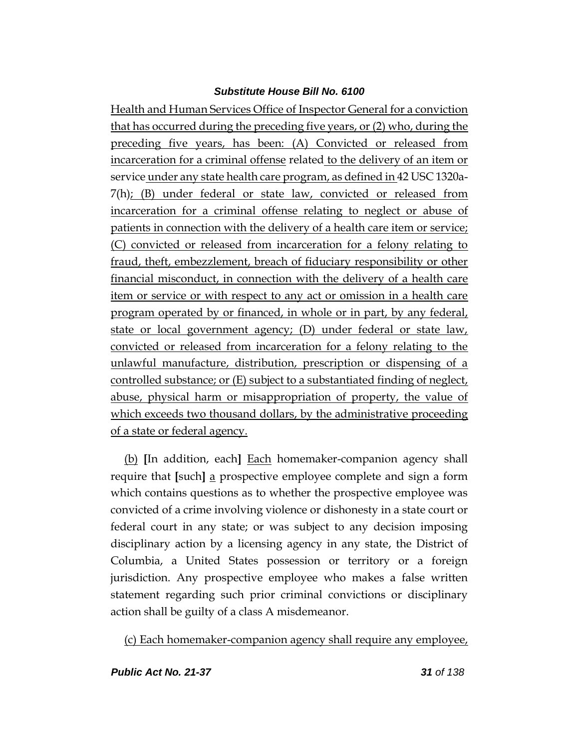Health and Human Services Office of Inspector General for a conviction that has occurred during the preceding five years, or (2) who, during the preceding five years, has been: (A) Convicted or released from incarceration for a criminal offense related to the delivery of an item or service under any state health care program, as defined in 42 USC 1320a-7(h); (B) under federal or state law, convicted or released from incarceration for a criminal offense relating to neglect or abuse of patients in connection with the delivery of a health care item or service; (C) convicted or released from incarceration for a felony relating to fraud, theft, embezzlement, breach of fiduciary responsibility or other financial misconduct, in connection with the delivery of a health care item or service or with respect to any act or omission in a health care program operated by or financed, in whole or in part, by any federal, state or local government agency; (D) under federal or state law, convicted or released from incarceration for a felony relating to the unlawful manufacture, distribution, prescription or dispensing of a controlled substance; or (E) subject to a substantiated finding of neglect, abuse, physical harm or misappropriation of property, the value of which exceeds two thousand dollars, by the administrative proceeding of a state or federal agency.

(b) **[**In addition, each**]** Each homemaker-companion agency shall require that **[**such**]** a prospective employee complete and sign a form which contains questions as to whether the prospective employee was convicted of a crime involving violence or dishonesty in a state court or federal court in any state; or was subject to any decision imposing disciplinary action by a licensing agency in any state, the District of Columbia, a United States possession or territory or a foreign jurisdiction. Any prospective employee who makes a false written statement regarding such prior criminal convictions or disciplinary action shall be guilty of a class A misdemeanor.

(c) Each homemaker-companion agency shall require any employee,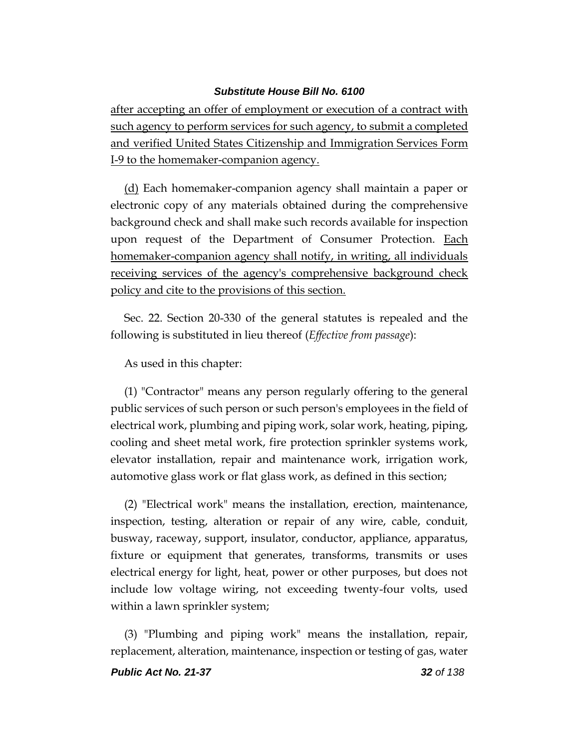after accepting an offer of employment or execution of a contract with such agency to perform services for such agency, to submit a completed and verified United States Citizenship and Immigration Services Form I-9 to the homemaker-companion agency.

(d) Each homemaker-companion agency shall maintain a paper or electronic copy of any materials obtained during the comprehensive background check and shall make such records available for inspection upon request of the Department of Consumer Protection. Each homemaker-companion agency shall notify, in writing, all individuals receiving services of the agency's comprehensive background check policy and cite to the provisions of this section.

Sec. 22. Section 20-330 of the general statutes is repealed and the following is substituted in lieu thereof (*Effective from passage*):

# As used in this chapter:

(1) "Contractor" means any person regularly offering to the general public services of such person or such person's employees in the field of electrical work, plumbing and piping work, solar work, heating, piping, cooling and sheet metal work, fire protection sprinkler systems work, elevator installation, repair and maintenance work, irrigation work, automotive glass work or flat glass work, as defined in this section;

(2) "Electrical work" means the installation, erection, maintenance, inspection, testing, alteration or repair of any wire, cable, conduit, busway, raceway, support, insulator, conductor, appliance, apparatus, fixture or equipment that generates, transforms, transmits or uses electrical energy for light, heat, power or other purposes, but does not include low voltage wiring, not exceeding twenty-four volts, used within a lawn sprinkler system;

(3) "Plumbing and piping work" means the installation, repair, replacement, alteration, maintenance, inspection or testing of gas, water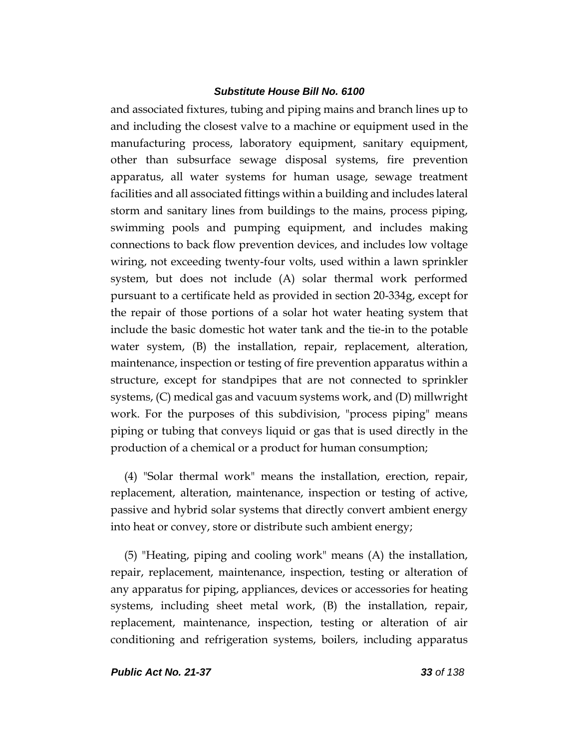and associated fixtures, tubing and piping mains and branch lines up to and including the closest valve to a machine or equipment used in the manufacturing process, laboratory equipment, sanitary equipment, other than subsurface sewage disposal systems, fire prevention apparatus, all water systems for human usage, sewage treatment facilities and all associated fittings within a building and includes lateral storm and sanitary lines from buildings to the mains, process piping, swimming pools and pumping equipment, and includes making connections to back flow prevention devices, and includes low voltage wiring, not exceeding twenty-four volts, used within a lawn sprinkler system, but does not include (A) solar thermal work performed pursuant to a certificate held as provided in section 20-334g, except for the repair of those portions of a solar hot water heating system that include the basic domestic hot water tank and the tie-in to the potable water system, (B) the installation, repair, replacement, alteration, maintenance, inspection or testing of fire prevention apparatus within a structure, except for standpipes that are not connected to sprinkler systems, (C) medical gas and vacuum systems work, and (D) millwright work. For the purposes of this subdivision, "process piping" means piping or tubing that conveys liquid or gas that is used directly in the production of a chemical or a product for human consumption;

(4) "Solar thermal work" means the installation, erection, repair, replacement, alteration, maintenance, inspection or testing of active, passive and hybrid solar systems that directly convert ambient energy into heat or convey, store or distribute such ambient energy;

(5) "Heating, piping and cooling work" means (A) the installation, repair, replacement, maintenance, inspection, testing or alteration of any apparatus for piping, appliances, devices or accessories for heating systems, including sheet metal work, (B) the installation, repair, replacement, maintenance, inspection, testing or alteration of air conditioning and refrigeration systems, boilers, including apparatus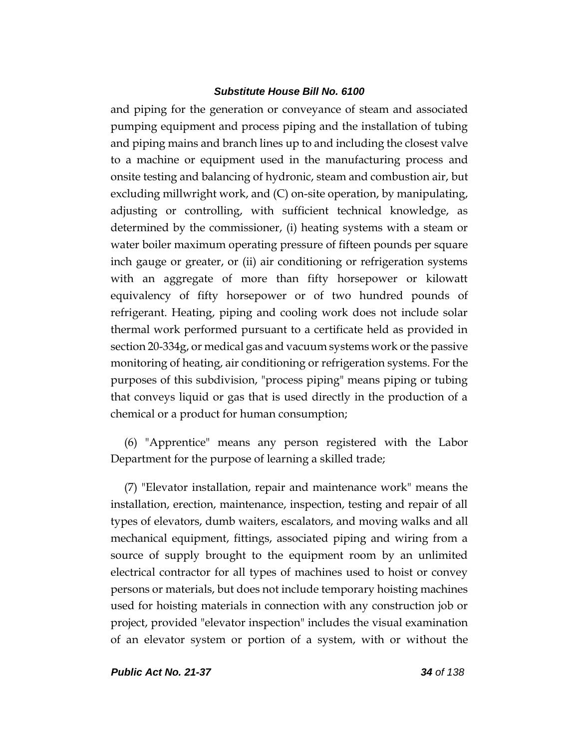and piping for the generation or conveyance of steam and associated pumping equipment and process piping and the installation of tubing and piping mains and branch lines up to and including the closest valve to a machine or equipment used in the manufacturing process and onsite testing and balancing of hydronic, steam and combustion air, but excluding millwright work, and (C) on-site operation, by manipulating, adjusting or controlling, with sufficient technical knowledge, as determined by the commissioner, (i) heating systems with a steam or water boiler maximum operating pressure of fifteen pounds per square inch gauge or greater, or (ii) air conditioning or refrigeration systems with an aggregate of more than fifty horsepower or kilowatt equivalency of fifty horsepower or of two hundred pounds of refrigerant. Heating, piping and cooling work does not include solar thermal work performed pursuant to a certificate held as provided in section 20-334g, or medical gas and vacuum systems work or the passive monitoring of heating, air conditioning or refrigeration systems. For the purposes of this subdivision, "process piping" means piping or tubing that conveys liquid or gas that is used directly in the production of a chemical or a product for human consumption;

(6) "Apprentice" means any person registered with the Labor Department for the purpose of learning a skilled trade;

(7) "Elevator installation, repair and maintenance work" means the installation, erection, maintenance, inspection, testing and repair of all types of elevators, dumb waiters, escalators, and moving walks and all mechanical equipment, fittings, associated piping and wiring from a source of supply brought to the equipment room by an unlimited electrical contractor for all types of machines used to hoist or convey persons or materials, but does not include temporary hoisting machines used for hoisting materials in connection with any construction job or project, provided "elevator inspection" includes the visual examination of an elevator system or portion of a system, with or without the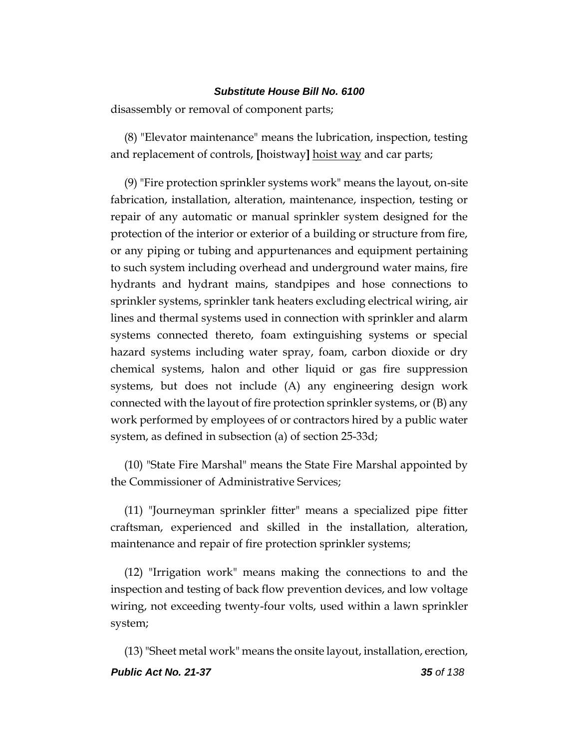disassembly or removal of component parts;

(8) "Elevator maintenance" means the lubrication, inspection, testing and replacement of controls, **[**hoistway**]** hoist way and car parts;

(9) "Fire protection sprinkler systems work" means the layout, on-site fabrication, installation, alteration, maintenance, inspection, testing or repair of any automatic or manual sprinkler system designed for the protection of the interior or exterior of a building or structure from fire, or any piping or tubing and appurtenances and equipment pertaining to such system including overhead and underground water mains, fire hydrants and hydrant mains, standpipes and hose connections to sprinkler systems, sprinkler tank heaters excluding electrical wiring, air lines and thermal systems used in connection with sprinkler and alarm systems connected thereto, foam extinguishing systems or special hazard systems including water spray, foam, carbon dioxide or dry chemical systems, halon and other liquid or gas fire suppression systems, but does not include (A) any engineering design work connected with the layout of fire protection sprinkler systems, or (B) any work performed by employees of or contractors hired by a public water system, as defined in subsection (a) of section 25-33d;

(10) "State Fire Marshal" means the State Fire Marshal appointed by the Commissioner of Administrative Services;

(11) "Journeyman sprinkler fitter" means a specialized pipe fitter craftsman, experienced and skilled in the installation, alteration, maintenance and repair of fire protection sprinkler systems;

(12) "Irrigation work" means making the connections to and the inspection and testing of back flow prevention devices, and low voltage wiring, not exceeding twenty-four volts, used within a lawn sprinkler system;

*Public Act No. 21-37 35 of 138* (13)"Sheet metal work" means the onsite layout, installation, erection,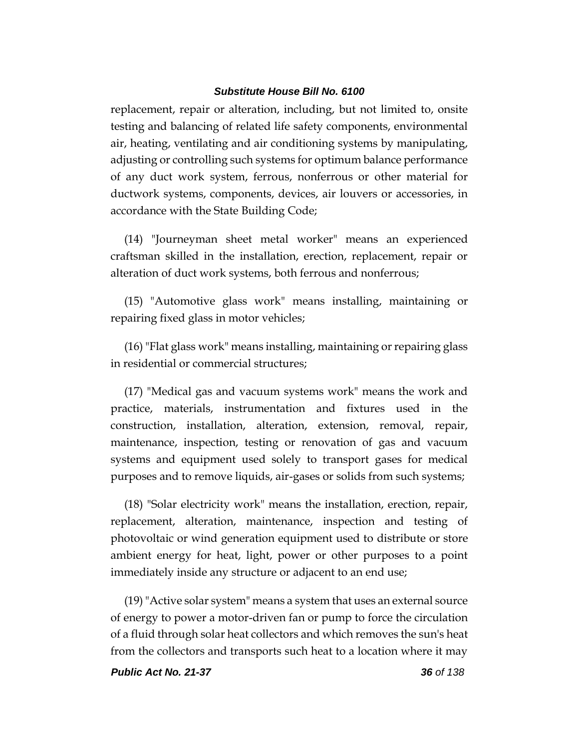replacement, repair or alteration, including, but not limited to, onsite testing and balancing of related life safety components, environmental air, heating, ventilating and air conditioning systems by manipulating, adjusting or controlling such systems for optimum balance performance of any duct work system, ferrous, nonferrous or other material for ductwork systems, components, devices, air louvers or accessories, in accordance with the State Building Code;

(14) "Journeyman sheet metal worker" means an experienced craftsman skilled in the installation, erection, replacement, repair or alteration of duct work systems, both ferrous and nonferrous;

(15) "Automotive glass work" means installing, maintaining or repairing fixed glass in motor vehicles;

(16) "Flat glass work" means installing, maintaining or repairing glass in residential or commercial structures;

(17) "Medical gas and vacuum systems work" means the work and practice, materials, instrumentation and fixtures used in the construction, installation, alteration, extension, removal, repair, maintenance, inspection, testing or renovation of gas and vacuum systems and equipment used solely to transport gases for medical purposes and to remove liquids, air-gases or solids from such systems;

(18) "Solar electricity work" means the installation, erection, repair, replacement, alteration, maintenance, inspection and testing of photovoltaic or wind generation equipment used to distribute or store ambient energy for heat, light, power or other purposes to a point immediately inside any structure or adjacent to an end use;

(19)"Active solar system" means a system that uses an external source of energy to power a motor-driven fan or pump to force the circulation of a fluid through solar heat collectors and which removes the sun's heat from the collectors and transports such heat to a location where it may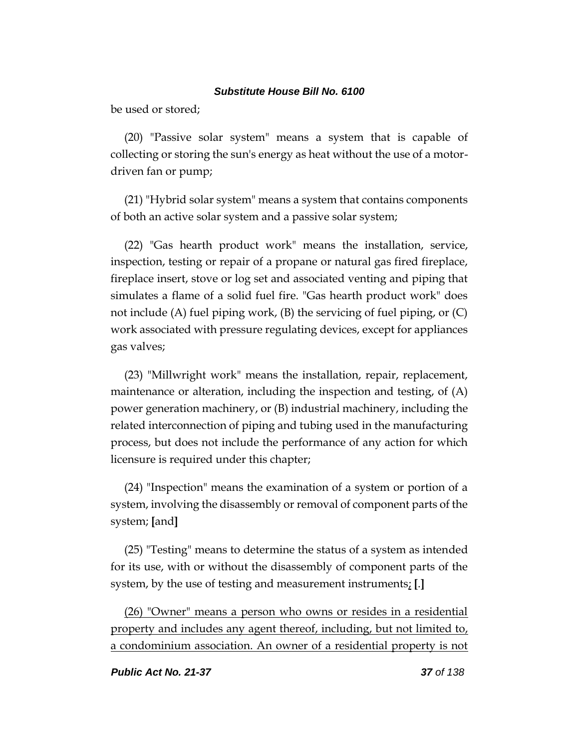be used or stored;

(20) "Passive solar system" means a system that is capable of collecting or storing the sun's energy as heat without the use of a motordriven fan or pump;

(21) "Hybrid solar system" means a system that contains components of both an active solar system and a passive solar system;

(22) "Gas hearth product work" means the installation, service, inspection, testing or repair of a propane or natural gas fired fireplace, fireplace insert, stove or log set and associated venting and piping that simulates a flame of a solid fuel fire. "Gas hearth product work" does not include (A) fuel piping work,  $(B)$  the servicing of fuel piping, or  $(C)$ work associated with pressure regulating devices, except for appliances gas valves;

(23) "Millwright work" means the installation, repair, replacement, maintenance or alteration, including the inspection and testing, of  $(A)$ power generation machinery, or (B) industrial machinery, including the related interconnection of piping and tubing used in the manufacturing process, but does not include the performance of any action for which licensure is required under this chapter;

(24) "Inspection" means the examination of a system or portion of a system, involving the disassembly or removal of component parts of the system; **[**and**]**

(25) "Testing" means to determine the status of a system as intended for its use, with or without the disassembly of component parts of the system, by the use of testing and measurement instruments; **[**.**]**

(26) "Owner" means a person who owns or resides in a residential property and includes any agent thereof, including, but not limited to, a condominium association. An owner of a residential property is not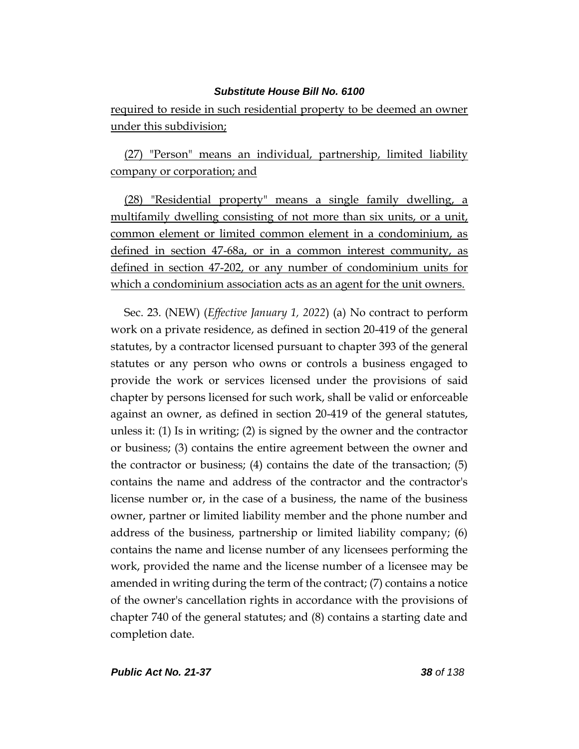required to reside in such residential property to be deemed an owner under this subdivision;

(27) "Person" means an individual, partnership, limited liability company or corporation; and

(28) "Residential property" means a single family dwelling, a multifamily dwelling consisting of not more than six units, or a unit, common element or limited common element in a condominium, as defined in section 47-68a, or in a common interest community, as defined in section 47-202, or any number of condominium units for which a condominium association acts as an agent for the unit owners.

Sec. 23. (NEW) (*Effective January 1, 2022*) (a) No contract to perform work on a private residence, as defined in section 20-419 of the general statutes, by a contractor licensed pursuant to chapter 393 of the general statutes or any person who owns or controls a business engaged to provide the work or services licensed under the provisions of said chapter by persons licensed for such work, shall be valid or enforceable against an owner, as defined in section 20-419 of the general statutes, unless it: (1) Is in writing; (2) is signed by the owner and the contractor or business; (3) contains the entire agreement between the owner and the contractor or business; (4) contains the date of the transaction; (5) contains the name and address of the contractor and the contractor's license number or, in the case of a business, the name of the business owner, partner or limited liability member and the phone number and address of the business, partnership or limited liability company; (6) contains the name and license number of any licensees performing the work, provided the name and the license number of a licensee may be amended in writing during the term of the contract; (7) contains a notice of the owner's cancellation rights in accordance with the provisions of chapter 740 of the general statutes; and (8) contains a starting date and completion date.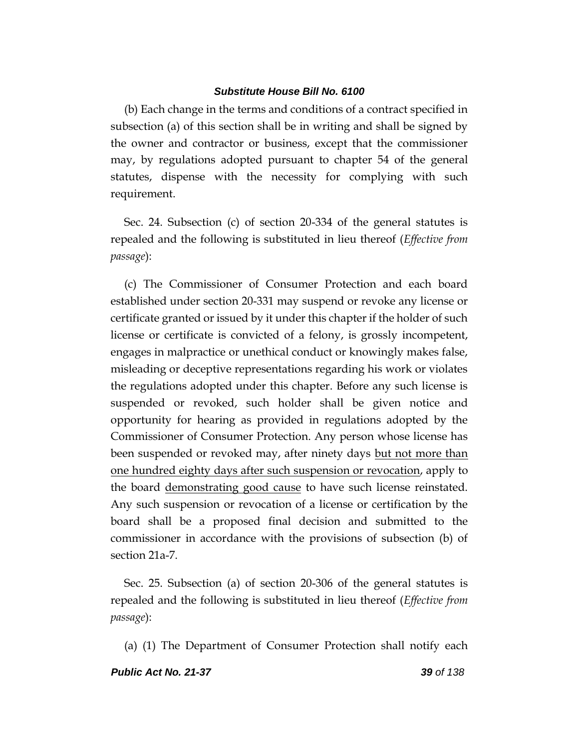(b) Each change in the terms and conditions of a contract specified in subsection (a) of this section shall be in writing and shall be signed by the owner and contractor or business, except that the commissioner may, by regulations adopted pursuant to chapter 54 of the general statutes, dispense with the necessity for complying with such requirement.

Sec. 24. Subsection (c) of section 20-334 of the general statutes is repealed and the following is substituted in lieu thereof (*Effective from passage*):

(c) The Commissioner of Consumer Protection and each board established under section 20-331 may suspend or revoke any license or certificate granted or issued by it under this chapter if the holder of such license or certificate is convicted of a felony, is grossly incompetent, engages in malpractice or unethical conduct or knowingly makes false, misleading or deceptive representations regarding his work or violates the regulations adopted under this chapter. Before any such license is suspended or revoked, such holder shall be given notice and opportunity for hearing as provided in regulations adopted by the Commissioner of Consumer Protection. Any person whose license has been suspended or revoked may, after ninety days but not more than one hundred eighty days after such suspension or revocation, apply to the board demonstrating good cause to have such license reinstated. Any such suspension or revocation of a license or certification by the board shall be a proposed final decision and submitted to the commissioner in accordance with the provisions of subsection (b) of section 21a-7.

Sec. 25. Subsection (a) of section 20-306 of the general statutes is repealed and the following is substituted in lieu thereof (*Effective from passage*):

(a) (1) The Department of Consumer Protection shall notify each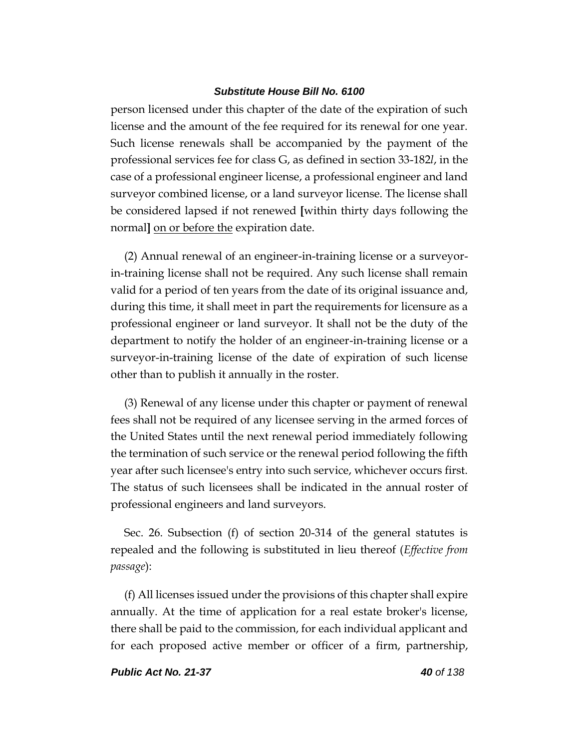person licensed under this chapter of the date of the expiration of such license and the amount of the fee required for its renewal for one year. Such license renewals shall be accompanied by the payment of the professional services fee for class G, as defined in section 33-182*l*, in the case of a professional engineer license, a professional engineer and land surveyor combined license, or a land surveyor license. The license shall be considered lapsed if not renewed **[**within thirty days following the normal**]** on or before the expiration date.

(2) Annual renewal of an engineer-in-training license or a surveyorin-training license shall not be required. Any such license shall remain valid for a period of ten years from the date of its original issuance and, during this time, it shall meet in part the requirements for licensure as a professional engineer or land surveyor. It shall not be the duty of the department to notify the holder of an engineer-in-training license or a surveyor-in-training license of the date of expiration of such license other than to publish it annually in the roster.

(3) Renewal of any license under this chapter or payment of renewal fees shall not be required of any licensee serving in the armed forces of the United States until the next renewal period immediately following the termination of such service or the renewal period following the fifth year after such licensee's entry into such service, whichever occurs first. The status of such licensees shall be indicated in the annual roster of professional engineers and land surveyors.

Sec. 26. Subsection (f) of section 20-314 of the general statutes is repealed and the following is substituted in lieu thereof (*Effective from passage*):

(f) All licenses issued under the provisions of this chapter shall expire annually. At the time of application for a real estate broker's license, there shall be paid to the commission, for each individual applicant and for each proposed active member or officer of a firm, partnership,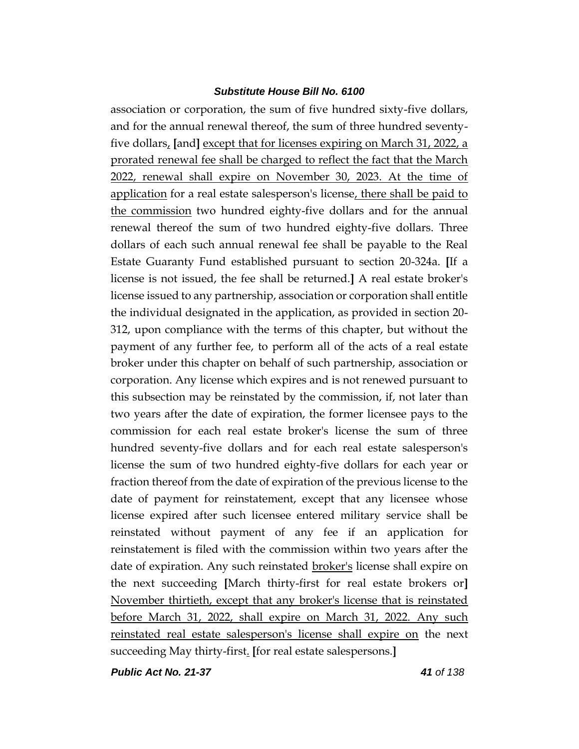association or corporation, the sum of five hundred sixty-five dollars, and for the annual renewal thereof, the sum of three hundred seventyfive dollars, **[**and**]** except that for licenses expiring on March 31, 2022, a prorated renewal fee shall be charged to reflect the fact that the March 2022, renewal shall expire on November 30, 2023. At the time of application for a real estate salesperson's license, there shall be paid to the commission two hundred eighty-five dollars and for the annual renewal thereof the sum of two hundred eighty-five dollars. Three dollars of each such annual renewal fee shall be payable to the Real Estate Guaranty Fund established pursuant to section 20-324a. **[**If a license is not issued, the fee shall be returned.**]** A real estate broker's license issued to any partnership, association or corporation shall entitle the individual designated in the application, as provided in section 20- 312, upon compliance with the terms of this chapter, but without the payment of any further fee, to perform all of the acts of a real estate broker under this chapter on behalf of such partnership, association or corporation. Any license which expires and is not renewed pursuant to this subsection may be reinstated by the commission, if, not later than two years after the date of expiration, the former licensee pays to the commission for each real estate broker's license the sum of three hundred seventy-five dollars and for each real estate salesperson's license the sum of two hundred eighty-five dollars for each year or fraction thereof from the date of expiration of the previous license to the date of payment for reinstatement, except that any licensee whose license expired after such licensee entered military service shall be reinstated without payment of any fee if an application for reinstatement is filed with the commission within two years after the date of expiration. Any such reinstated **broker's** license shall expire on the next succeeding **[**March thirty-first for real estate brokers or**]** November thirtieth, except that any broker's license that is reinstated before March 31, 2022, shall expire on March 31, 2022. Any such reinstated real estate salesperson's license shall expire on the next succeeding May thirty-first. **[**for real estate salespersons.**]**

*Public Act No. 21-37 41 of 138*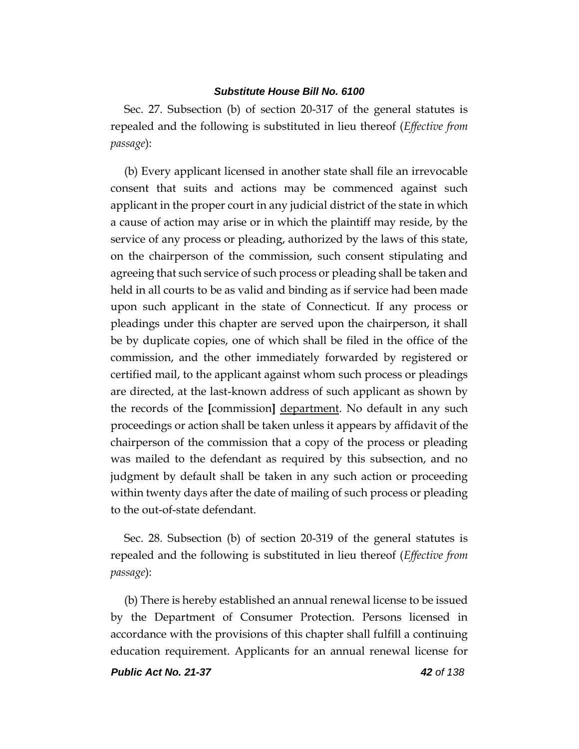Sec. 27. Subsection (b) of section 20-317 of the general statutes is repealed and the following is substituted in lieu thereof (*Effective from passage*):

(b) Every applicant licensed in another state shall file an irrevocable consent that suits and actions may be commenced against such applicant in the proper court in any judicial district of the state in which a cause of action may arise or in which the plaintiff may reside, by the service of any process or pleading, authorized by the laws of this state, on the chairperson of the commission, such consent stipulating and agreeing that such service of such process or pleading shall be taken and held in all courts to be as valid and binding as if service had been made upon such applicant in the state of Connecticut. If any process or pleadings under this chapter are served upon the chairperson, it shall be by duplicate copies, one of which shall be filed in the office of the commission, and the other immediately forwarded by registered or certified mail, to the applicant against whom such process or pleadings are directed, at the last-known address of such applicant as shown by the records of the **[**commission**]** department. No default in any such proceedings or action shall be taken unless it appears by affidavit of the chairperson of the commission that a copy of the process or pleading was mailed to the defendant as required by this subsection, and no judgment by default shall be taken in any such action or proceeding within twenty days after the date of mailing of such process or pleading to the out-of-state defendant.

Sec. 28. Subsection (b) of section 20-319 of the general statutes is repealed and the following is substituted in lieu thereof (*Effective from passage*):

(b) There is hereby established an annual renewal license to be issued by the Department of Consumer Protection. Persons licensed in accordance with the provisions of this chapter shall fulfill a continuing education requirement. Applicants for an annual renewal license for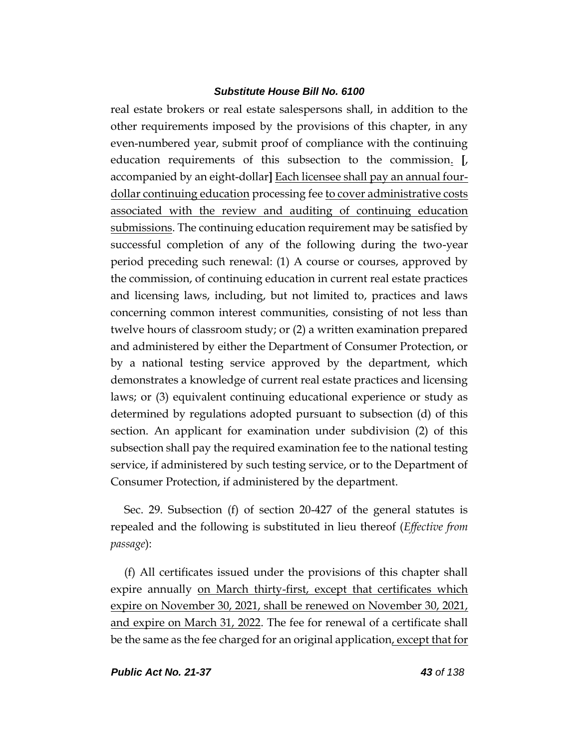real estate brokers or real estate salespersons shall, in addition to the other requirements imposed by the provisions of this chapter, in any even-numbered year, submit proof of compliance with the continuing education requirements of this subsection to the commission. **[**, accompanied by an eight-dollar**]** Each licensee shall pay an annual fourdollar continuing education processing fee to cover administrative costs associated with the review and auditing of continuing education submissions. The continuing education requirement may be satisfied by successful completion of any of the following during the two-year period preceding such renewal: (1) A course or courses, approved by the commission, of continuing education in current real estate practices and licensing laws, including, but not limited to, practices and laws concerning common interest communities, consisting of not less than twelve hours of classroom study; or (2) a written examination prepared and administered by either the Department of Consumer Protection, or by a national testing service approved by the department, which demonstrates a knowledge of current real estate practices and licensing laws; or (3) equivalent continuing educational experience or study as determined by regulations adopted pursuant to subsection (d) of this section. An applicant for examination under subdivision (2) of this subsection shall pay the required examination fee to the national testing service, if administered by such testing service, or to the Department of Consumer Protection, if administered by the department.

Sec. 29. Subsection (f) of section 20-427 of the general statutes is repealed and the following is substituted in lieu thereof (*Effective from passage*):

(f) All certificates issued under the provisions of this chapter shall expire annually on March thirty-first, except that certificates which expire on November 30, 2021, shall be renewed on November 30, 2021, and expire on March 31, 2022. The fee for renewal of a certificate shall be the same as the fee charged for an original application, except that for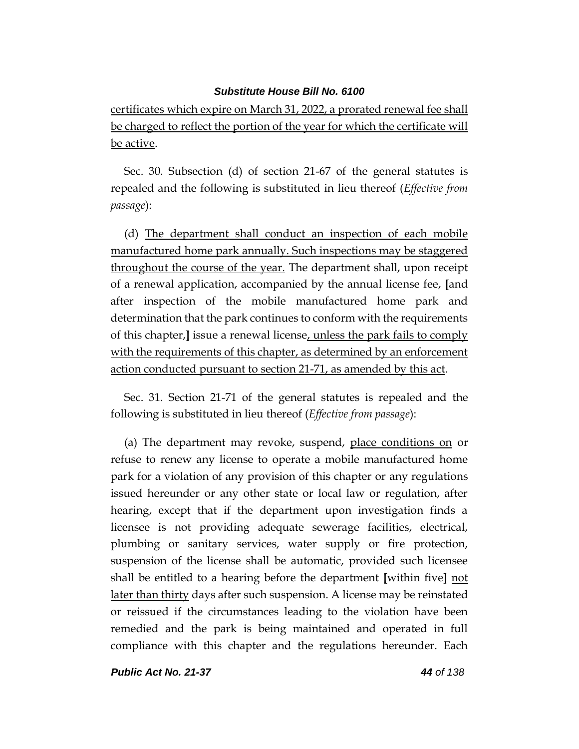certificates which expire on March 31, 2022, a prorated renewal fee shall be charged to reflect the portion of the year for which the certificate will be active.

Sec. 30. Subsection (d) of section 21-67 of the general statutes is repealed and the following is substituted in lieu thereof (*Effective from passage*):

(d) The department shall conduct an inspection of each mobile manufactured home park annually. Such inspections may be staggered throughout the course of the year. The department shall, upon receipt of a renewal application, accompanied by the annual license fee, **[**and after inspection of the mobile manufactured home park and determination that the park continues to conform with the requirements of this chapter,**]** issue a renewal license, unless the park fails to comply with the requirements of this chapter, as determined by an enforcement action conducted pursuant to section 21-71, as amended by this act.

Sec. 31. Section 21-71 of the general statutes is repealed and the following is substituted in lieu thereof (*Effective from passage*):

(a) The department may revoke, suspend, place conditions on or refuse to renew any license to operate a mobile manufactured home park for a violation of any provision of this chapter or any regulations issued hereunder or any other state or local law or regulation, after hearing, except that if the department upon investigation finds a licensee is not providing adequate sewerage facilities, electrical, plumbing or sanitary services, water supply or fire protection, suspension of the license shall be automatic, provided such licensee shall be entitled to a hearing before the department **[**within five**]** not later than thirty days after such suspension. A license may be reinstated or reissued if the circumstances leading to the violation have been remedied and the park is being maintained and operated in full compliance with this chapter and the regulations hereunder. Each

*Public Act No. 21-37 44 of 138*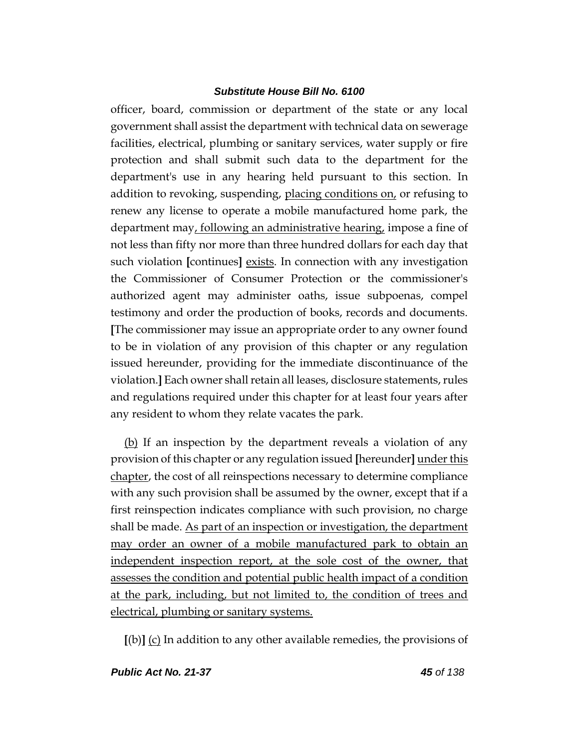officer, board, commission or department of the state or any local government shall assist the department with technical data on sewerage facilities, electrical, plumbing or sanitary services, water supply or fire protection and shall submit such data to the department for the department's use in any hearing held pursuant to this section. In addition to revoking, suspending, placing conditions on, or refusing to renew any license to operate a mobile manufactured home park, the department may, following an administrative hearing, impose a fine of not less than fifty nor more than three hundred dollars for each day that such violation **[**continues**]** exists. In connection with any investigation the Commissioner of Consumer Protection or the commissioner's authorized agent may administer oaths, issue subpoenas, compel testimony and order the production of books, records and documents. **[**The commissioner may issue an appropriate order to any owner found to be in violation of any provision of this chapter or any regulation issued hereunder, providing for the immediate discontinuance of the violation.**]** Each owner shall retain all leases, disclosure statements, rules and regulations required under this chapter for at least four years after any resident to whom they relate vacates the park.

(b) If an inspection by the department reveals a violation of any provision of this chapter or any regulation issued **[**hereunder**]** under this chapter, the cost of all reinspections necessary to determine compliance with any such provision shall be assumed by the owner, except that if a first reinspection indicates compliance with such provision, no charge shall be made. As part of an inspection or investigation, the department may order an owner of a mobile manufactured park to obtain an independent inspection report, at the sole cost of the owner, that assesses the condition and potential public health impact of a condition at the park, including, but not limited to, the condition of trees and electrical, plumbing or sanitary systems.

**[**(b)**]** (c) In addition to any other available remedies, the provisions of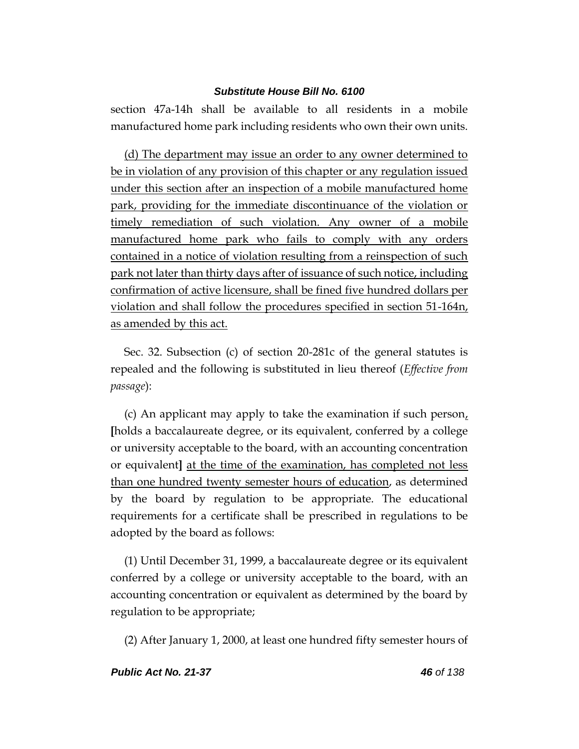section 47a-14h shall be available to all residents in a mobile manufactured home park including residents who own their own units.

(d) The department may issue an order to any owner determined to be in violation of any provision of this chapter or any regulation issued under this section after an inspection of a mobile manufactured home park, providing for the immediate discontinuance of the violation or timely remediation of such violation. Any owner of a mobile manufactured home park who fails to comply with any orders contained in a notice of violation resulting from a reinspection of such park not later than thirty days after of issuance of such notice, including confirmation of active licensure, shall be fined five hundred dollars per violation and shall follow the procedures specified in section 51-164n, as amended by this act.

Sec. 32. Subsection (c) of section 20-281c of the general statutes is repealed and the following is substituted in lieu thereof (*Effective from passage*):

(c) An applicant may apply to take the examination if such person, **[**holds a baccalaureate degree, or its equivalent, conferred by a college or university acceptable to the board, with an accounting concentration or equivalent**]** at the time of the examination, has completed not less than one hundred twenty semester hours of education, as determined by the board by regulation to be appropriate. The educational requirements for a certificate shall be prescribed in regulations to be adopted by the board as follows:

(1) Until December 31, 1999, a baccalaureate degree or its equivalent conferred by a college or university acceptable to the board, with an accounting concentration or equivalent as determined by the board by regulation to be appropriate;

(2) After January 1, 2000, at least one hundred fifty semester hours of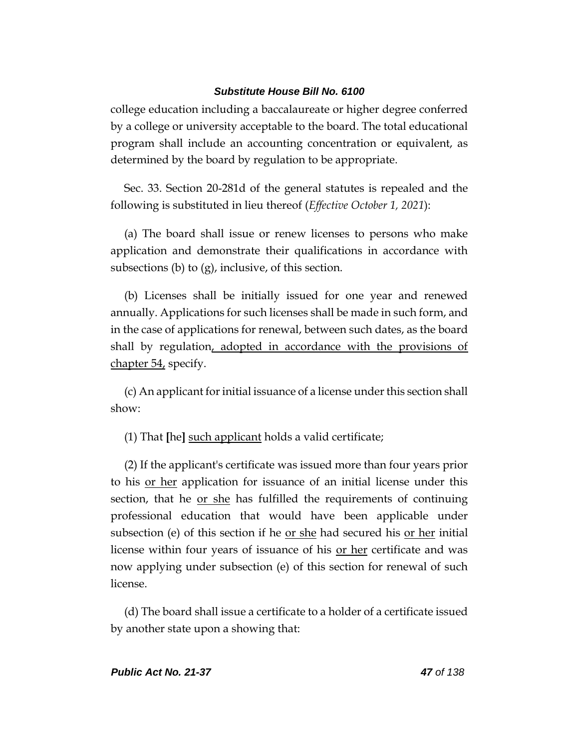college education including a baccalaureate or higher degree conferred by a college or university acceptable to the board. The total educational program shall include an accounting concentration or equivalent, as determined by the board by regulation to be appropriate.

Sec. 33. Section 20-281d of the general statutes is repealed and the following is substituted in lieu thereof (*Effective October 1, 2021*):

(a) The board shall issue or renew licenses to persons who make application and demonstrate their qualifications in accordance with subsections (b) to (g), inclusive, of this section.

(b) Licenses shall be initially issued for one year and renewed annually. Applications for such licenses shall be made in such form, and in the case of applications for renewal, between such dates, as the board shall by regulation, adopted in accordance with the provisions of chapter 54, specify.

(c) An applicant for initial issuance of a license under this section shall show:

(1) That **[**he**]** such applicant holds a valid certificate;

(2) If the applicant's certificate was issued more than four years prior to his or her application for issuance of an initial license under this section, that he or she has fulfilled the requirements of continuing professional education that would have been applicable under subsection (e) of this section if he <u>or she</u> had secured his <u>or her</u> initial license within four years of issuance of his or her certificate and was now applying under subsection (e) of this section for renewal of such license.

(d) The board shall issue a certificate to a holder of a certificate issued by another state upon a showing that: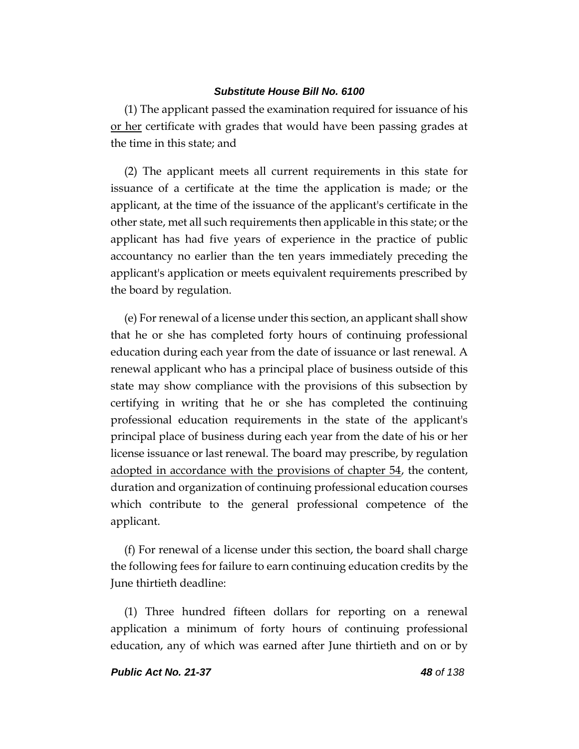(1) The applicant passed the examination required for issuance of his or her certificate with grades that would have been passing grades at the time in this state; and

(2) The applicant meets all current requirements in this state for issuance of a certificate at the time the application is made; or the applicant, at the time of the issuance of the applicant's certificate in the other state, met all such requirements then applicable in this state; or the applicant has had five years of experience in the practice of public accountancy no earlier than the ten years immediately preceding the applicant's application or meets equivalent requirements prescribed by the board by regulation.

(e) For renewal of a license under this section, an applicant shall show that he or she has completed forty hours of continuing professional education during each year from the date of issuance or last renewal. A renewal applicant who has a principal place of business outside of this state may show compliance with the provisions of this subsection by certifying in writing that he or she has completed the continuing professional education requirements in the state of the applicant's principal place of business during each year from the date of his or her license issuance or last renewal. The board may prescribe, by regulation adopted in accordance with the provisions of chapter 54, the content, duration and organization of continuing professional education courses which contribute to the general professional competence of the applicant.

(f) For renewal of a license under this section, the board shall charge the following fees for failure to earn continuing education credits by the June thirtieth deadline:

(1) Three hundred fifteen dollars for reporting on a renewal application a minimum of forty hours of continuing professional education, any of which was earned after June thirtieth and on or by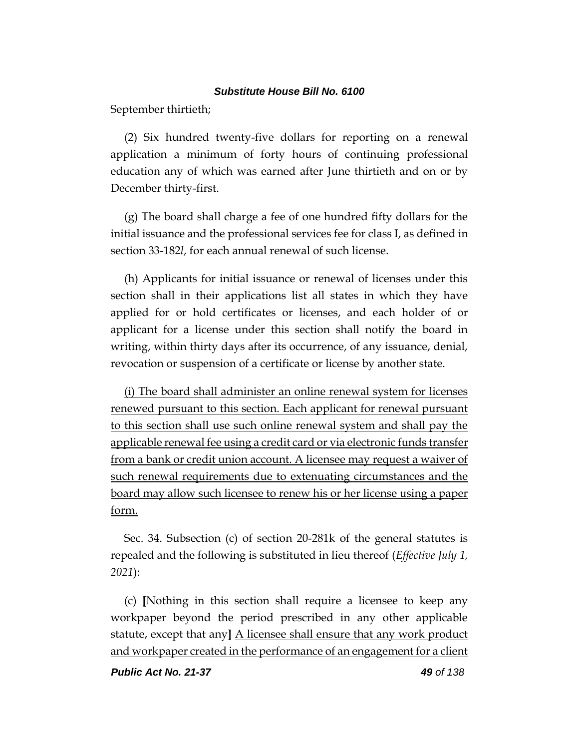September thirtieth;

(2) Six hundred twenty-five dollars for reporting on a renewal application a minimum of forty hours of continuing professional education any of which was earned after June thirtieth and on or by December thirty-first.

(g) The board shall charge a fee of one hundred fifty dollars for the initial issuance and the professional services fee for class I, as defined in section 33-182*l*, for each annual renewal of such license.

(h) Applicants for initial issuance or renewal of licenses under this section shall in their applications list all states in which they have applied for or hold certificates or licenses, and each holder of or applicant for a license under this section shall notify the board in writing, within thirty days after its occurrence, of any issuance, denial, revocation or suspension of a certificate or license by another state.

(i) The board shall administer an online renewal system for licenses renewed pursuant to this section. Each applicant for renewal pursuant to this section shall use such online renewal system and shall pay the applicable renewal fee using a credit card or via electronic funds transfer from a bank or credit union account. A licensee may request a waiver of such renewal requirements due to extenuating circumstances and the board may allow such licensee to renew his or her license using a paper form.

Sec. 34. Subsection (c) of section 20-281k of the general statutes is repealed and the following is substituted in lieu thereof (*Effective July 1, 2021*):

(c) **[**Nothing in this section shall require a licensee to keep any workpaper beyond the period prescribed in any other applicable statute, except that any**]** A licensee shall ensure that any work product and workpaper created in the performance of an engagement for a client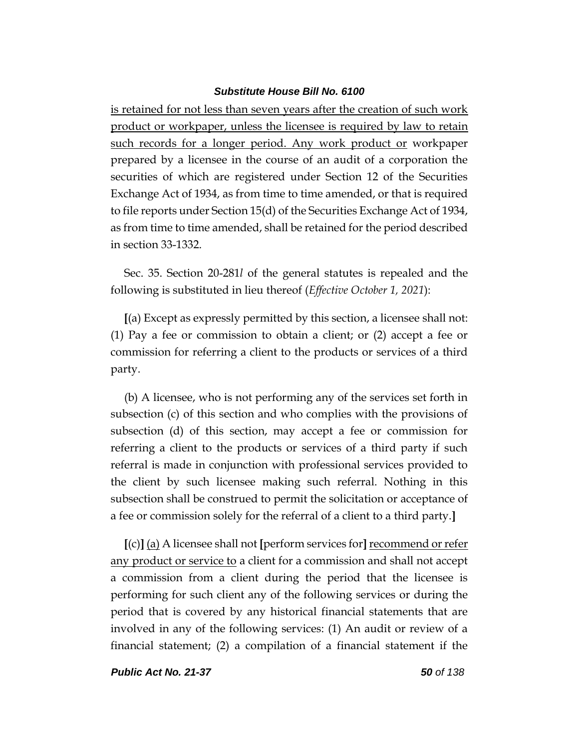is retained for not less than seven years after the creation of such work product or workpaper, unless the licensee is required by law to retain such records for a longer period. Any work product or workpaper prepared by a licensee in the course of an audit of a corporation the securities of which are registered under Section 12 of the Securities Exchange Act of 1934, as from time to time amended, or that is required to file reports under Section 15(d) of the Securities Exchange Act of 1934, as from time to time amended, shall be retained for the period described in section 33-1332.

Sec. 35. Section 20-281*l* of the general statutes is repealed and the following is substituted in lieu thereof (*Effective October 1, 2021*):

**[**(a) Except as expressly permitted by this section, a licensee shall not: (1) Pay a fee or commission to obtain a client; or (2) accept a fee or commission for referring a client to the products or services of a third party.

(b) A licensee, who is not performing any of the services set forth in subsection (c) of this section and who complies with the provisions of subsection (d) of this section, may accept a fee or commission for referring a client to the products or services of a third party if such referral is made in conjunction with professional services provided to the client by such licensee making such referral. Nothing in this subsection shall be construed to permit the solicitation or acceptance of a fee or commission solely for the referral of a client to a third party.**]**

**[**(c)**]** (a) A licensee shall not **[**perform services for**]**recommend or refer any product or service to a client for a commission and shall not accept a commission from a client during the period that the licensee is performing for such client any of the following services or during the period that is covered by any historical financial statements that are involved in any of the following services: (1) An audit or review of a financial statement; (2) a compilation of a financial statement if the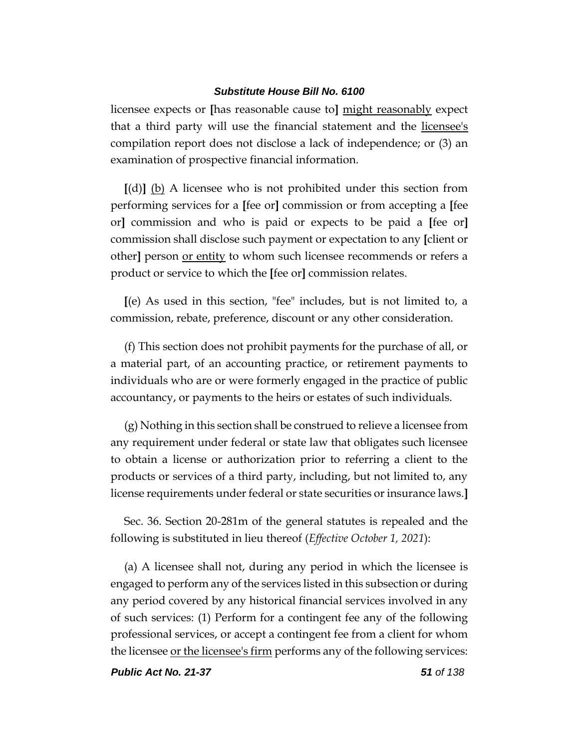licensee expects or **[**has reasonable cause to**]** might reasonably expect that a third party will use the financial statement and the licensee's compilation report does not disclose a lack of independence; or (3) an examination of prospective financial information.

**[**(d)**]** (b) A licensee who is not prohibited under this section from performing services for a **[**fee or**]** commission or from accepting a **[**fee or**]** commission and who is paid or expects to be paid a **[**fee or**]** commission shall disclose such payment or expectation to any **[**client or other] person or entity to whom such licensee recommends or refers a product or service to which the **[**fee or**]** commission relates.

**[**(e) As used in this section, "fee" includes, but is not limited to, a commission, rebate, preference, discount or any other consideration.

(f) This section does not prohibit payments for the purchase of all, or a material part, of an accounting practice, or retirement payments to individuals who are or were formerly engaged in the practice of public accountancy, or payments to the heirs or estates of such individuals.

(g) Nothing in this section shall be construed to relieve a licensee from any requirement under federal or state law that obligates such licensee to obtain a license or authorization prior to referring a client to the products or services of a third party, including, but not limited to, any license requirements under federal or state securities or insurance laws.**]**

Sec. 36. Section 20-281m of the general statutes is repealed and the following is substituted in lieu thereof (*Effective October 1, 2021*):

(a) A licensee shall not, during any period in which the licensee is engaged to perform any of the services listed in this subsection or during any period covered by any historical financial services involved in any of such services: (1) Perform for a contingent fee any of the following professional services, or accept a contingent fee from a client for whom the licensee or the licensee's firm performs any of the following services: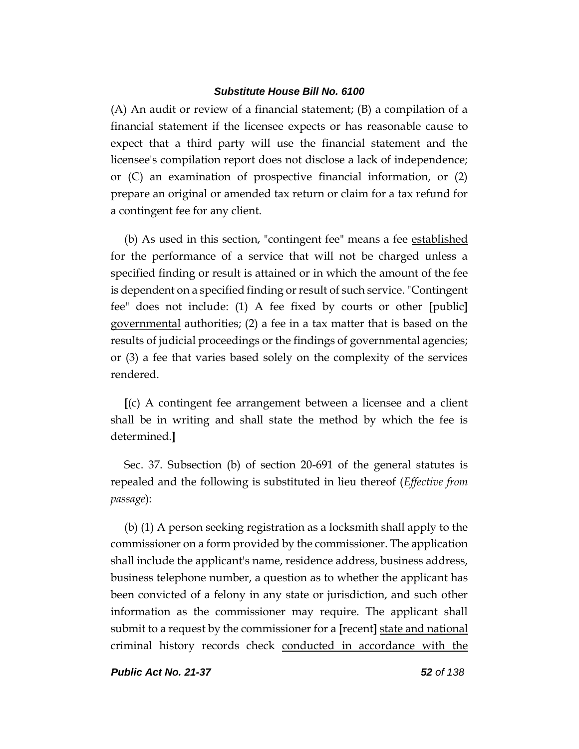(A) An audit or review of a financial statement; (B) a compilation of a financial statement if the licensee expects or has reasonable cause to expect that a third party will use the financial statement and the licensee's compilation report does not disclose a lack of independence; or (C) an examination of prospective financial information, or (2) prepare an original or amended tax return or claim for a tax refund for a contingent fee for any client.

(b) As used in this section, "contingent fee" means a fee established for the performance of a service that will not be charged unless a specified finding or result is attained or in which the amount of the fee is dependent on a specified finding or result of such service. "Contingent fee" does not include: (1) A fee fixed by courts or other **[**public**]** governmental authorities; (2) a fee in a tax matter that is based on the results of judicial proceedings or the findings of governmental agencies; or (3) a fee that varies based solely on the complexity of the services rendered.

**[**(c) A contingent fee arrangement between a licensee and a client shall be in writing and shall state the method by which the fee is determined.**]**

Sec. 37. Subsection (b) of section 20-691 of the general statutes is repealed and the following is substituted in lieu thereof (*Effective from passage*):

(b) (1) A person seeking registration as a locksmith shall apply to the commissioner on a form provided by the commissioner. The application shall include the applicant's name, residence address, business address, business telephone number, a question as to whether the applicant has been convicted of a felony in any state or jurisdiction, and such other information as the commissioner may require. The applicant shall submit to a request by the commissioner for a **[**recent**]** state and national criminal history records check conducted in accordance with the

*Public Act No. 21-37 52 of 138*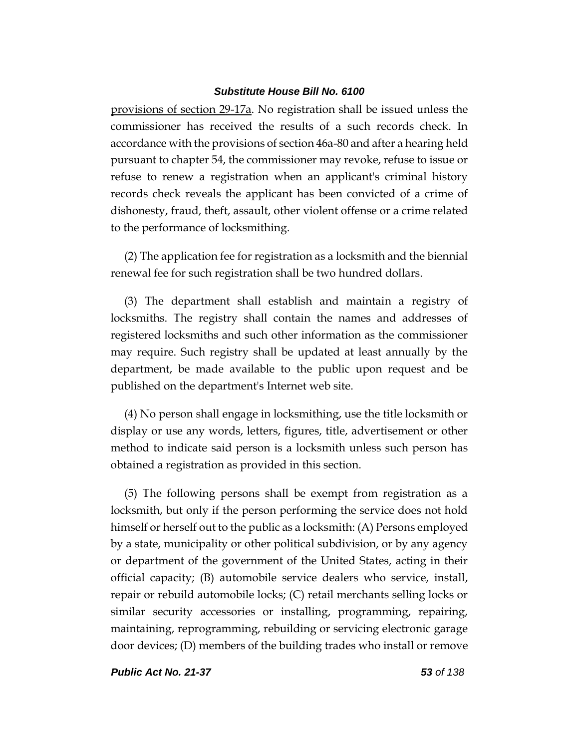provisions of section 29-17a. No registration shall be issued unless the commissioner has received the results of a such records check. In accordance with the provisions of section 46a-80 and after a hearing held pursuant to chapter 54, the commissioner may revoke, refuse to issue or refuse to renew a registration when an applicant's criminal history records check reveals the applicant has been convicted of a crime of dishonesty, fraud, theft, assault, other violent offense or a crime related to the performance of locksmithing.

(2) The application fee for registration as a locksmith and the biennial renewal fee for such registration shall be two hundred dollars.

(3) The department shall establish and maintain a registry of locksmiths. The registry shall contain the names and addresses of registered locksmiths and such other information as the commissioner may require. Such registry shall be updated at least annually by the department, be made available to the public upon request and be published on the department's Internet web site.

(4) No person shall engage in locksmithing, use the title locksmith or display or use any words, letters, figures, title, advertisement or other method to indicate said person is a locksmith unless such person has obtained a registration as provided in this section.

(5) The following persons shall be exempt from registration as a locksmith, but only if the person performing the service does not hold himself or herself out to the public as a locksmith: (A) Persons employed by a state, municipality or other political subdivision, or by any agency or department of the government of the United States, acting in their official capacity; (B) automobile service dealers who service, install, repair or rebuild automobile locks; (C) retail merchants selling locks or similar security accessories or installing, programming, repairing, maintaining, reprogramming, rebuilding or servicing electronic garage door devices; (D) members of the building trades who install or remove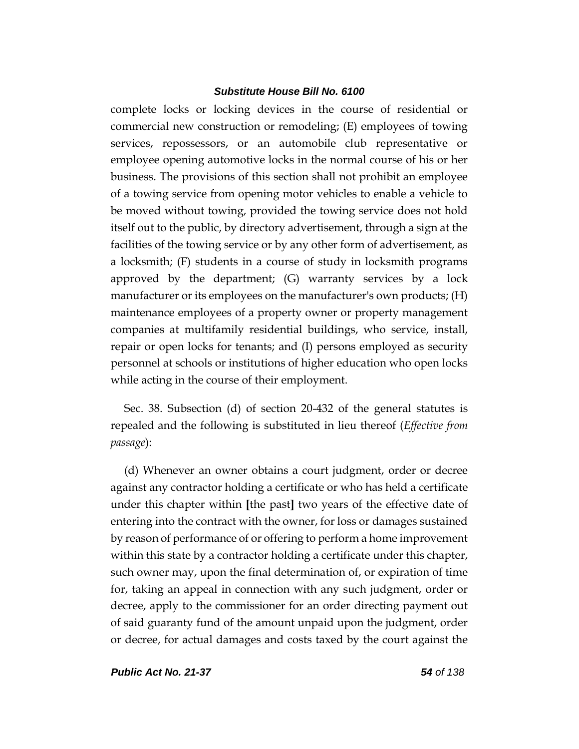complete locks or locking devices in the course of residential or commercial new construction or remodeling; (E) employees of towing services, repossessors, or an automobile club representative or employee opening automotive locks in the normal course of his or her business. The provisions of this section shall not prohibit an employee of a towing service from opening motor vehicles to enable a vehicle to be moved without towing, provided the towing service does not hold itself out to the public, by directory advertisement, through a sign at the facilities of the towing service or by any other form of advertisement, as a locksmith; (F) students in a course of study in locksmith programs approved by the department; (G) warranty services by a lock manufacturer or its employees on the manufacturer's own products; (H) maintenance employees of a property owner or property management companies at multifamily residential buildings, who service, install, repair or open locks for tenants; and (I) persons employed as security personnel at schools or institutions of higher education who open locks while acting in the course of their employment.

Sec. 38. Subsection (d) of section 20-432 of the general statutes is repealed and the following is substituted in lieu thereof (*Effective from passage*):

(d) Whenever an owner obtains a court judgment, order or decree against any contractor holding a certificate or who has held a certificate under this chapter within **[**the past**]** two years of the effective date of entering into the contract with the owner, for loss or damages sustained by reason of performance of or offering to perform a home improvement within this state by a contractor holding a certificate under this chapter, such owner may, upon the final determination of, or expiration of time for, taking an appeal in connection with any such judgment, order or decree, apply to the commissioner for an order directing payment out of said guaranty fund of the amount unpaid upon the judgment, order or decree, for actual damages and costs taxed by the court against the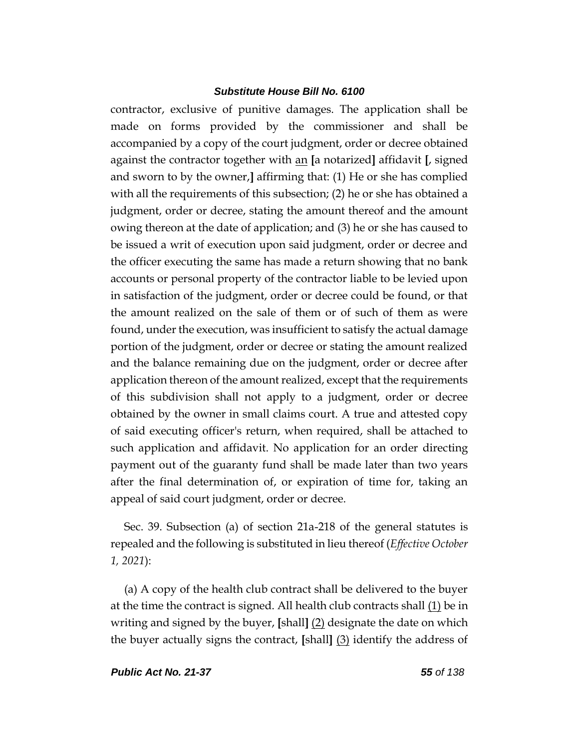contractor, exclusive of punitive damages. The application shall be made on forms provided by the commissioner and shall be accompanied by a copy of the court judgment, order or decree obtained against the contractor together with an **[**a notarized**]** affidavit **[**, signed and sworn to by the owner,**]** affirming that: (1) He or she has complied with all the requirements of this subsection; (2) he or she has obtained a judgment, order or decree, stating the amount thereof and the amount owing thereon at the date of application; and (3) he or she has caused to be issued a writ of execution upon said judgment, order or decree and the officer executing the same has made a return showing that no bank accounts or personal property of the contractor liable to be levied upon in satisfaction of the judgment, order or decree could be found, or that the amount realized on the sale of them or of such of them as were found, under the execution, was insufficient to satisfy the actual damage portion of the judgment, order or decree or stating the amount realized and the balance remaining due on the judgment, order or decree after application thereon of the amount realized, except that the requirements of this subdivision shall not apply to a judgment, order or decree obtained by the owner in small claims court. A true and attested copy of said executing officer's return, when required, shall be attached to such application and affidavit. No application for an order directing payment out of the guaranty fund shall be made later than two years after the final determination of, or expiration of time for, taking an appeal of said court judgment, order or decree.

Sec. 39. Subsection (a) of section 21a-218 of the general statutes is repealed and the following is substituted in lieu thereof (*Effective October 1, 2021*):

(a) A copy of the health club contract shall be delivered to the buyer at the time the contract is signed. All health club contracts shall (1) be in writing and signed by the buyer, **[**shall**]** (2) designate the date on which the buyer actually signs the contract, **[**shall**]** (3) identify the address of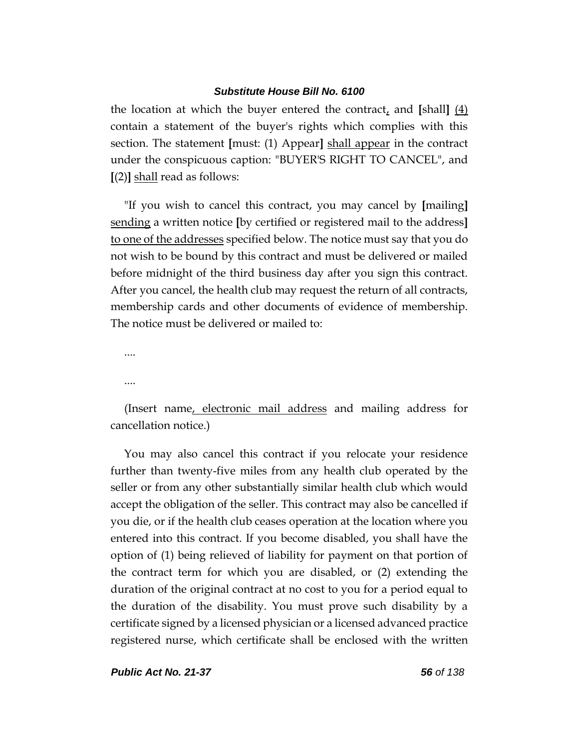the location at which the buyer entered the contract, and **[**shall**]** (4) contain a statement of the buyer's rights which complies with this section. The statement **[**must: (1) Appear**]** shall appear in the contract under the conspicuous caption: "BUYER'S RIGHT TO CANCEL", and **[**(2)**]** shall read as follows:

"If you wish to cancel this contract, you may cancel by **[**mailing**]** sending a written notice **[**by certified or registered mail to the address**]** to one of the addresses specified below. The notice must say that you do not wish to be bound by this contract and must be delivered or mailed before midnight of the third business day after you sign this contract. After you cancel, the health club may request the return of all contracts, membership cards and other documents of evidence of membership. The notice must be delivered or mailed to:

....

....

(Insert name, electronic mail address and mailing address for cancellation notice.)

You may also cancel this contract if you relocate your residence further than twenty-five miles from any health club operated by the seller or from any other substantially similar health club which would accept the obligation of the seller. This contract may also be cancelled if you die, or if the health club ceases operation at the location where you entered into this contract. If you become disabled, you shall have the option of (1) being relieved of liability for payment on that portion of the contract term for which you are disabled, or (2) extending the duration of the original contract at no cost to you for a period equal to the duration of the disability. You must prove such disability by a certificate signed by a licensed physician or a licensed advanced practice registered nurse, which certificate shall be enclosed with the written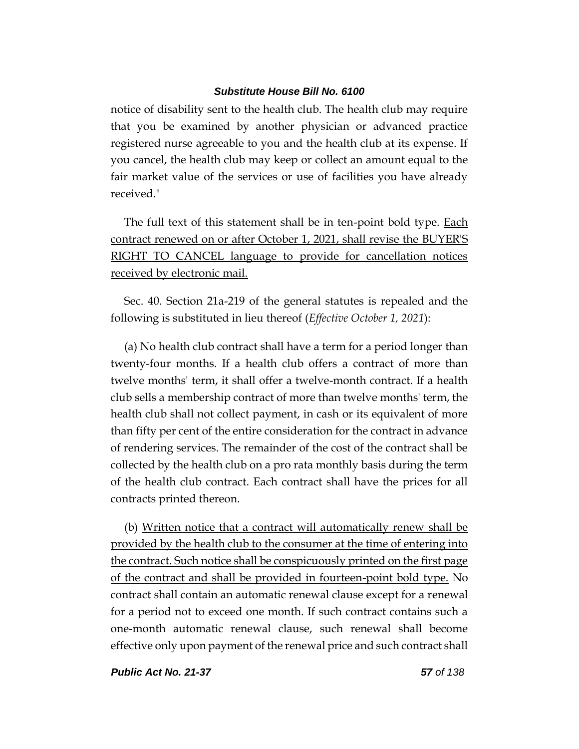notice of disability sent to the health club. The health club may require that you be examined by another physician or advanced practice registered nurse agreeable to you and the health club at its expense. If you cancel, the health club may keep or collect an amount equal to the fair market value of the services or use of facilities you have already received."

The full text of this statement shall be in ten-point bold type. Each contract renewed on or after October 1, 2021, shall revise the BUYER'S RIGHT TO CANCEL language to provide for cancellation notices received by electronic mail.

Sec. 40. Section 21a-219 of the general statutes is repealed and the following is substituted in lieu thereof (*Effective October 1, 2021*):

(a) No health club contract shall have a term for a period longer than twenty-four months. If a health club offers a contract of more than twelve months' term, it shall offer a twelve-month contract. If a health club sells a membership contract of more than twelve months' term, the health club shall not collect payment, in cash or its equivalent of more than fifty per cent of the entire consideration for the contract in advance of rendering services. The remainder of the cost of the contract shall be collected by the health club on a pro rata monthly basis during the term of the health club contract. Each contract shall have the prices for all contracts printed thereon.

(b) Written notice that a contract will automatically renew shall be provided by the health club to the consumer at the time of entering into the contract. Such notice shall be conspicuously printed on the first page of the contract and shall be provided in fourteen-point bold type. No contract shall contain an automatic renewal clause except for a renewal for a period not to exceed one month. If such contract contains such a one-month automatic renewal clause, such renewal shall become effective only upon payment of the renewal price and such contract shall

*Public Act No. 21-37 57 of 138*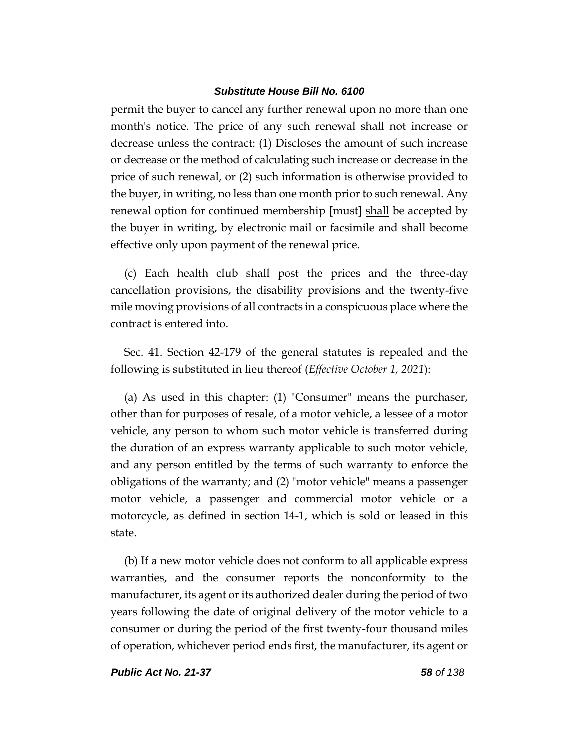permit the buyer to cancel any further renewal upon no more than one month's notice. The price of any such renewal shall not increase or decrease unless the contract: (1) Discloses the amount of such increase or decrease or the method of calculating such increase or decrease in the price of such renewal, or (2) such information is otherwise provided to the buyer, in writing, no less than one month prior to such renewal. Any renewal option for continued membership **[**must**]** shall be accepted by the buyer in writing, by electronic mail or facsimile and shall become effective only upon payment of the renewal price.

(c) Each health club shall post the prices and the three-day cancellation provisions, the disability provisions and the twenty-five mile moving provisions of all contracts in a conspicuous place where the contract is entered into.

Sec. 41. Section 42-179 of the general statutes is repealed and the following is substituted in lieu thereof (*Effective October 1, 2021*):

(a) As used in this chapter: (1) "Consumer" means the purchaser, other than for purposes of resale, of a motor vehicle, a lessee of a motor vehicle, any person to whom such motor vehicle is transferred during the duration of an express warranty applicable to such motor vehicle, and any person entitled by the terms of such warranty to enforce the obligations of the warranty; and (2) "motor vehicle" means a passenger motor vehicle, a passenger and commercial motor vehicle or a motorcycle, as defined in section 14-1, which is sold or leased in this state.

(b) If a new motor vehicle does not conform to all applicable express warranties, and the consumer reports the nonconformity to the manufacturer, its agent or its authorized dealer during the period of two years following the date of original delivery of the motor vehicle to a consumer or during the period of the first twenty-four thousand miles of operation, whichever period ends first, the manufacturer, its agent or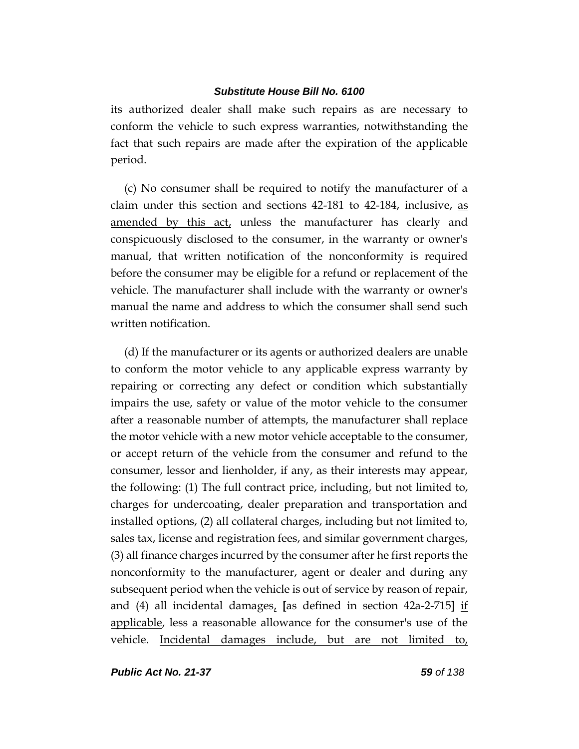its authorized dealer shall make such repairs as are necessary to conform the vehicle to such express warranties, notwithstanding the fact that such repairs are made after the expiration of the applicable period.

(c) No consumer shall be required to notify the manufacturer of a claim under this section and sections 42-181 to 42-184, inclusive, as amended by this act, unless the manufacturer has clearly and conspicuously disclosed to the consumer, in the warranty or owner's manual, that written notification of the nonconformity is required before the consumer may be eligible for a refund or replacement of the vehicle. The manufacturer shall include with the warranty or owner's manual the name and address to which the consumer shall send such written notification.

(d) If the manufacturer or its agents or authorized dealers are unable to conform the motor vehicle to any applicable express warranty by repairing or correcting any defect or condition which substantially impairs the use, safety or value of the motor vehicle to the consumer after a reasonable number of attempts, the manufacturer shall replace the motor vehicle with a new motor vehicle acceptable to the consumer, or accept return of the vehicle from the consumer and refund to the consumer, lessor and lienholder, if any, as their interests may appear, the following: (1) The full contract price, including, but not limited to, charges for undercoating, dealer preparation and transportation and installed options, (2) all collateral charges, including but not limited to, sales tax, license and registration fees, and similar government charges, (3) all finance charges incurred by the consumer after he first reports the nonconformity to the manufacturer, agent or dealer and during any subsequent period when the vehicle is out of service by reason of repair, and (4) all incidental damages, **[**as defined in section 42a-2-715**]** if applicable, less a reasonable allowance for the consumer's use of the vehicle. Incidental damages include, but are not limited to,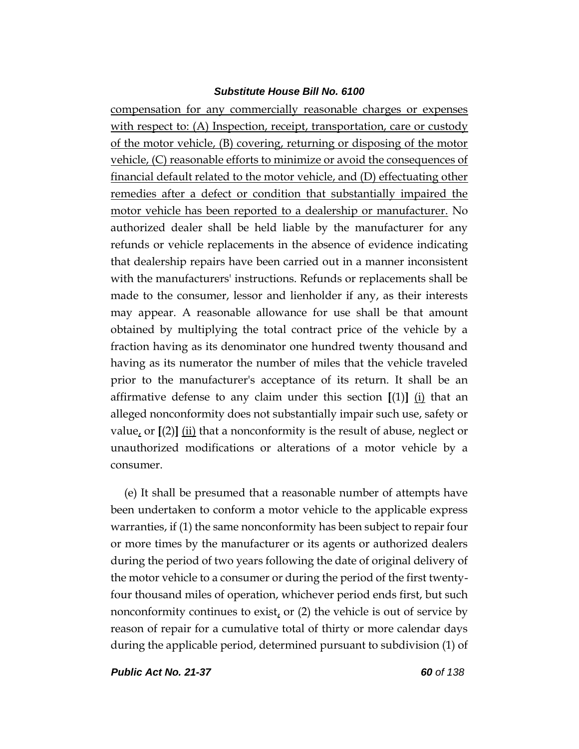compensation for any commercially reasonable charges or expenses with respect to: (A) Inspection, receipt, transportation, care or custody of the motor vehicle, (B) covering, returning or disposing of the motor vehicle, (C) reasonable efforts to minimize or avoid the consequences of financial default related to the motor vehicle, and (D) effectuating other remedies after a defect or condition that substantially impaired the motor vehicle has been reported to a dealership or manufacturer. No authorized dealer shall be held liable by the manufacturer for any refunds or vehicle replacements in the absence of evidence indicating that dealership repairs have been carried out in a manner inconsistent with the manufacturers' instructions. Refunds or replacements shall be made to the consumer, lessor and lienholder if any, as their interests may appear. A reasonable allowance for use shall be that amount obtained by multiplying the total contract price of the vehicle by a fraction having as its denominator one hundred twenty thousand and having as its numerator the number of miles that the vehicle traveled prior to the manufacturer's acceptance of its return. It shall be an affirmative defense to any claim under this section  $[(1)]$   $(i)$  that an alleged nonconformity does not substantially impair such use, safety or value, or **[**(2)**]** (ii) that a nonconformity is the result of abuse, neglect or unauthorized modifications or alterations of a motor vehicle by a consumer.

(e) It shall be presumed that a reasonable number of attempts have been undertaken to conform a motor vehicle to the applicable express warranties, if (1) the same nonconformity has been subject to repair four or more times by the manufacturer or its agents or authorized dealers during the period of two years following the date of original delivery of the motor vehicle to a consumer or during the period of the first twentyfour thousand miles of operation, whichever period ends first, but such nonconformity continues to exist, or  $(2)$  the vehicle is out of service by reason of repair for a cumulative total of thirty or more calendar days during the applicable period, determined pursuant to subdivision (1) of

*Public Act No. 21-37 60 of 138*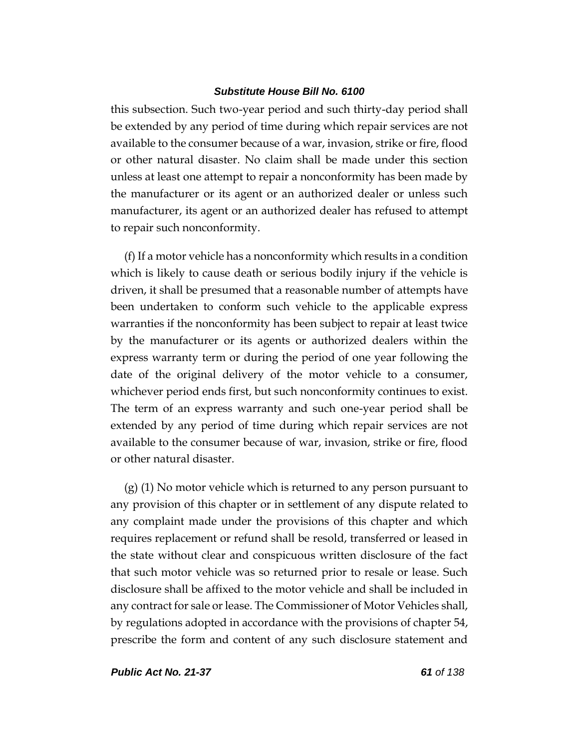this subsection. Such two-year period and such thirty-day period shall be extended by any period of time during which repair services are not available to the consumer because of a war, invasion, strike or fire, flood or other natural disaster. No claim shall be made under this section unless at least one attempt to repair a nonconformity has been made by the manufacturer or its agent or an authorized dealer or unless such manufacturer, its agent or an authorized dealer has refused to attempt to repair such nonconformity.

(f) If a motor vehicle has a nonconformity which results in a condition which is likely to cause death or serious bodily injury if the vehicle is driven, it shall be presumed that a reasonable number of attempts have been undertaken to conform such vehicle to the applicable express warranties if the nonconformity has been subject to repair at least twice by the manufacturer or its agents or authorized dealers within the express warranty term or during the period of one year following the date of the original delivery of the motor vehicle to a consumer, whichever period ends first, but such nonconformity continues to exist. The term of an express warranty and such one-year period shall be extended by any period of time during which repair services are not available to the consumer because of war, invasion, strike or fire, flood or other natural disaster.

(g) (1) No motor vehicle which is returned to any person pursuant to any provision of this chapter or in settlement of any dispute related to any complaint made under the provisions of this chapter and which requires replacement or refund shall be resold, transferred or leased in the state without clear and conspicuous written disclosure of the fact that such motor vehicle was so returned prior to resale or lease. Such disclosure shall be affixed to the motor vehicle and shall be included in any contract for sale or lease. The Commissioner of Motor Vehicles shall, by regulations adopted in accordance with the provisions of chapter 54, prescribe the form and content of any such disclosure statement and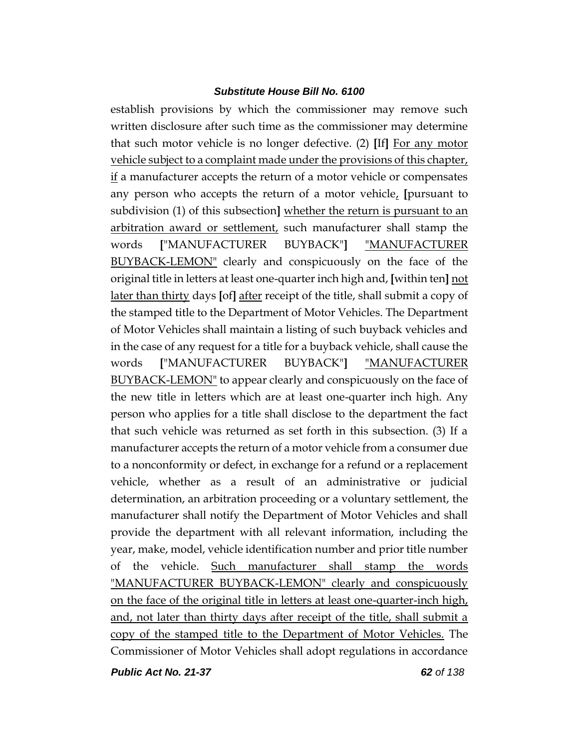establish provisions by which the commissioner may remove such written disclosure after such time as the commissioner may determine that such motor vehicle is no longer defective. (2) **[**If**]** For any motor vehicle subject to a complaint made under the provisions of this chapter, if a manufacturer accepts the return of a motor vehicle or compensates any person who accepts the return of a motor vehicle, **[**pursuant to subdivision (1) of this subsection**]** whether the return is pursuant to an arbitration award or settlement, such manufacturer shall stamp the words **[**"MANUFACTURER BUYBACK"**]** "MANUFACTURER BUYBACK-LEMON" clearly and conspicuously on the face of the original title in letters at least one-quarter inch high and, **[**within ten**]** not later than thirty days **[**of**]** after receipt of the title, shall submit a copy of the stamped title to the Department of Motor Vehicles. The Department of Motor Vehicles shall maintain a listing of such buyback vehicles and in the case of any request for a title for a buyback vehicle, shall cause the words **[**"MANUFACTURER BUYBACK"**]** "MANUFACTURER BUYBACK-LEMON" to appear clearly and conspicuously on the face of the new title in letters which are at least one-quarter inch high. Any person who applies for a title shall disclose to the department the fact that such vehicle was returned as set forth in this subsection. (3) If a manufacturer accepts the return of a motor vehicle from a consumer due to a nonconformity or defect, in exchange for a refund or a replacement vehicle, whether as a result of an administrative or judicial determination, an arbitration proceeding or a voluntary settlement, the manufacturer shall notify the Department of Motor Vehicles and shall provide the department with all relevant information, including the year, make, model, vehicle identification number and prior title number of the vehicle. Such manufacturer shall stamp the words "MANUFACTURER BUYBACK-LEMON" clearly and conspicuously on the face of the original title in letters at least one-quarter-inch high, and, not later than thirty days after receipt of the title, shall submit a copy of the stamped title to the Department of Motor Vehicles. The Commissioner of Motor Vehicles shall adopt regulations in accordance

*Public Act No. 21-37 62 of 138*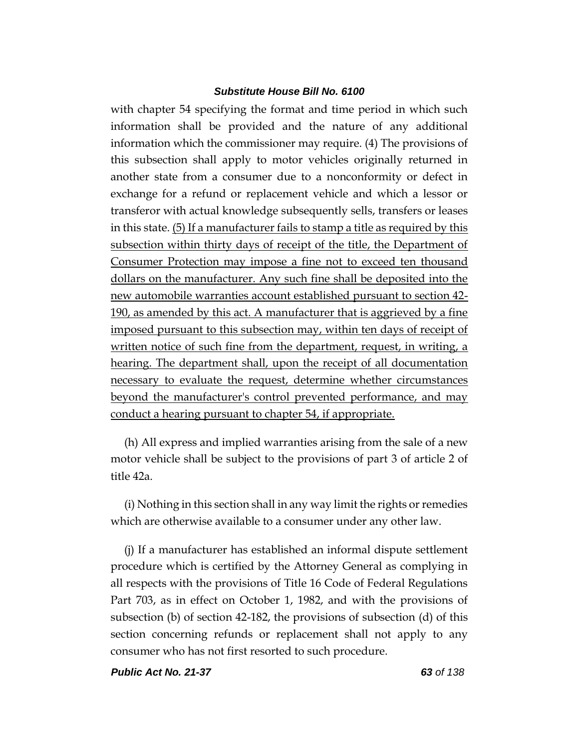with chapter 54 specifying the format and time period in which such information shall be provided and the nature of any additional information which the commissioner may require. (4) The provisions of this subsection shall apply to motor vehicles originally returned in another state from a consumer due to a nonconformity or defect in exchange for a refund or replacement vehicle and which a lessor or transferor with actual knowledge subsequently sells, transfers or leases in this state. (5) If a manufacturer fails to stamp a title as required by this subsection within thirty days of receipt of the title, the Department of Consumer Protection may impose a fine not to exceed ten thousand dollars on the manufacturer. Any such fine shall be deposited into the new automobile warranties account established pursuant to section 42- 190, as amended by this act. A manufacturer that is aggrieved by a fine imposed pursuant to this subsection may, within ten days of receipt of written notice of such fine from the department, request, in writing, a hearing. The department shall, upon the receipt of all documentation necessary to evaluate the request, determine whether circumstances beyond the manufacturer's control prevented performance, and may conduct a hearing pursuant to chapter 54, if appropriate.

(h) All express and implied warranties arising from the sale of a new motor vehicle shall be subject to the provisions of part 3 of article 2 of title 42a.

(i) Nothing in this section shall in any way limit the rights or remedies which are otherwise available to a consumer under any other law.

(j) If a manufacturer has established an informal dispute settlement procedure which is certified by the Attorney General as complying in all respects with the provisions of Title 16 Code of Federal Regulations Part 703, as in effect on October 1, 1982, and with the provisions of subsection (b) of section 42-182, the provisions of subsection (d) of this section concerning refunds or replacement shall not apply to any consumer who has not first resorted to such procedure.

*Public Act No. 21-37 63 of 138*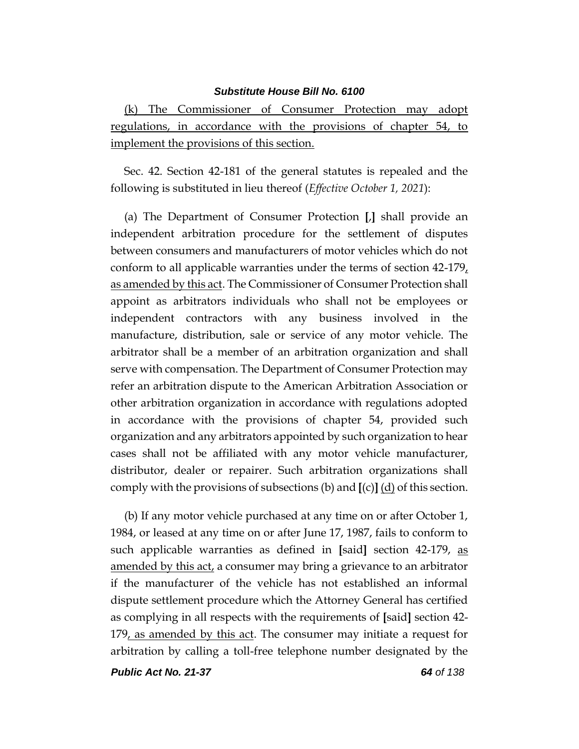(k) The Commissioner of Consumer Protection may adopt regulations, in accordance with the provisions of chapter 54, to implement the provisions of this section.

Sec. 42. Section 42-181 of the general statutes is repealed and the following is substituted in lieu thereof (*Effective October 1, 2021*):

(a) The Department of Consumer Protection **[**,**]** shall provide an independent arbitration procedure for the settlement of disputes between consumers and manufacturers of motor vehicles which do not conform to all applicable warranties under the terms of section 42-179, as amended by this act. The Commissioner of Consumer Protection shall appoint as arbitrators individuals who shall not be employees or independent contractors with any business involved in the manufacture, distribution, sale or service of any motor vehicle. The arbitrator shall be a member of an arbitration organization and shall serve with compensation. The Department of Consumer Protection may refer an arbitration dispute to the American Arbitration Association or other arbitration organization in accordance with regulations adopted in accordance with the provisions of chapter 54, provided such organization and any arbitrators appointed by such organization to hear cases shall not be affiliated with any motor vehicle manufacturer, distributor, dealer or repairer. Such arbitration organizations shall comply with the provisions of subsections (b) and **[**(c)**]** (d) of this section.

(b) If any motor vehicle purchased at any time on or after October 1, 1984, or leased at any time on or after June 17, 1987, fails to conform to such applicable warranties as defined in **[**said**]** section 42-179, as amended by this act, a consumer may bring a grievance to an arbitrator if the manufacturer of the vehicle has not established an informal dispute settlement procedure which the Attorney General has certified as complying in all respects with the requirements of **[**said**]** section 42- 179, as amended by this act. The consumer may initiate a request for arbitration by calling a toll-free telephone number designated by the

*Public Act No. 21-37 64 of 138*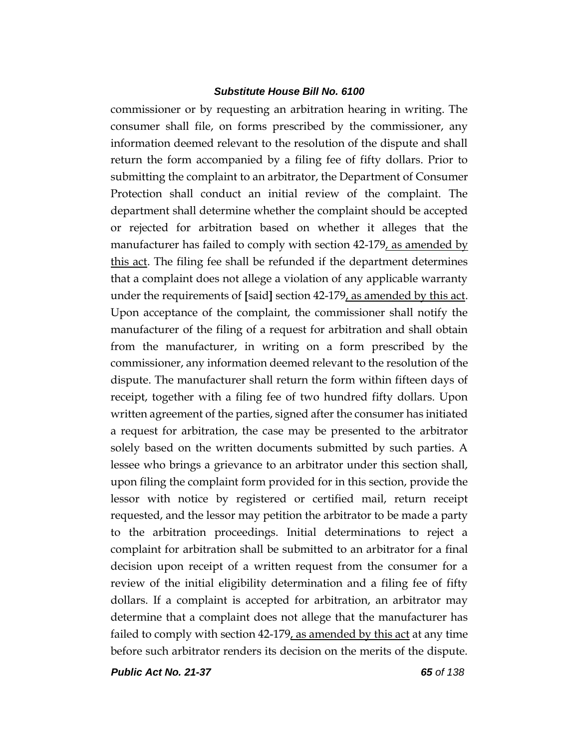commissioner or by requesting an arbitration hearing in writing. The consumer shall file, on forms prescribed by the commissioner, any information deemed relevant to the resolution of the dispute and shall return the form accompanied by a filing fee of fifty dollars. Prior to submitting the complaint to an arbitrator, the Department of Consumer Protection shall conduct an initial review of the complaint. The department shall determine whether the complaint should be accepted or rejected for arbitration based on whether it alleges that the manufacturer has failed to comply with section 42-179, as amended by this act. The filing fee shall be refunded if the department determines that a complaint does not allege a violation of any applicable warranty under the requirements of **[**said**]** section 42-179, as amended by this act. Upon acceptance of the complaint, the commissioner shall notify the manufacturer of the filing of a request for arbitration and shall obtain from the manufacturer, in writing on a form prescribed by the commissioner, any information deemed relevant to the resolution of the dispute. The manufacturer shall return the form within fifteen days of receipt, together with a filing fee of two hundred fifty dollars. Upon written agreement of the parties, signed after the consumer has initiated a request for arbitration, the case may be presented to the arbitrator solely based on the written documents submitted by such parties. A lessee who brings a grievance to an arbitrator under this section shall, upon filing the complaint form provided for in this section, provide the lessor with notice by registered or certified mail, return receipt requested, and the lessor may petition the arbitrator to be made a party to the arbitration proceedings. Initial determinations to reject a complaint for arbitration shall be submitted to an arbitrator for a final decision upon receipt of a written request from the consumer for a review of the initial eligibility determination and a filing fee of fifty dollars. If a complaint is accepted for arbitration, an arbitrator may determine that a complaint does not allege that the manufacturer has failed to comply with section 42-179, as amended by this act at any time before such arbitrator renders its decision on the merits of the dispute.

*Public Act No. 21-37 65 of 138*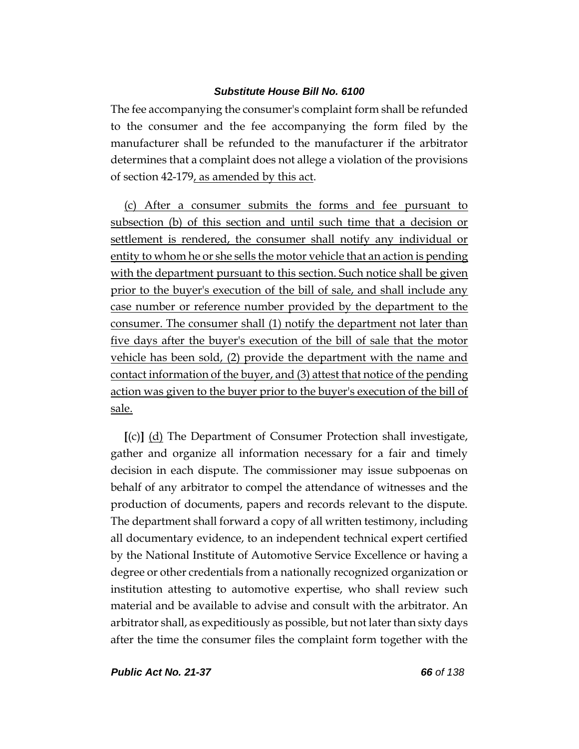The fee accompanying the consumer's complaint form shall be refunded to the consumer and the fee accompanying the form filed by the manufacturer shall be refunded to the manufacturer if the arbitrator determines that a complaint does not allege a violation of the provisions of section 42-179, as amended by this act.

(c) After a consumer submits the forms and fee pursuant to subsection (b) of this section and until such time that a decision or settlement is rendered, the consumer shall notify any individual or entity to whom he or she sells the motor vehicle that an action is pending with the department pursuant to this section. Such notice shall be given prior to the buyer's execution of the bill of sale, and shall include any case number or reference number provided by the department to the consumer. The consumer shall (1) notify the department not later than five days after the buyer's execution of the bill of sale that the motor vehicle has been sold, (2) provide the department with the name and contact information of the buyer, and (3) attest that notice of the pending action was given to the buyer prior to the buyer's execution of the bill of sale.

**[**(c)**]** (d) The Department of Consumer Protection shall investigate, gather and organize all information necessary for a fair and timely decision in each dispute. The commissioner may issue subpoenas on behalf of any arbitrator to compel the attendance of witnesses and the production of documents, papers and records relevant to the dispute. The department shall forward a copy of all written testimony, including all documentary evidence, to an independent technical expert certified by the National Institute of Automotive Service Excellence or having a degree or other credentials from a nationally recognized organization or institution attesting to automotive expertise, who shall review such material and be available to advise and consult with the arbitrator. An arbitrator shall, as expeditiously as possible, but not later than sixty days after the time the consumer files the complaint form together with the

*Public Act No. 21-37 66 of 138*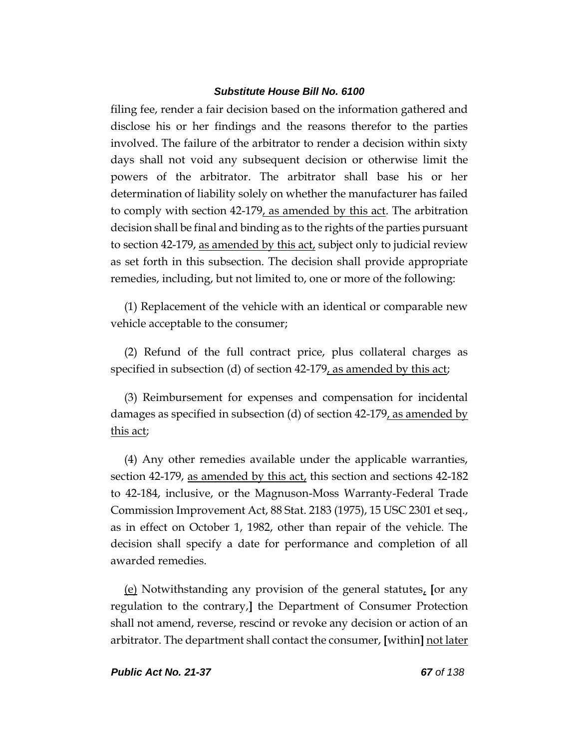filing fee, render a fair decision based on the information gathered and disclose his or her findings and the reasons therefor to the parties involved. The failure of the arbitrator to render a decision within sixty days shall not void any subsequent decision or otherwise limit the powers of the arbitrator. The arbitrator shall base his or her determination of liability solely on whether the manufacturer has failed to comply with section 42-179, as amended by this act. The arbitration decision shall be final and binding as to the rights of the parties pursuant to section 42-179, as amended by this act, subject only to judicial review as set forth in this subsection. The decision shall provide appropriate remedies, including, but not limited to, one or more of the following:

(1) Replacement of the vehicle with an identical or comparable new vehicle acceptable to the consumer;

(2) Refund of the full contract price, plus collateral charges as specified in subsection (d) of section 42-179, as amended by this act;

(3) Reimbursement for expenses and compensation for incidental damages as specified in subsection (d) of section 42-179, as amended by this act;

(4) Any other remedies available under the applicable warranties, section 42-179, as amended by this act, this section and sections  $42$ -182 to 42-184, inclusive, or the Magnuson-Moss Warranty-Federal Trade Commission Improvement Act, 88 Stat. 2183 (1975), 15 USC 2301 et seq., as in effect on October 1, 1982, other than repair of the vehicle. The decision shall specify a date for performance and completion of all awarded remedies.

(e) Notwithstanding any provision of the general statutes, **[**or any regulation to the contrary,**]** the Department of Consumer Protection shall not amend, reverse, rescind or revoke any decision or action of an arbitrator. The department shall contact the consumer, **[**within**]** not later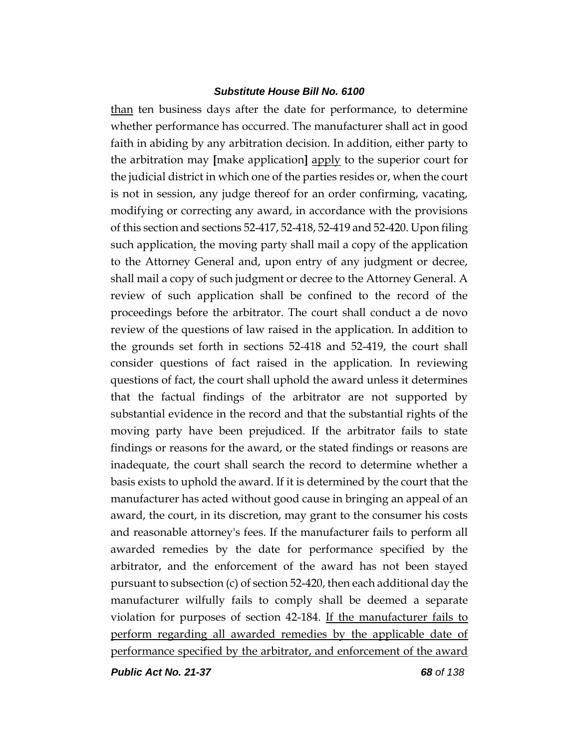than ten business days after the date for performance, to determine whether performance has occurred. The manufacturer shall act in good faith in abiding by any arbitration decision. In addition, either party to the arbitration may **[**make application**]** apply to the superior court for the judicial district in which one of the parties resides or, when the court is not in session, any judge thereof for an order confirming, vacating, modifying or correcting any award, in accordance with the provisions of this section and sections 52-417, 52-418, 52-419 and 52-420. Upon filing such application, the moving party shall mail a copy of the application to the Attorney General and, upon entry of any judgment or decree, shall mail a copy of such judgment or decree to the Attorney General. A review of such application shall be confined to the record of the proceedings before the arbitrator. The court shall conduct a de novo review of the questions of law raised in the application. In addition to the grounds set forth in sections 52-418 and 52-419, the court shall consider questions of fact raised in the application. In reviewing questions of fact, the court shall uphold the award unless it determines that the factual findings of the arbitrator are not supported by substantial evidence in the record and that the substantial rights of the moving party have been prejudiced. If the arbitrator fails to state findings or reasons for the award, or the stated findings or reasons are inadequate, the court shall search the record to determine whether a basis exists to uphold the award. If it is determined by the court that the manufacturer has acted without good cause in bringing an appeal of an award, the court, in its discretion, may grant to the consumer his costs and reasonable attorney's fees. If the manufacturer fails to perform all awarded remedies by the date for performance specified by the arbitrator, and the enforcement of the award has not been stayed pursuant to subsection (c) of section 52-420, then each additional day the manufacturer wilfully fails to comply shall be deemed a separate violation for purposes of section 42-184. If the manufacturer fails to perform regarding all awarded remedies by the applicable date of performance specified by the arbitrator, and enforcement of the award

*Public Act No. 21-37 68 of 138*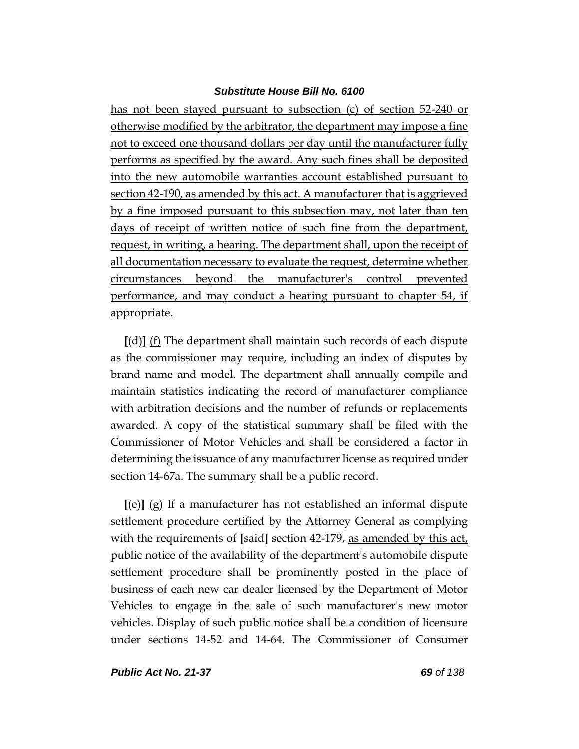has not been stayed pursuant to subsection (c) of section 52-240 or otherwise modified by the arbitrator, the department may impose a fine not to exceed one thousand dollars per day until the manufacturer fully performs as specified by the award. Any such fines shall be deposited into the new automobile warranties account established pursuant to section 42-190, as amended by this act. A manufacturer that is aggrieved by a fine imposed pursuant to this subsection may, not later than ten days of receipt of written notice of such fine from the department, request, in writing, a hearing. The department shall, upon the receipt of all documentation necessary to evaluate the request, determine whether circumstances beyond the manufacturer's control prevented performance, and may conduct a hearing pursuant to chapter 54, if appropriate.

**[**(d)**]** (f) The department shall maintain such records of each dispute as the commissioner may require, including an index of disputes by brand name and model. The department shall annually compile and maintain statistics indicating the record of manufacturer compliance with arbitration decisions and the number of refunds or replacements awarded. A copy of the statistical summary shall be filed with the Commissioner of Motor Vehicles and shall be considered a factor in determining the issuance of any manufacturer license as required under section 14-67a. The summary shall be a public record.

**[**(e)**]** (g) If a manufacturer has not established an informal dispute settlement procedure certified by the Attorney General as complying with the requirements of **[**said**]** section 42-179, as amended by this act, public notice of the availability of the department's automobile dispute settlement procedure shall be prominently posted in the place of business of each new car dealer licensed by the Department of Motor Vehicles to engage in the sale of such manufacturer's new motor vehicles. Display of such public notice shall be a condition of licensure under sections 14-52 and 14-64. The Commissioner of Consumer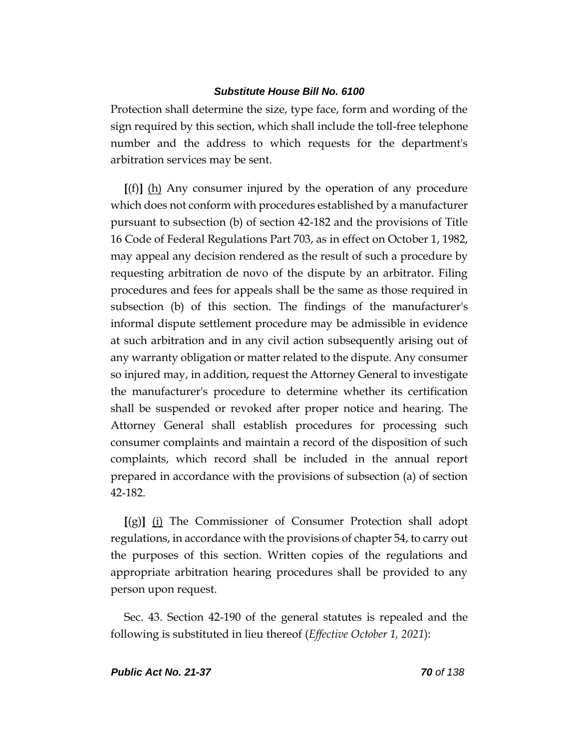Protection shall determine the size, type face, form and wording of the sign required by this section, which shall include the toll-free telephone number and the address to which requests for the department's arbitration services may be sent.

**[**(f)**]** (h) Any consumer injured by the operation of any procedure which does not conform with procedures established by a manufacturer pursuant to subsection (b) of section 42-182 and the provisions of Title 16 Code of Federal Regulations Part 703, as in effect on October 1, 1982, may appeal any decision rendered as the result of such a procedure by requesting arbitration de novo of the dispute by an arbitrator. Filing procedures and fees for appeals shall be the same as those required in subsection (b) of this section. The findings of the manufacturer's informal dispute settlement procedure may be admissible in evidence at such arbitration and in any civil action subsequently arising out of any warranty obligation or matter related to the dispute. Any consumer so injured may, in addition, request the Attorney General to investigate the manufacturer's procedure to determine whether its certification shall be suspended or revoked after proper notice and hearing. The Attorney General shall establish procedures for processing such consumer complaints and maintain a record of the disposition of such complaints, which record shall be included in the annual report prepared in accordance with the provisions of subsection (a) of section 42-182.

**[**(g)**]** (i) The Commissioner of Consumer Protection shall adopt regulations, in accordance with the provisions of chapter 54, to carry out the purposes of this section. Written copies of the regulations and appropriate arbitration hearing procedures shall be provided to any person upon request.

Sec. 43. Section 42-190 of the general statutes is repealed and the following is substituted in lieu thereof (*Effective October 1, 2021*):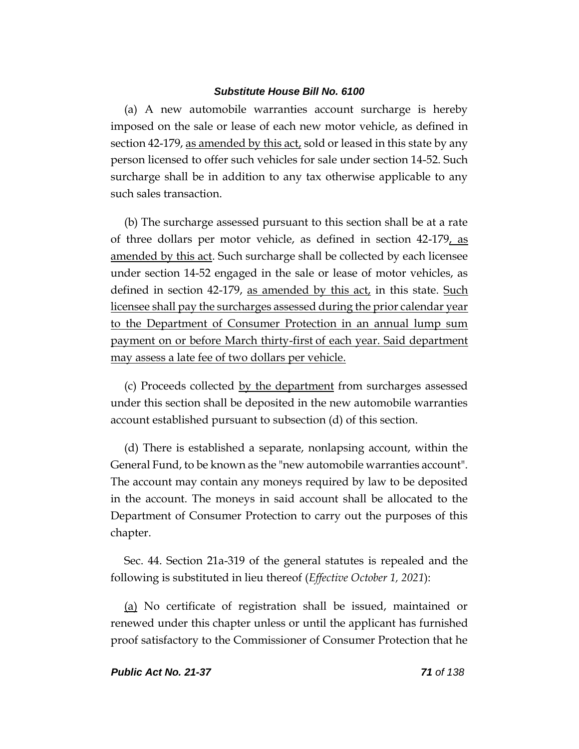(a) A new automobile warranties account surcharge is hereby imposed on the sale or lease of each new motor vehicle, as defined in section 42-179, as amended by this act, sold or leased in this state by any person licensed to offer such vehicles for sale under section 14-52. Such surcharge shall be in addition to any tax otherwise applicable to any such sales transaction.

(b) The surcharge assessed pursuant to this section shall be at a rate of three dollars per motor vehicle, as defined in section 42-179, as amended by this act. Such surcharge shall be collected by each licensee under section 14-52 engaged in the sale or lease of motor vehicles, as defined in section 42-179, as amended by this act, in this state. Such licensee shall pay the surcharges assessed during the prior calendar year to the Department of Consumer Protection in an annual lump sum payment on or before March thirty-first of each year. Said department may assess a late fee of two dollars per vehicle.

(c) Proceeds collected by the department from surcharges assessed under this section shall be deposited in the new automobile warranties account established pursuant to subsection (d) of this section.

(d) There is established a separate, nonlapsing account, within the General Fund, to be known as the "new automobile warranties account". The account may contain any moneys required by law to be deposited in the account. The moneys in said account shall be allocated to the Department of Consumer Protection to carry out the purposes of this chapter.

Sec. 44. Section 21a-319 of the general statutes is repealed and the following is substituted in lieu thereof (*Effective October 1, 2021*):

(a) No certificate of registration shall be issued, maintained or renewed under this chapter unless or until the applicant has furnished proof satisfactory to the Commissioner of Consumer Protection that he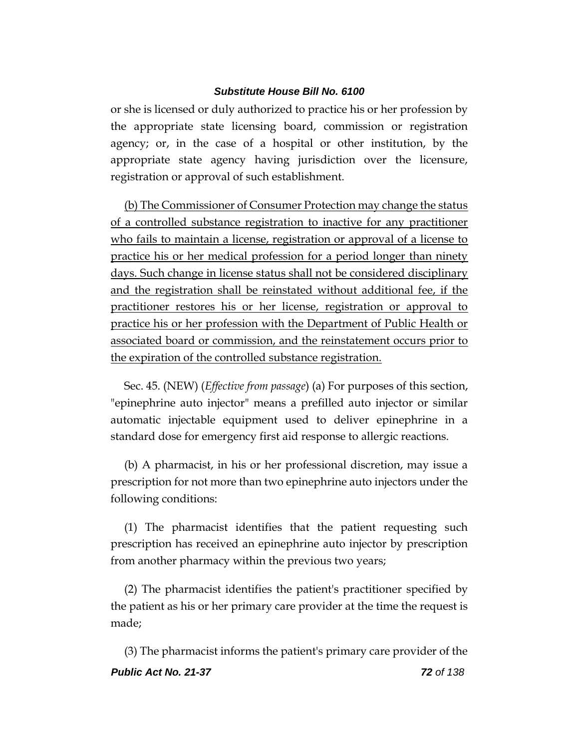or she is licensed or duly authorized to practice his or her profession by the appropriate state licensing board, commission or registration agency; or, in the case of a hospital or other institution, by the appropriate state agency having jurisdiction over the licensure, registration or approval of such establishment.

(b) The Commissioner of Consumer Protection may change the status of a controlled substance registration to inactive for any practitioner who fails to maintain a license, registration or approval of a license to practice his or her medical profession for a period longer than ninety days. Such change in license status shall not be considered disciplinary and the registration shall be reinstated without additional fee, if the practitioner restores his or her license, registration or approval to practice his or her profession with the Department of Public Health or associated board or commission, and the reinstatement occurs prior to the expiration of the controlled substance registration.

Sec. 45. (NEW) (*Effective from passage*) (a) For purposes of this section, "epinephrine auto injector" means a prefilled auto injector or similar automatic injectable equipment used to deliver epinephrine in a standard dose for emergency first aid response to allergic reactions.

(b) A pharmacist, in his or her professional discretion, may issue a prescription for not more than two epinephrine auto injectors under the following conditions:

(1) The pharmacist identifies that the patient requesting such prescription has received an epinephrine auto injector by prescription from another pharmacy within the previous two years;

(2) The pharmacist identifies the patient's practitioner specified by the patient as his or her primary care provider at the time the request is made;

*Public Act No. 21-37 72 of 138* (3) The pharmacist informs the patient's primary care provider of the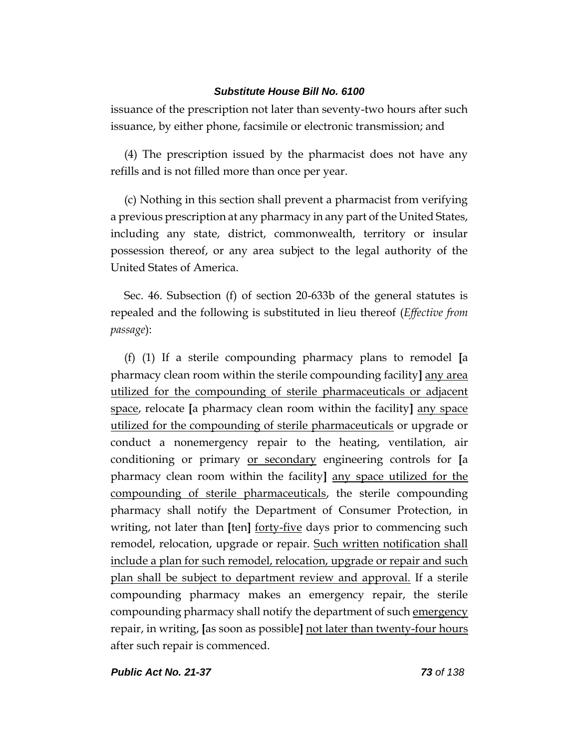issuance of the prescription not later than seventy-two hours after such issuance, by either phone, facsimile or electronic transmission; and

(4) The prescription issued by the pharmacist does not have any refills and is not filled more than once per year.

(c) Nothing in this section shall prevent a pharmacist from verifying a previous prescription at any pharmacy in any part of the United States, including any state, district, commonwealth, territory or insular possession thereof, or any area subject to the legal authority of the United States of America.

Sec. 46. Subsection (f) of section 20-633b of the general statutes is repealed and the following is substituted in lieu thereof (*Effective from passage*):

(f) (1) If a sterile compounding pharmacy plans to remodel **[**a pharmacy clean room within the sterile compounding facility**]** any area utilized for the compounding of sterile pharmaceuticals or adjacent space, relocate **[**a pharmacy clean room within the facility**]** any space utilized for the compounding of sterile pharmaceuticals or upgrade or conduct a nonemergency repair to the heating, ventilation, air conditioning or primary or secondary engineering controls for **[**a pharmacy clean room within the facility**]** any space utilized for the compounding of sterile pharmaceuticals, the sterile compounding pharmacy shall notify the Department of Consumer Protection, in writing, not later than **[**ten**]** forty-five days prior to commencing such remodel, relocation, upgrade or repair. Such written notification shall include a plan for such remodel, relocation, upgrade or repair and such plan shall be subject to department review and approval. If a sterile compounding pharmacy makes an emergency repair, the sterile compounding pharmacy shall notify the department of such emergency repair, in writing, **[**as soon as possible**]** not later than twenty-four hours after such repair is commenced.

*Public Act No. 21-37 73 of 138*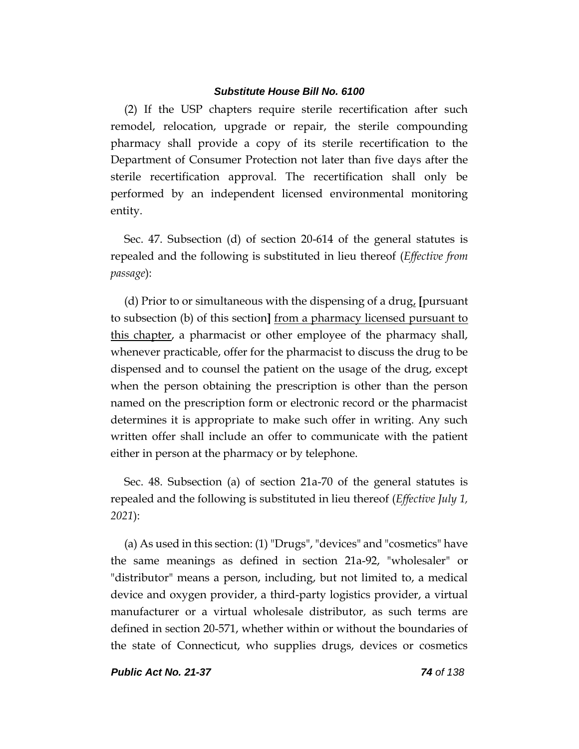(2) If the USP chapters require sterile recertification after such remodel, relocation, upgrade or repair, the sterile compounding pharmacy shall provide a copy of its sterile recertification to the Department of Consumer Protection not later than five days after the sterile recertification approval. The recertification shall only be performed by an independent licensed environmental monitoring entity.

Sec. 47. Subsection (d) of section 20-614 of the general statutes is repealed and the following is substituted in lieu thereof (*Effective from passage*):

(d) Prior to or simultaneous with the dispensing of a drug, **[**pursuant to subsection (b) of this section**]** from a pharmacy licensed pursuant to this chapter, a pharmacist or other employee of the pharmacy shall, whenever practicable, offer for the pharmacist to discuss the drug to be dispensed and to counsel the patient on the usage of the drug, except when the person obtaining the prescription is other than the person named on the prescription form or electronic record or the pharmacist determines it is appropriate to make such offer in writing. Any such written offer shall include an offer to communicate with the patient either in person at the pharmacy or by telephone.

Sec. 48. Subsection (a) of section 21a-70 of the general statutes is repealed and the following is substituted in lieu thereof (*Effective July 1, 2021*):

(a) As used in this section: (1) "Drugs", "devices" and "cosmetics" have the same meanings as defined in section 21a-92, "wholesaler" or "distributor" means a person, including, but not limited to, a medical device and oxygen provider, a third-party logistics provider, a virtual manufacturer or a virtual wholesale distributor, as such terms are defined in section 20-571, whether within or without the boundaries of the state of Connecticut, who supplies drugs, devices or cosmetics

*Public Act No. 21-37 74 of 138*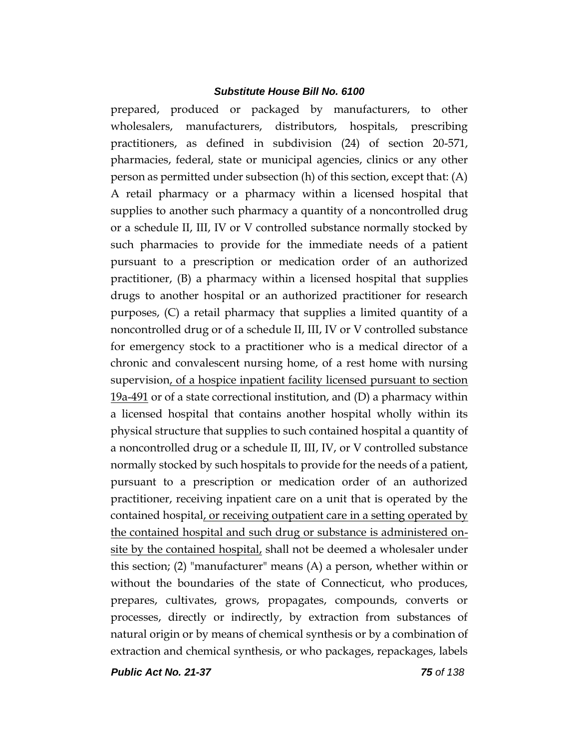prepared, produced or packaged by manufacturers, to other wholesalers, manufacturers, distributors, hospitals, prescribing practitioners, as defined in subdivision (24) of section 20-571, pharmacies, federal, state or municipal agencies, clinics or any other person as permitted under subsection (h) of this section, except that: (A) A retail pharmacy or a pharmacy within a licensed hospital that supplies to another such pharmacy a quantity of a noncontrolled drug or a schedule II, III, IV or V controlled substance normally stocked by such pharmacies to provide for the immediate needs of a patient pursuant to a prescription or medication order of an authorized practitioner, (B) a pharmacy within a licensed hospital that supplies drugs to another hospital or an authorized practitioner for research purposes, (C) a retail pharmacy that supplies a limited quantity of a noncontrolled drug or of a schedule II, III, IV or V controlled substance for emergency stock to a practitioner who is a medical director of a chronic and convalescent nursing home, of a rest home with nursing supervision, of a hospice inpatient facility licensed pursuant to section  $19a-491$  or of a state correctional institution, and (D) a pharmacy within a licensed hospital that contains another hospital wholly within its physical structure that supplies to such contained hospital a quantity of a noncontrolled drug or a schedule II, III, IV, or V controlled substance normally stocked by such hospitals to provide for the needs of a patient, pursuant to a prescription or medication order of an authorized practitioner, receiving inpatient care on a unit that is operated by the contained hospital, or receiving outpatient care in a setting operated by the contained hospital and such drug or substance is administered onsite by the contained hospital, shall not be deemed a wholesaler under this section; (2) "manufacturer" means (A) a person, whether within or without the boundaries of the state of Connecticut, who produces, prepares, cultivates, grows, propagates, compounds, converts or processes, directly or indirectly, by extraction from substances of natural origin or by means of chemical synthesis or by a combination of extraction and chemical synthesis, or who packages, repackages, labels

*Public Act No. 21-37 75 of 138*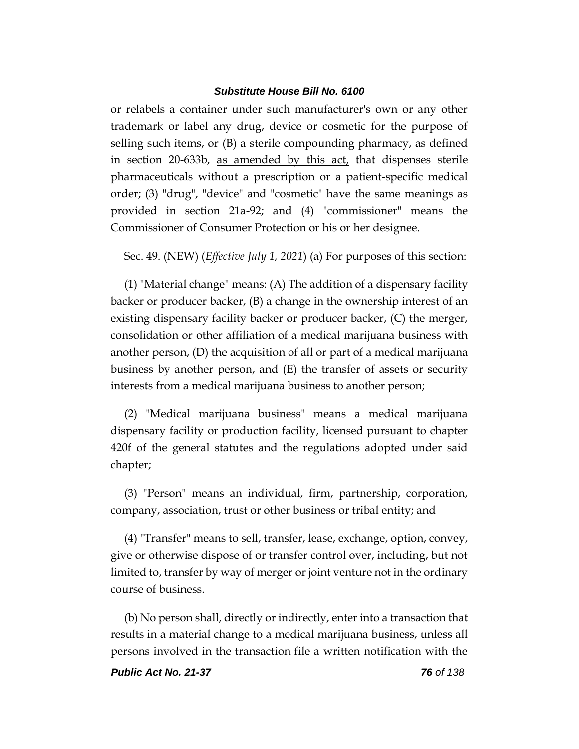or relabels a container under such manufacturer's own or any other trademark or label any drug, device or cosmetic for the purpose of selling such items, or (B) a sterile compounding pharmacy, as defined in section 20-633b, as amended by this act, that dispenses sterile pharmaceuticals without a prescription or a patient-specific medical order; (3) "drug", "device" and "cosmetic" have the same meanings as provided in section 21a-92; and (4) "commissioner" means the Commissioner of Consumer Protection or his or her designee.

Sec. 49. (NEW) (*Effective July 1, 2021*) (a) For purposes of this section:

(1) "Material change" means: (A) The addition of a dispensary facility backer or producer backer, (B) a change in the ownership interest of an existing dispensary facility backer or producer backer, (C) the merger, consolidation or other affiliation of a medical marijuana business with another person, (D) the acquisition of all or part of a medical marijuana business by another person, and (E) the transfer of assets or security interests from a medical marijuana business to another person;

(2) "Medical marijuana business" means a medical marijuana dispensary facility or production facility, licensed pursuant to chapter 420f of the general statutes and the regulations adopted under said chapter;

(3) "Person" means an individual, firm, partnership, corporation, company, association, trust or other business or tribal entity; and

(4) "Transfer" means to sell, transfer, lease, exchange, option, convey, give or otherwise dispose of or transfer control over, including, but not limited to, transfer by way of merger or joint venture not in the ordinary course of business.

(b) No person shall, directly or indirectly, enter into a transaction that results in a material change to a medical marijuana business, unless all persons involved in the transaction file a written notification with the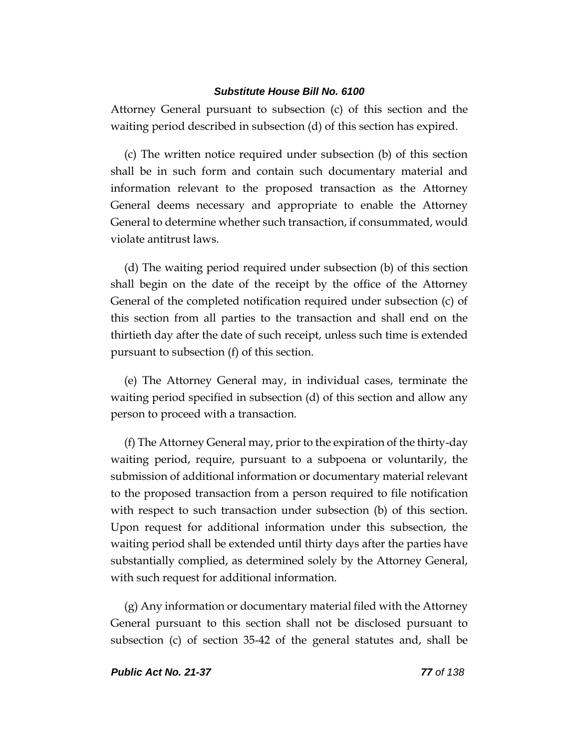Attorney General pursuant to subsection (c) of this section and the waiting period described in subsection (d) of this section has expired.

(c) The written notice required under subsection (b) of this section shall be in such form and contain such documentary material and information relevant to the proposed transaction as the Attorney General deems necessary and appropriate to enable the Attorney General to determine whether such transaction, if consummated, would violate antitrust laws.

(d) The waiting period required under subsection (b) of this section shall begin on the date of the receipt by the office of the Attorney General of the completed notification required under subsection (c) of this section from all parties to the transaction and shall end on the thirtieth day after the date of such receipt, unless such time is extended pursuant to subsection (f) of this section.

(e) The Attorney General may, in individual cases, terminate the waiting period specified in subsection (d) of this section and allow any person to proceed with a transaction.

(f) The Attorney General may, prior to the expiration of the thirty-day waiting period, require, pursuant to a subpoena or voluntarily, the submission of additional information or documentary material relevant to the proposed transaction from a person required to file notification with respect to such transaction under subsection (b) of this section. Upon request for additional information under this subsection, the waiting period shall be extended until thirty days after the parties have substantially complied, as determined solely by the Attorney General, with such request for additional information.

(g) Any information or documentary material filed with the Attorney General pursuant to this section shall not be disclosed pursuant to subsection (c) of section 35-42 of the general statutes and, shall be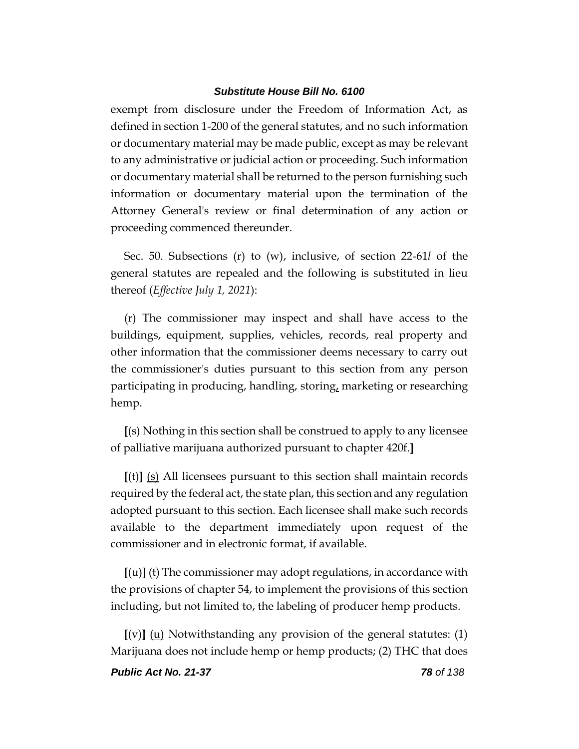exempt from disclosure under the Freedom of Information Act, as defined in section 1-200 of the general statutes, and no such information or documentary material may be made public, except as may be relevant to any administrative or judicial action or proceeding. Such information or documentary material shall be returned to the person furnishing such information or documentary material upon the termination of the Attorney General's review or final determination of any action or proceeding commenced thereunder.

Sec. 50. Subsections (r) to (w), inclusive, of section 22-61*l* of the general statutes are repealed and the following is substituted in lieu thereof (*Effective July 1, 2021*):

(r) The commissioner may inspect and shall have access to the buildings, equipment, supplies, vehicles, records, real property and other information that the commissioner deems necessary to carry out the commissioner's duties pursuant to this section from any person participating in producing, handling, storing, marketing or researching hemp.

**[**(s) Nothing in this section shall be construed to apply to any licensee of palliative marijuana authorized pursuant to chapter 420f.**]**

**[**(t)**]** (s) All licensees pursuant to this section shall maintain records required by the federal act, the state plan, this section and any regulation adopted pursuant to this section. Each licensee shall make such records available to the department immediately upon request of the commissioner and in electronic format, if available.

**[**(u)**]** (t) The commissioner may adopt regulations, in accordance with the provisions of chapter 54, to implement the provisions of this section including, but not limited to, the labeling of producer hemp products.

**[**(v)**]** (u) Notwithstanding any provision of the general statutes: (1) Marijuana does not include hemp or hemp products; (2) THC that does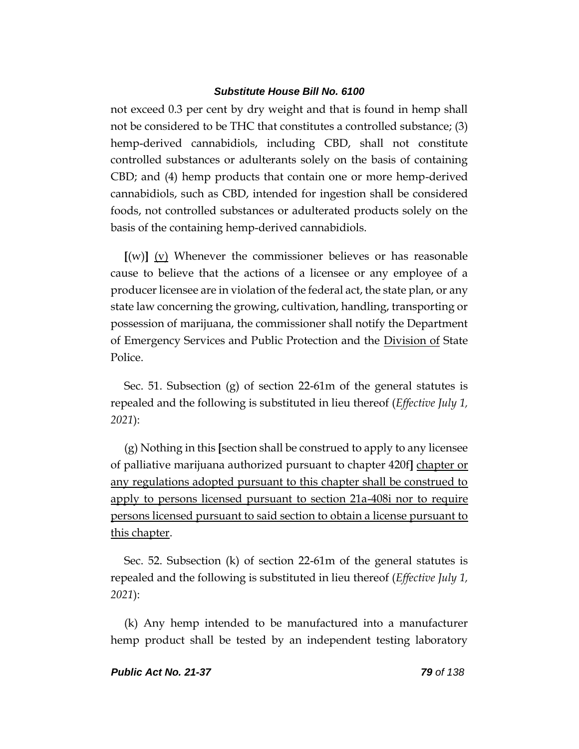not exceed 0.3 per cent by dry weight and that is found in hemp shall not be considered to be THC that constitutes a controlled substance; (3) hemp-derived cannabidiols, including CBD, shall not constitute controlled substances or adulterants solely on the basis of containing CBD; and (4) hemp products that contain one or more hemp-derived cannabidiols, such as CBD, intended for ingestion shall be considered foods, not controlled substances or adulterated products solely on the basis of the containing hemp-derived cannabidiols.

**[**(w)**]** (v) Whenever the commissioner believes or has reasonable cause to believe that the actions of a licensee or any employee of a producer licensee are in violation of the federal act, the state plan, or any state law concerning the growing, cultivation, handling, transporting or possession of marijuana, the commissioner shall notify the Department of Emergency Services and Public Protection and the Division of State Police.

Sec. 51. Subsection (g) of section 22-61m of the general statutes is repealed and the following is substituted in lieu thereof (*Effective July 1, 2021*):

(g) Nothing in this **[**section shall be construed to apply to any licensee of palliative marijuana authorized pursuant to chapter 420f**]** chapter or any regulations adopted pursuant to this chapter shall be construed to apply to persons licensed pursuant to section 21a-408i nor to require persons licensed pursuant to said section to obtain a license pursuant to this chapter.

Sec. 52. Subsection (k) of section 22-61m of the general statutes is repealed and the following is substituted in lieu thereof (*Effective July 1, 2021*):

(k) Any hemp intended to be manufactured into a manufacturer hemp product shall be tested by an independent testing laboratory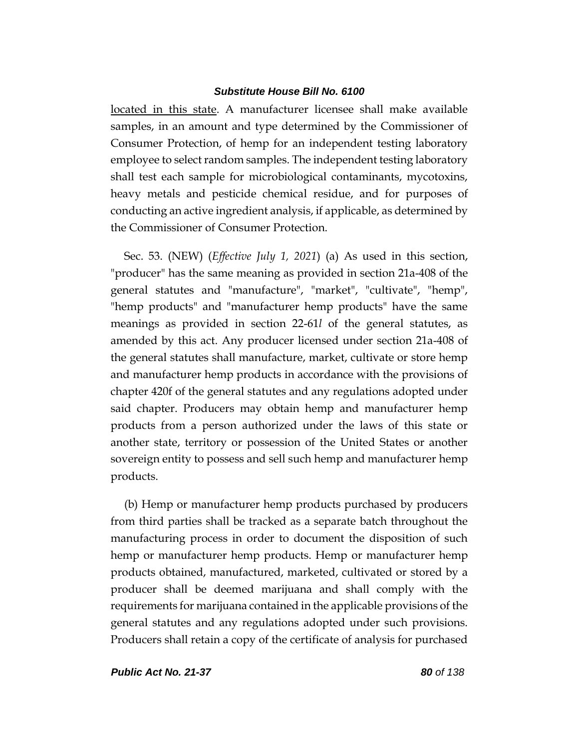located in this state. A manufacturer licensee shall make available samples, in an amount and type determined by the Commissioner of Consumer Protection, of hemp for an independent testing laboratory employee to select random samples. The independent testing laboratory shall test each sample for microbiological contaminants, mycotoxins, heavy metals and pesticide chemical residue, and for purposes of conducting an active ingredient analysis, if applicable, as determined by the Commissioner of Consumer Protection.

Sec. 53. (NEW) (*Effective July 1, 2021*) (a) As used in this section, "producer" has the same meaning as provided in section 21a-408 of the general statutes and "manufacture", "market", "cultivate", "hemp", "hemp products" and "manufacturer hemp products" have the same meanings as provided in section 22-61*l* of the general statutes, as amended by this act. Any producer licensed under section 21a-408 of the general statutes shall manufacture, market, cultivate or store hemp and manufacturer hemp products in accordance with the provisions of chapter 420f of the general statutes and any regulations adopted under said chapter. Producers may obtain hemp and manufacturer hemp products from a person authorized under the laws of this state or another state, territory or possession of the United States or another sovereign entity to possess and sell such hemp and manufacturer hemp products.

(b) Hemp or manufacturer hemp products purchased by producers from third parties shall be tracked as a separate batch throughout the manufacturing process in order to document the disposition of such hemp or manufacturer hemp products. Hemp or manufacturer hemp products obtained, manufactured, marketed, cultivated or stored by a producer shall be deemed marijuana and shall comply with the requirements for marijuana contained in the applicable provisions of the general statutes and any regulations adopted under such provisions. Producers shall retain a copy of the certificate of analysis for purchased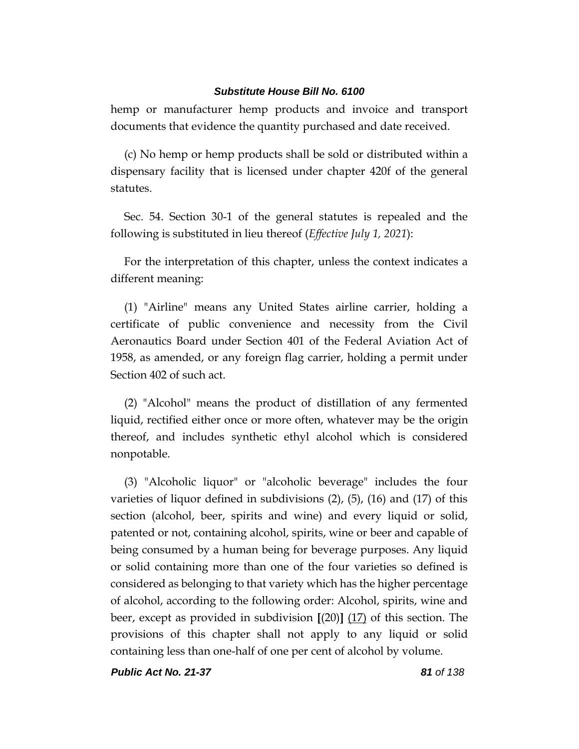hemp or manufacturer hemp products and invoice and transport documents that evidence the quantity purchased and date received.

(c) No hemp or hemp products shall be sold or distributed within a dispensary facility that is licensed under chapter 420f of the general statutes.

Sec. 54. Section 30-1 of the general statutes is repealed and the following is substituted in lieu thereof (*Effective July 1, 2021*):

For the interpretation of this chapter, unless the context indicates a different meaning:

(1) "Airline" means any United States airline carrier, holding a certificate of public convenience and necessity from the Civil Aeronautics Board under Section 401 of the Federal Aviation Act of 1958, as amended, or any foreign flag carrier, holding a permit under Section 402 of such act.

(2) "Alcohol" means the product of distillation of any fermented liquid, rectified either once or more often, whatever may be the origin thereof, and includes synthetic ethyl alcohol which is considered nonpotable.

(3) "Alcoholic liquor" or "alcoholic beverage" includes the four varieties of liquor defined in subdivisions  $(2)$ ,  $(5)$ ,  $(16)$  and  $(17)$  of this section (alcohol, beer, spirits and wine) and every liquid or solid, patented or not, containing alcohol, spirits, wine or beer and capable of being consumed by a human being for beverage purposes. Any liquid or solid containing more than one of the four varieties so defined is considered as belonging to that variety which has the higher percentage of alcohol, according to the following order: Alcohol, spirits, wine and beer, except as provided in subdivision **[**(20)**]** (17) of this section. The provisions of this chapter shall not apply to any liquid or solid containing less than one-half of one per cent of alcohol by volume.

*Public Act No. 21-37 81 of 138*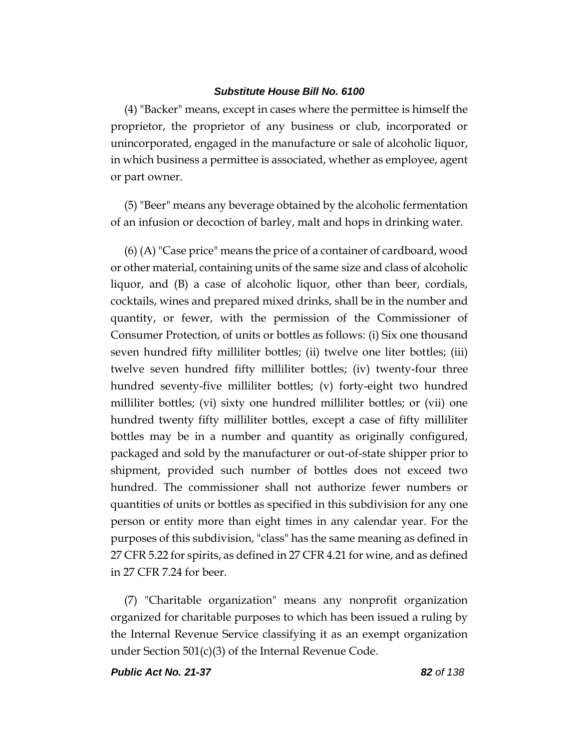(4) "Backer" means, except in cases where the permittee is himself the proprietor, the proprietor of any business or club, incorporated or unincorporated, engaged in the manufacture or sale of alcoholic liquor, in which business a permittee is associated, whether as employee, agent or part owner.

(5) "Beer" means any beverage obtained by the alcoholic fermentation of an infusion or decoction of barley, malt and hops in drinking water.

(6) (A) "Case price" means the price of a container of cardboard, wood or other material, containing units of the same size and class of alcoholic liquor, and (B) a case of alcoholic liquor, other than beer, cordials, cocktails, wines and prepared mixed drinks, shall be in the number and quantity, or fewer, with the permission of the Commissioner of Consumer Protection, of units or bottles as follows: (i) Six one thousand seven hundred fifty milliliter bottles; (ii) twelve one liter bottles; (iii) twelve seven hundred fifty milliliter bottles; (iv) twenty-four three hundred seventy-five milliliter bottles; (v) forty-eight two hundred milliliter bottles; (vi) sixty one hundred milliliter bottles; or (vii) one hundred twenty fifty milliliter bottles, except a case of fifty milliliter bottles may be in a number and quantity as originally configured, packaged and sold by the manufacturer or out-of-state shipper prior to shipment, provided such number of bottles does not exceed two hundred. The commissioner shall not authorize fewer numbers or quantities of units or bottles as specified in this subdivision for any one person or entity more than eight times in any calendar year. For the purposes of this subdivision, "class" has the same meaning as defined in 27 CFR 5.22 for spirits, as defined in 27 CFR 4.21 for wine, and as defined in 27 CFR 7.24 for beer.

(7) "Charitable organization" means any nonprofit organization organized for charitable purposes to which has been issued a ruling by the Internal Revenue Service classifying it as an exempt organization under Section 501(c)(3) of the Internal Revenue Code.

*Public Act No. 21-37 82 of 138*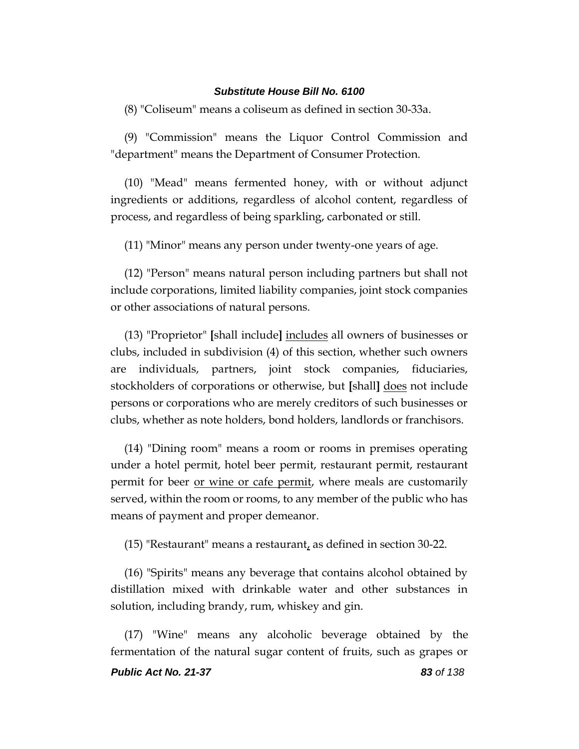(8) "Coliseum" means a coliseum as defined in section 30-33a.

(9) "Commission" means the Liquor Control Commission and "department" means the Department of Consumer Protection.

(10) "Mead" means fermented honey, with or without adjunct ingredients or additions, regardless of alcohol content, regardless of process, and regardless of being sparkling, carbonated or still.

(11) "Minor" means any person under twenty-one years of age.

(12) "Person" means natural person including partners but shall not include corporations, limited liability companies, joint stock companies or other associations of natural persons.

(13) "Proprietor" **[**shall include**]** includes all owners of businesses or clubs, included in subdivision (4) of this section, whether such owners are individuals, partners, joint stock companies, fiduciaries, stockholders of corporations or otherwise, but **[**shall**]** does not include persons or corporations who are merely creditors of such businesses or clubs, whether as note holders, bond holders, landlords or franchisors.

(14) "Dining room" means a room or rooms in premises operating under a hotel permit, hotel beer permit, restaurant permit, restaurant permit for beer <u>or wine or cafe permit</u>, where meals are customarily served, within the room or rooms, to any member of the public who has means of payment and proper demeanor.

(15) "Restaurant" means a restaurant, as defined in section 30-22.

(16) "Spirits" means any beverage that contains alcohol obtained by distillation mixed with drinkable water and other substances in solution, including brandy, rum, whiskey and gin.

*Public Act No. 21-37 83 of 138* (17) "Wine" means any alcoholic beverage obtained by the fermentation of the natural sugar content of fruits, such as grapes or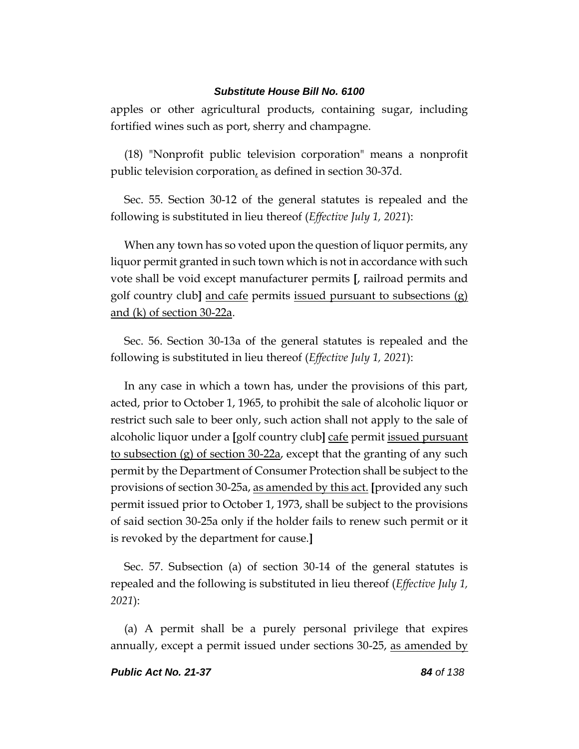apples or other agricultural products, containing sugar, including fortified wines such as port, sherry and champagne.

(18) "Nonprofit public television corporation" means a nonprofit public television corporation, as defined in section 30-37d.

Sec. 55. Section 30-12 of the general statutes is repealed and the following is substituted in lieu thereof (*Effective July 1, 2021*):

When any town has so voted upon the question of liquor permits, any liquor permit granted in such town which is not in accordance with such vote shall be void except manufacturer permits **[**, railroad permits and golf country club**]** and cafe permits issued pursuant to subsections (g) and (k) of section 30-22a.

Sec. 56. Section 30-13a of the general statutes is repealed and the following is substituted in lieu thereof (*Effective July 1, 2021*):

In any case in which a town has, under the provisions of this part, acted, prior to October 1, 1965, to prohibit the sale of alcoholic liquor or restrict such sale to beer only, such action shall not apply to the sale of alcoholic liquor under a **[**golf country club**]** cafe permit issued pursuant to subsection (g) of section 30-22a, except that the granting of any such permit by the Department of Consumer Protection shall be subject to the provisions of section 30-25a, as amended by this act. **[**provided any such permit issued prior to October 1, 1973, shall be subject to the provisions of said section 30-25a only if the holder fails to renew such permit or it is revoked by the department for cause.**]**

Sec. 57. Subsection (a) of section 30-14 of the general statutes is repealed and the following is substituted in lieu thereof (*Effective July 1, 2021*):

(a) A permit shall be a purely personal privilege that expires annually, except a permit issued under sections 30-25, as amended by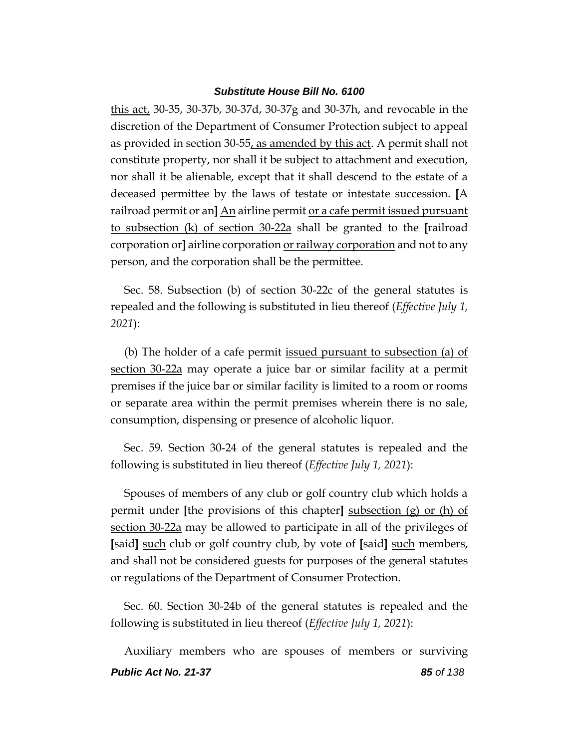this act, 30-35, 30-37b, 30-37d, 30-37g and 30-37h, and revocable in the discretion of the Department of Consumer Protection subject to appeal as provided in section 30-55, as amended by this act. A permit shall not constitute property, nor shall it be subject to attachment and execution, nor shall it be alienable, except that it shall descend to the estate of a deceased permittee by the laws of testate or intestate succession. **[**A railroad permit or an**]** An airline permit or a cafe permit issued pursuant to subsection (k) of section 30-22a shall be granted to the **[**railroad corporation or**]** airline corporation or railway corporation and not to any person, and the corporation shall be the permittee.

Sec. 58. Subsection (b) of section 30-22c of the general statutes is repealed and the following is substituted in lieu thereof (*Effective July 1, 2021*):

(b) The holder of a cafe permit <u>issued pursuant to subsection (a) of</u> section 30-22a may operate a juice bar or similar facility at a permit premises if the juice bar or similar facility is limited to a room or rooms or separate area within the permit premises wherein there is no sale, consumption, dispensing or presence of alcoholic liquor.

Sec. 59. Section 30-24 of the general statutes is repealed and the following is substituted in lieu thereof (*Effective July 1, 2021*):

Spouses of members of any club or golf country club which holds a permit under **[**the provisions of this chapter**]** subsection (g) or (h) of section 30-22a may be allowed to participate in all of the privileges of **[**said**]** such club or golf country club, by vote of **[**said**]** such members, and shall not be considered guests for purposes of the general statutes or regulations of the Department of Consumer Protection.

Sec. 60. Section 30-24b of the general statutes is repealed and the following is substituted in lieu thereof (*Effective July 1, 2021*):

*Public Act No. 21-37 85 of 138* Auxiliary members who are spouses of members or surviving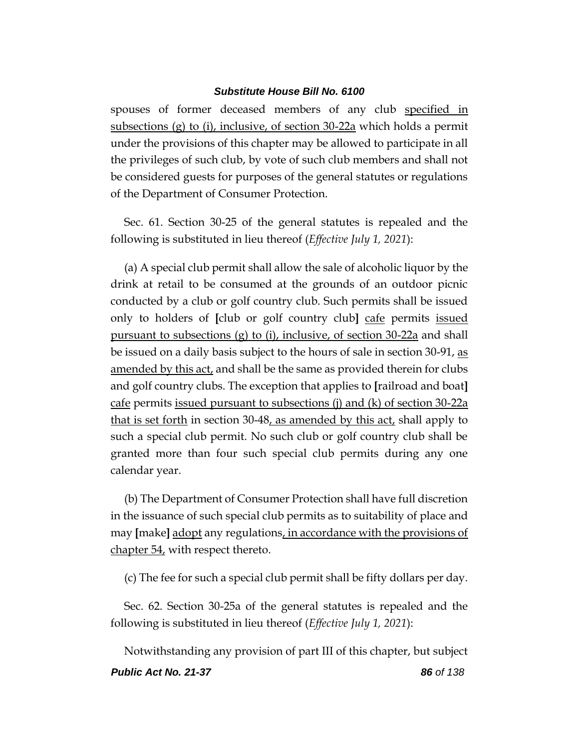spouses of former deceased members of any club specified in subsections (g) to (i), inclusive, of section 30-22a which holds a permit under the provisions of this chapter may be allowed to participate in all the privileges of such club, by vote of such club members and shall not be considered guests for purposes of the general statutes or regulations of the Department of Consumer Protection.

Sec. 61. Section 30-25 of the general statutes is repealed and the following is substituted in lieu thereof (*Effective July 1, 2021*):

(a) A special club permit shall allow the sale of alcoholic liquor by the drink at retail to be consumed at the grounds of an outdoor picnic conducted by a club or golf country club. Such permits shall be issued only to holders of **[**club or golf country club**]** cafe permits issued pursuant to subsections (g) to (i), inclusive, of section 30-22a and shall be issued on a daily basis subject to the hours of sale in section 30-91, <u>as</u> amended by this act, and shall be the same as provided therein for clubs and golf country clubs. The exception that applies to **[**railroad and boat**]** cafe permits issued pursuant to subsections (j) and (k) of section 30-22a that is set forth in section 30-48, as amended by this act, shall apply to such a special club permit. No such club or golf country club shall be granted more than four such special club permits during any one calendar year.

(b) The Department of Consumer Protection shall have full discretion in the issuance of such special club permits as to suitability of place and may **[**make**]** adopt any regulations, in accordance with the provisions of chapter 54, with respect thereto.

(c) The fee for such a special club permit shall be fifty dollars per day.

Sec. 62. Section 30-25a of the general statutes is repealed and the following is substituted in lieu thereof (*Effective July 1, 2021*):

Notwithstanding any provision of part III of this chapter, but subject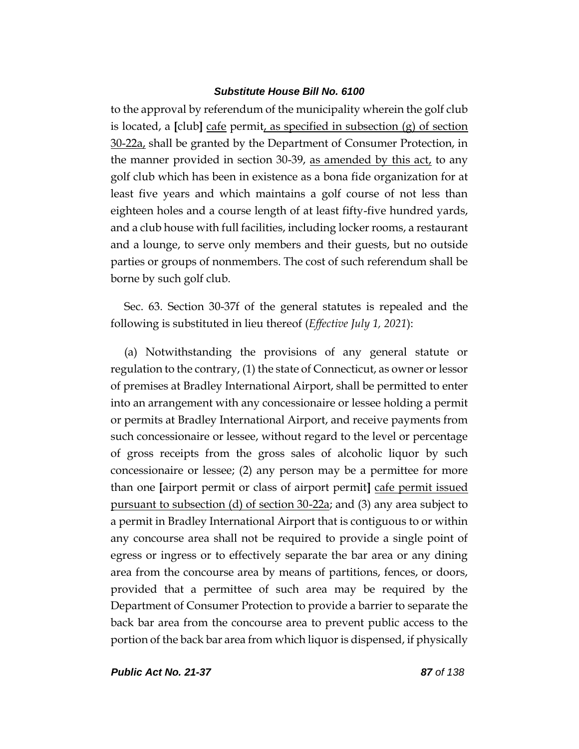to the approval by referendum of the municipality wherein the golf club is located, a **[**club**]** cafe permit, as specified in subsection (g) of section 30-22a, shall be granted by the Department of Consumer Protection, in the manner provided in section 30-39, as amended by this act, to any golf club which has been in existence as a bona fide organization for at least five years and which maintains a golf course of not less than eighteen holes and a course length of at least fifty-five hundred yards, and a club house with full facilities, including locker rooms, a restaurant and a lounge, to serve only members and their guests, but no outside parties or groups of nonmembers. The cost of such referendum shall be borne by such golf club.

Sec. 63. Section 30-37f of the general statutes is repealed and the following is substituted in lieu thereof (*Effective July 1, 2021*):

(a) Notwithstanding the provisions of any general statute or regulation to the contrary, (1) the state of Connecticut, as owner or lessor of premises at Bradley International Airport, shall be permitted to enter into an arrangement with any concessionaire or lessee holding a permit or permits at Bradley International Airport, and receive payments from such concessionaire or lessee, without regard to the level or percentage of gross receipts from the gross sales of alcoholic liquor by such concessionaire or lessee; (2) any person may be a permittee for more than one **[**airport permit or class of airport permit**]** cafe permit issued pursuant to subsection (d) of section 30-22a; and (3) any area subject to a permit in Bradley International Airport that is contiguous to or within any concourse area shall not be required to provide a single point of egress or ingress or to effectively separate the bar area or any dining area from the concourse area by means of partitions, fences, or doors, provided that a permittee of such area may be required by the Department of Consumer Protection to provide a barrier to separate the back bar area from the concourse area to prevent public access to the portion of the back bar area from which liquor is dispensed, if physically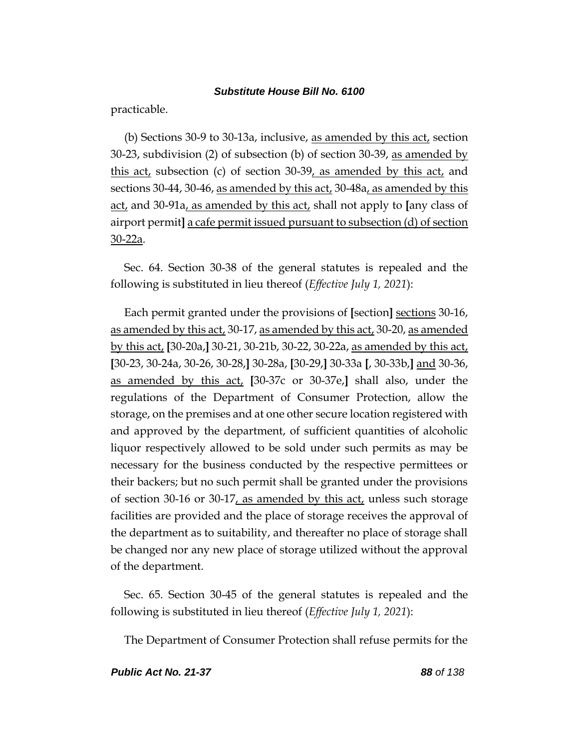practicable.

(b) Sections 30-9 to 30-13a, inclusive, as amended by this act, section 30-23, subdivision (2) of subsection (b) of section 30-39, as amended by this act, subsection (c) of section 30-39, as amended by this act, and sections 30-44, 30-46, as amended by this act, 30-48a, as amended by this act, and 30-91a, as amended by this act, shall not apply to **[**any class of airport permit**]** a cafe permit issued pursuant to subsection (d) of section 30-22a.

Sec. 64. Section 30-38 of the general statutes is repealed and the following is substituted in lieu thereof (*Effective July 1, 2021*):

Each permit granted under the provisions of **[**section**]** sections 30-16, as amended by this act, 30-17, as amended by this act, 30-20, as amended by this act, **[**30-20a,**]** 30-21, 30-21b, 30-22, 30-22a, as amended by this act, **[**30-23, 30-24a, 30-26, 30-28,**]** 30-28a, **[**30-29,**]** 30-33a **[**, 30-33b,**]** and 30-36, as amended by this act, **[**30-37c or 30-37e,**]** shall also, under the regulations of the Department of Consumer Protection, allow the storage, on the premises and at one other secure location registered with and approved by the department, of sufficient quantities of alcoholic liquor respectively allowed to be sold under such permits as may be necessary for the business conducted by the respective permittees or their backers; but no such permit shall be granted under the provisions of section 30-16 or 30-17, as amended by this act, unless such storage facilities are provided and the place of storage receives the approval of the department as to suitability, and thereafter no place of storage shall be changed nor any new place of storage utilized without the approval of the department.

Sec. 65. Section 30-45 of the general statutes is repealed and the following is substituted in lieu thereof (*Effective July 1, 2021*):

The Department of Consumer Protection shall refuse permits for the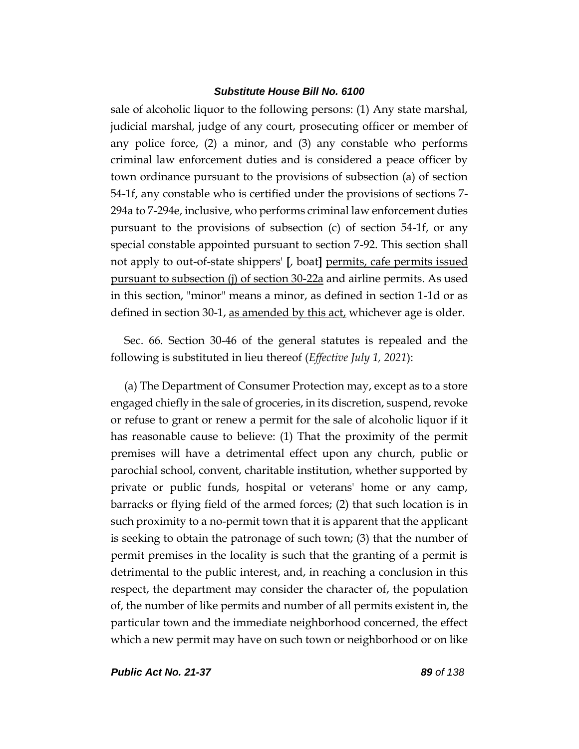sale of alcoholic liquor to the following persons: (1) Any state marshal, judicial marshal, judge of any court, prosecuting officer or member of any police force, (2) a minor, and (3) any constable who performs criminal law enforcement duties and is considered a peace officer by town ordinance pursuant to the provisions of subsection (a) of section 54-1f, any constable who is certified under the provisions of sections 7- 294a to 7-294e, inclusive, who performs criminal law enforcement duties pursuant to the provisions of subsection (c) of section 54-1f, or any special constable appointed pursuant to section 7-92. This section shall not apply to out-of-state shippers' **[**, boat**]** permits, cafe permits issued pursuant to subsection (j) of section 30-22a and airline permits. As used in this section, "minor" means a minor, as defined in section 1-1d or as defined in section 30-1, as amended by this act, whichever age is older.

Sec. 66. Section 30-46 of the general statutes is repealed and the following is substituted in lieu thereof (*Effective July 1, 2021*):

(a) The Department of Consumer Protection may, except as to a store engaged chiefly in the sale of groceries, in its discretion, suspend, revoke or refuse to grant or renew a permit for the sale of alcoholic liquor if it has reasonable cause to believe: (1) That the proximity of the permit premises will have a detrimental effect upon any church, public or parochial school, convent, charitable institution, whether supported by private or public funds, hospital or veterans' home or any camp, barracks or flying field of the armed forces; (2) that such location is in such proximity to a no-permit town that it is apparent that the applicant is seeking to obtain the patronage of such town; (3) that the number of permit premises in the locality is such that the granting of a permit is detrimental to the public interest, and, in reaching a conclusion in this respect, the department may consider the character of, the population of, the number of like permits and number of all permits existent in, the particular town and the immediate neighborhood concerned, the effect which a new permit may have on such town or neighborhood or on like

*Public Act No. 21-37 89 of 138*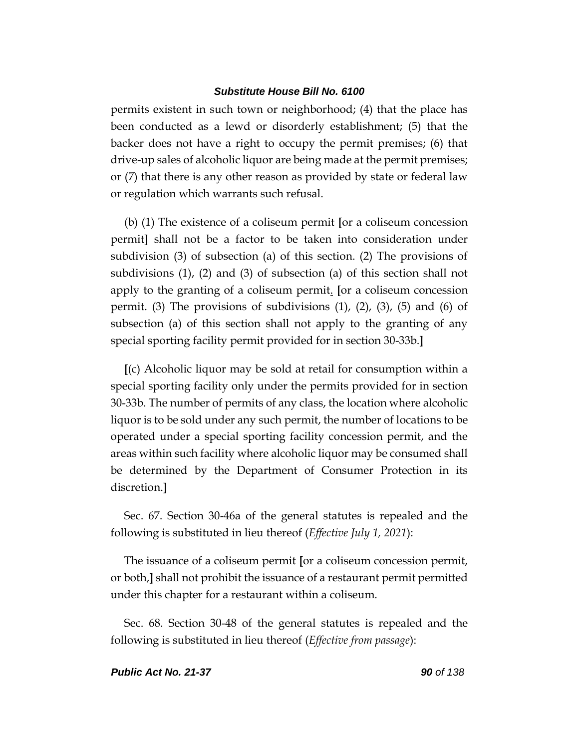permits existent in such town or neighborhood; (4) that the place has been conducted as a lewd or disorderly establishment; (5) that the backer does not have a right to occupy the permit premises; (6) that drive-up sales of alcoholic liquor are being made at the permit premises; or (7) that there is any other reason as provided by state or federal law or regulation which warrants such refusal.

(b) (1) The existence of a coliseum permit **[**or a coliseum concession permit**]** shall not be a factor to be taken into consideration under subdivision (3) of subsection (a) of this section. (2) The provisions of subdivisions (1), (2) and (3) of subsection (a) of this section shall not apply to the granting of a coliseum permit. **[**or a coliseum concession permit. (3) The provisions of subdivisions  $(1)$ ,  $(2)$ ,  $(3)$ ,  $(5)$  and  $(6)$  of subsection (a) of this section shall not apply to the granting of any special sporting facility permit provided for in section 30-33b.**]**

**[**(c) Alcoholic liquor may be sold at retail for consumption within a special sporting facility only under the permits provided for in section 30-33b. The number of permits of any class, the location where alcoholic liquor is to be sold under any such permit, the number of locations to be operated under a special sporting facility concession permit, and the areas within such facility where alcoholic liquor may be consumed shall be determined by the Department of Consumer Protection in its discretion.**]**

Sec. 67. Section 30-46a of the general statutes is repealed and the following is substituted in lieu thereof (*Effective July 1, 2021*):

The issuance of a coliseum permit **[**or a coliseum concession permit, or both,**]** shall not prohibit the issuance of a restaurant permit permitted under this chapter for a restaurant within a coliseum.

Sec. 68. Section 30-48 of the general statutes is repealed and the following is substituted in lieu thereof (*Effective from passage*):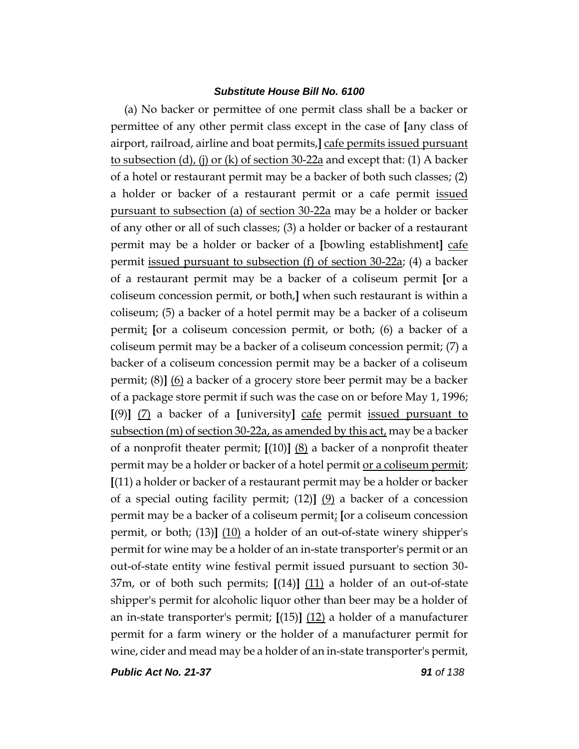(a) No backer or permittee of one permit class shall be a backer or permittee of any other permit class except in the case of **[**any class of airport, railroad, airline and boat permits,**]** cafe permits issued pursuant to subsection (d), (j) or (k) of section 30-22a and except that: (1) A backer of a hotel or restaurant permit may be a backer of both such classes; (2) a holder or backer of a restaurant permit or a cafe permit <u>issued</u> pursuant to subsection (a) of section 30-22a may be a holder or backer of any other or all of such classes; (3) a holder or backer of a restaurant permit may be a holder or backer of a **[**bowling establishment**]** cafe permit issued pursuant to subsection (f) of section 30-22a; (4) a backer of a restaurant permit may be a backer of a coliseum permit **[**or a coliseum concession permit, or both,**]** when such restaurant is within a coliseum; (5) a backer of a hotel permit may be a backer of a coliseum permit; **[**or a coliseum concession permit, or both; (6) a backer of a coliseum permit may be a backer of a coliseum concession permit; (7) a backer of a coliseum concession permit may be a backer of a coliseum permit; (8)**]** (6) a backer of a grocery store beer permit may be a backer of a package store permit if such was the case on or before May 1, 1996; **[**(9)**]** (7) a backer of a **[**university**]** cafe permit issued pursuant to subsection  $(m)$  of section 30-22a, as amended by this act, may be a backer of a nonprofit theater permit; **[**(10)**]** (8) a backer of a nonprofit theater permit may be a holder or backer of a hotel permit or a coliseum permit; **[**(11) a holder or backer of a restaurant permit may be a holder or backer of a special outing facility permit; (12)**]** (9) a backer of a concession permit may be a backer of a coliseum permit; **[**or a coliseum concession permit, or both; (13)**]** (10) a holder of an out-of-state winery shipper's permit for wine may be a holder of an in-state transporter's permit or an out-of-state entity wine festival permit issued pursuant to section 30- 37m, or of both such permits; **[**(14)**]** (11) a holder of an out-of-state shipper's permit for alcoholic liquor other than beer may be a holder of an in-state transporter's permit; **[**(15)**]** (12) a holder of a manufacturer permit for a farm winery or the holder of a manufacturer permit for wine, cider and mead may be a holder of an in-state transporter's permit,

*Public Act No. 21-37 91 of 138*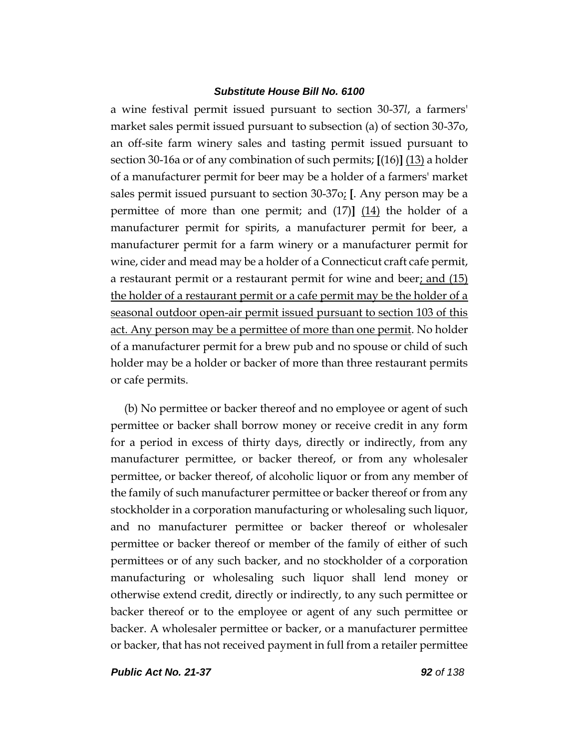a wine festival permit issued pursuant to section 30-37*l*, a farmers' market sales permit issued pursuant to subsection (a) of section 30-37o, an off-site farm winery sales and tasting permit issued pursuant to section 30-16a or of any combination of such permits; **[**(16)**]** (13) a holder of a manufacturer permit for beer may be a holder of a farmers' market sales permit issued pursuant to section 30-37o; **[**. Any person may be a permittee of more than one permit; and (17)**]** (14) the holder of a manufacturer permit for spirits, a manufacturer permit for beer, a manufacturer permit for a farm winery or a manufacturer permit for wine, cider and mead may be a holder of a Connecticut craft cafe permit, a restaurant permit or a restaurant permit for wine and beer; and  $(15)$ the holder of a restaurant permit or a cafe permit may be the holder of a seasonal outdoor open-air permit issued pursuant to section 103 of this act. Any person may be a permittee of more than one permit. No holder of a manufacturer permit for a brew pub and no spouse or child of such holder may be a holder or backer of more than three restaurant permits or cafe permits.

(b) No permittee or backer thereof and no employee or agent of such permittee or backer shall borrow money or receive credit in any form for a period in excess of thirty days, directly or indirectly, from any manufacturer permittee, or backer thereof, or from any wholesaler permittee, or backer thereof, of alcoholic liquor or from any member of the family of such manufacturer permittee or backer thereof or from any stockholder in a corporation manufacturing or wholesaling such liquor, and no manufacturer permittee or backer thereof or wholesaler permittee or backer thereof or member of the family of either of such permittees or of any such backer, and no stockholder of a corporation manufacturing or wholesaling such liquor shall lend money or otherwise extend credit, directly or indirectly, to any such permittee or backer thereof or to the employee or agent of any such permittee or backer. A wholesaler permittee or backer, or a manufacturer permittee or backer, that has not received payment in full from a retailer permittee

*Public Act No. 21-37 92 of 138*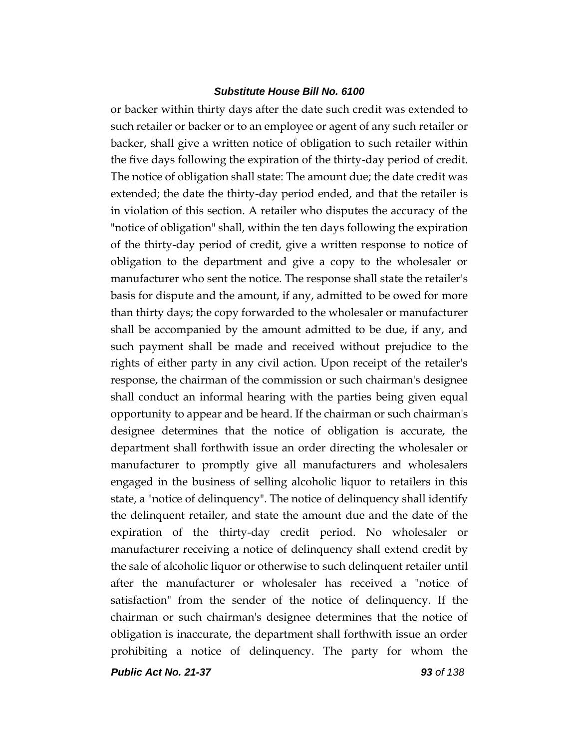or backer within thirty days after the date such credit was extended to such retailer or backer or to an employee or agent of any such retailer or backer, shall give a written notice of obligation to such retailer within the five days following the expiration of the thirty-day period of credit. The notice of obligation shall state: The amount due; the date credit was extended; the date the thirty-day period ended, and that the retailer is in violation of this section. A retailer who disputes the accuracy of the "notice of obligation" shall, within the ten days following the expiration of the thirty-day period of credit, give a written response to notice of obligation to the department and give a copy to the wholesaler or manufacturer who sent the notice. The response shall state the retailer's basis for dispute and the amount, if any, admitted to be owed for more than thirty days; the copy forwarded to the wholesaler or manufacturer shall be accompanied by the amount admitted to be due, if any, and such payment shall be made and received without prejudice to the rights of either party in any civil action. Upon receipt of the retailer's response, the chairman of the commission or such chairman's designee shall conduct an informal hearing with the parties being given equal opportunity to appear and be heard. If the chairman or such chairman's designee determines that the notice of obligation is accurate, the department shall forthwith issue an order directing the wholesaler or manufacturer to promptly give all manufacturers and wholesalers engaged in the business of selling alcoholic liquor to retailers in this state, a "notice of delinquency". The notice of delinquency shall identify the delinquent retailer, and state the amount due and the date of the expiration of the thirty-day credit period. No wholesaler or manufacturer receiving a notice of delinquency shall extend credit by the sale of alcoholic liquor or otherwise to such delinquent retailer until after the manufacturer or wholesaler has received a "notice of satisfaction" from the sender of the notice of delinquency. If the chairman or such chairman's designee determines that the notice of obligation is inaccurate, the department shall forthwith issue an order prohibiting a notice of delinquency. The party for whom the

*Public Act No. 21-37 93 of 138*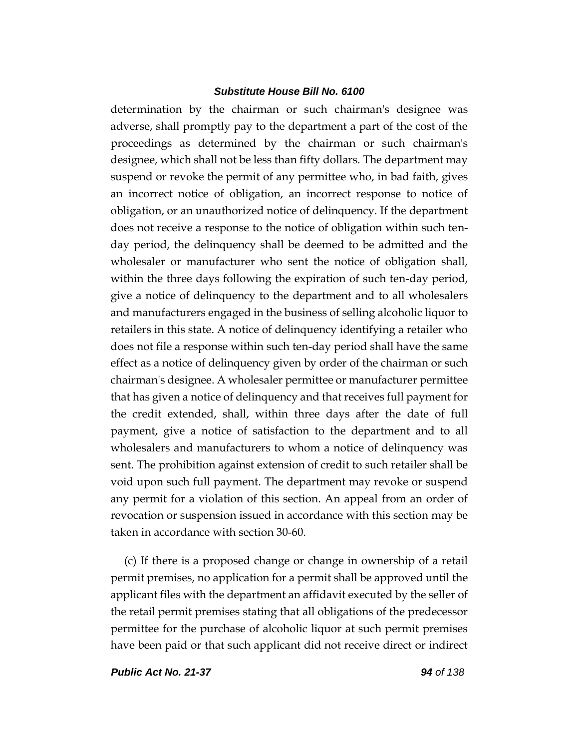determination by the chairman or such chairman's designee was adverse, shall promptly pay to the department a part of the cost of the proceedings as determined by the chairman or such chairman's designee, which shall not be less than fifty dollars. The department may suspend or revoke the permit of any permittee who, in bad faith, gives an incorrect notice of obligation, an incorrect response to notice of obligation, or an unauthorized notice of delinquency. If the department does not receive a response to the notice of obligation within such tenday period, the delinquency shall be deemed to be admitted and the wholesaler or manufacturer who sent the notice of obligation shall, within the three days following the expiration of such ten-day period, give a notice of delinquency to the department and to all wholesalers and manufacturers engaged in the business of selling alcoholic liquor to retailers in this state. A notice of delinquency identifying a retailer who does not file a response within such ten-day period shall have the same effect as a notice of delinquency given by order of the chairman or such chairman's designee. A wholesaler permittee or manufacturer permittee that has given a notice of delinquency and that receives full payment for the credit extended, shall, within three days after the date of full payment, give a notice of satisfaction to the department and to all wholesalers and manufacturers to whom a notice of delinquency was sent. The prohibition against extension of credit to such retailer shall be void upon such full payment. The department may revoke or suspend any permit for a violation of this section. An appeal from an order of revocation or suspension issued in accordance with this section may be taken in accordance with section 30-60.

(c) If there is a proposed change or change in ownership of a retail permit premises, no application for a permit shall be approved until the applicant files with the department an affidavit executed by the seller of the retail permit premises stating that all obligations of the predecessor permittee for the purchase of alcoholic liquor at such permit premises have been paid or that such applicant did not receive direct or indirect

*Public Act No. 21-37 94 of 138*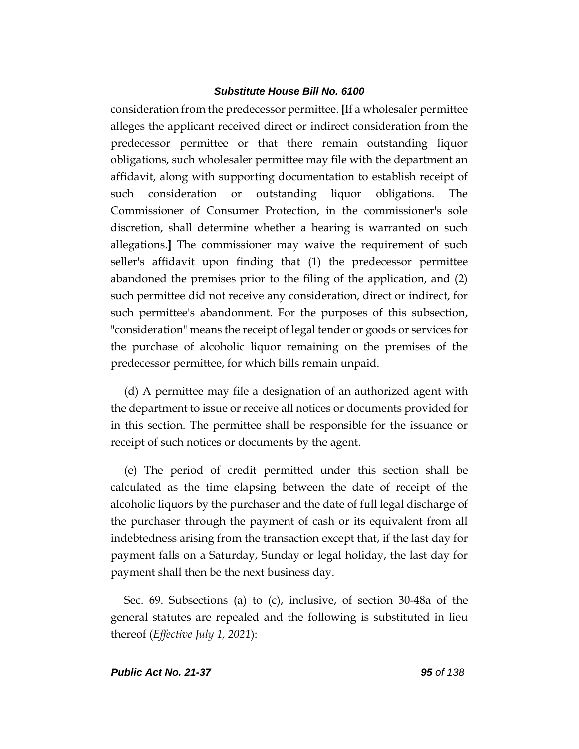consideration from the predecessor permittee. **[**If a wholesaler permittee alleges the applicant received direct or indirect consideration from the predecessor permittee or that there remain outstanding liquor obligations, such wholesaler permittee may file with the department an affidavit, along with supporting documentation to establish receipt of such consideration or outstanding liquor obligations. The Commissioner of Consumer Protection, in the commissioner's sole discretion, shall determine whether a hearing is warranted on such allegations.**]** The commissioner may waive the requirement of such seller's affidavit upon finding that (1) the predecessor permittee abandoned the premises prior to the filing of the application, and (2) such permittee did not receive any consideration, direct or indirect, for such permittee's abandonment. For the purposes of this subsection, "consideration" means the receipt of legal tender or goods or services for the purchase of alcoholic liquor remaining on the premises of the predecessor permittee, for which bills remain unpaid.

(d) A permittee may file a designation of an authorized agent with the department to issue or receive all notices or documents provided for in this section. The permittee shall be responsible for the issuance or receipt of such notices or documents by the agent.

(e) The period of credit permitted under this section shall be calculated as the time elapsing between the date of receipt of the alcoholic liquors by the purchaser and the date of full legal discharge of the purchaser through the payment of cash or its equivalent from all indebtedness arising from the transaction except that, if the last day for payment falls on a Saturday, Sunday or legal holiday, the last day for payment shall then be the next business day.

Sec. 69. Subsections (a) to (c), inclusive, of section 30-48a of the general statutes are repealed and the following is substituted in lieu thereof (*Effective July 1, 2021*):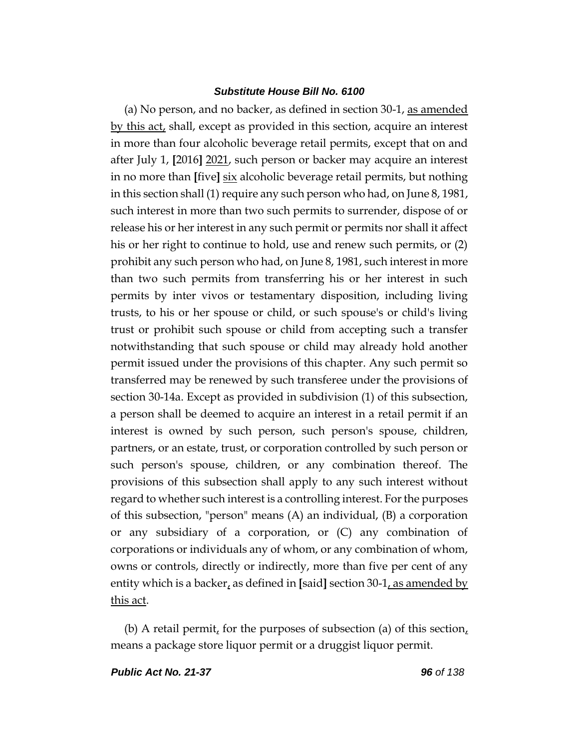(a) No person, and no backer, as defined in section 30-1, as amended by this act, shall, except as provided in this section, acquire an interest in more than four alcoholic beverage retail permits, except that on and after July 1, **[**2016**]** 2021, such person or backer may acquire an interest in no more than **[**five**]** six alcoholic beverage retail permits, but nothing in this section shall (1) require any such person who had, on June 8, 1981, such interest in more than two such permits to surrender, dispose of or release his or her interest in any such permit or permits nor shall it affect his or her right to continue to hold, use and renew such permits, or (2) prohibit any such person who had, on June 8, 1981, such interest in more than two such permits from transferring his or her interest in such permits by inter vivos or testamentary disposition, including living trusts, to his or her spouse or child, or such spouse's or child's living trust or prohibit such spouse or child from accepting such a transfer notwithstanding that such spouse or child may already hold another permit issued under the provisions of this chapter. Any such permit so transferred may be renewed by such transferee under the provisions of section 30-14a. Except as provided in subdivision (1) of this subsection, a person shall be deemed to acquire an interest in a retail permit if an interest is owned by such person, such person's spouse, children, partners, or an estate, trust, or corporation controlled by such person or such person's spouse, children, or any combination thereof. The provisions of this subsection shall apply to any such interest without regard to whether such interest is a controlling interest. For the purposes of this subsection, "person" means (A) an individual, (B) a corporation or any subsidiary of a corporation, or (C) any combination of corporations or individuals any of whom, or any combination of whom, owns or controls, directly or indirectly, more than five per cent of any entity which is a backer, as defined in **[**said**]** section 30-1, as amended by this act.

(b) A retail permit, for the purposes of subsection (a) of this section, means a package store liquor permit or a druggist liquor permit.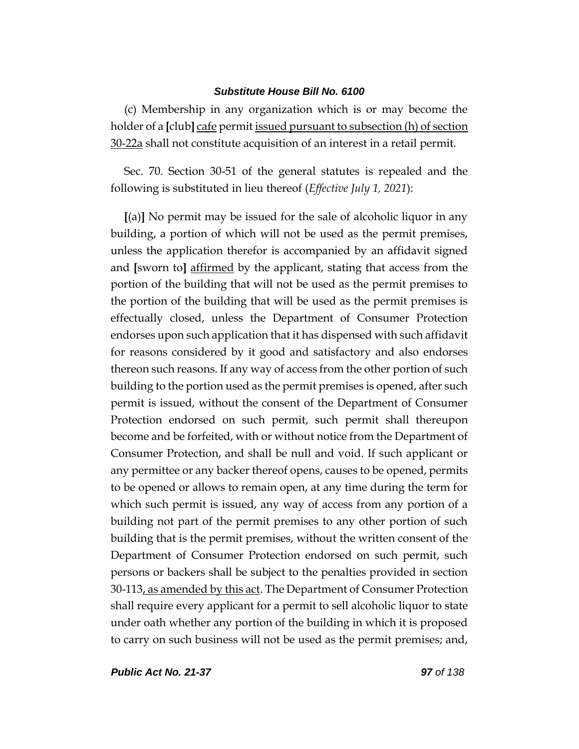(c) Membership in any organization which is or may become the holder of a **[**club**]** cafe permit issued pursuant to subsection (h) of section 30-22a shall not constitute acquisition of an interest in a retail permit.

Sec. 70. Section 30-51 of the general statutes is repealed and the following is substituted in lieu thereof (*Effective July 1, 2021*):

**[**(a)**]** No permit may be issued for the sale of alcoholic liquor in any building, a portion of which will not be used as the permit premises, unless the application therefor is accompanied by an affidavit signed and **[**sworn to**]** affirmed by the applicant, stating that access from the portion of the building that will not be used as the permit premises to the portion of the building that will be used as the permit premises is effectually closed, unless the Department of Consumer Protection endorses upon such application that it has dispensed with such affidavit for reasons considered by it good and satisfactory and also endorses thereon such reasons. If any way of access from the other portion of such building to the portion used as the permit premises is opened, after such permit is issued, without the consent of the Department of Consumer Protection endorsed on such permit, such permit shall thereupon become and be forfeited, with or without notice from the Department of Consumer Protection, and shall be null and void. If such applicant or any permittee or any backer thereof opens, causes to be opened, permits to be opened or allows to remain open, at any time during the term for which such permit is issued, any way of access from any portion of a building not part of the permit premises to any other portion of such building that is the permit premises, without the written consent of the Department of Consumer Protection endorsed on such permit, such persons or backers shall be subject to the penalties provided in section 30-113, as amended by this act. The Department of Consumer Protection shall require every applicant for a permit to sell alcoholic liquor to state under oath whether any portion of the building in which it is proposed to carry on such business will not be used as the permit premises; and,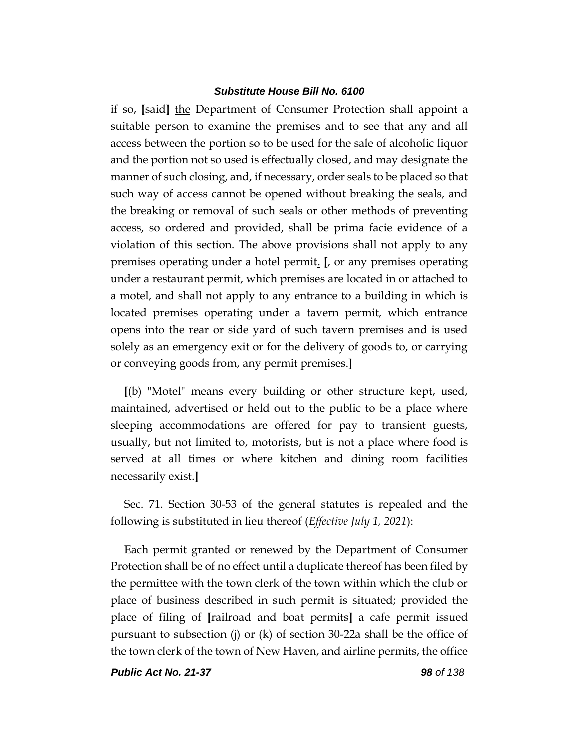if so, **[**said**]** the Department of Consumer Protection shall appoint a suitable person to examine the premises and to see that any and all access between the portion so to be used for the sale of alcoholic liquor and the portion not so used is effectually closed, and may designate the manner of such closing, and, if necessary, order seals to be placed so that such way of access cannot be opened without breaking the seals, and the breaking or removal of such seals or other methods of preventing access, so ordered and provided, shall be prima facie evidence of a violation of this section. The above provisions shall not apply to any premises operating under a hotel permit. **[**, or any premises operating under a restaurant permit, which premises are located in or attached to a motel, and shall not apply to any entrance to a building in which is located premises operating under a tavern permit, which entrance opens into the rear or side yard of such tavern premises and is used solely as an emergency exit or for the delivery of goods to, or carrying or conveying goods from, any permit premises.**]**

**[**(b) "Motel" means every building or other structure kept, used, maintained, advertised or held out to the public to be a place where sleeping accommodations are offered for pay to transient guests, usually, but not limited to, motorists, but is not a place where food is served at all times or where kitchen and dining room facilities necessarily exist.**]**

Sec. 71. Section 30-53 of the general statutes is repealed and the following is substituted in lieu thereof (*Effective July 1, 2021*):

Each permit granted or renewed by the Department of Consumer Protection shall be of no effect until a duplicate thereof has been filed by the permittee with the town clerk of the town within which the club or place of business described in such permit is situated; provided the place of filing of **[**railroad and boat permits**]** a cafe permit issued pursuant to subsection (j) or (k) of section 30-22a shall be the office of the town clerk of the town of New Haven, and airline permits, the office

*Public Act No. 21-37 98 of 138*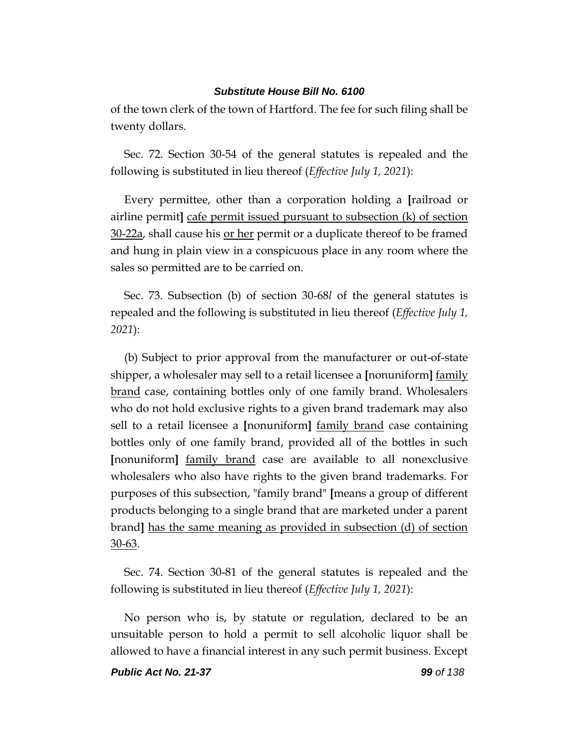of the town clerk of the town of Hartford. The fee for such filing shall be twenty dollars.

Sec. 72. Section 30-54 of the general statutes is repealed and the following is substituted in lieu thereof (*Effective July 1, 2021*):

Every permittee, other than a corporation holding a **[**railroad or airline permit**]** cafe permit issued pursuant to subsection (k) of section 30-22a, shall cause his <u>or her</u> permit or a duplicate thereof to be framed and hung in plain view in a conspicuous place in any room where the sales so permitted are to be carried on.

Sec. 73. Subsection (b) of section 30-68*l* of the general statutes is repealed and the following is substituted in lieu thereof (*Effective July 1, 2021*):

(b) Subject to prior approval from the manufacturer or out-of-state shipper, a wholesaler may sell to a retail licensee a **[**nonuniform**]** family brand case, containing bottles only of one family brand. Wholesalers who do not hold exclusive rights to a given brand trademark may also sell to a retail licensee a **[**nonuniform**]** family brand case containing bottles only of one family brand, provided all of the bottles in such **[**nonuniform**]** family brand case are available to all nonexclusive wholesalers who also have rights to the given brand trademarks. For purposes of this subsection, "family brand" **[**means a group of different products belonging to a single brand that are marketed under a parent brand**]** has the same meaning as provided in subsection (d) of section 30-63.

Sec. 74. Section 30-81 of the general statutes is repealed and the following is substituted in lieu thereof (*Effective July 1, 2021*):

No person who is, by statute or regulation, declared to be an unsuitable person to hold a permit to sell alcoholic liquor shall be allowed to have a financial interest in any such permit business. Except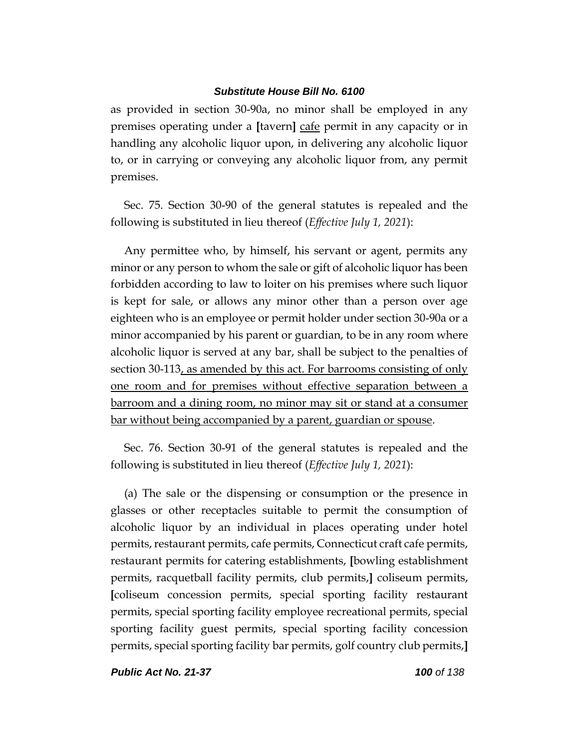as provided in section 30-90a, no minor shall be employed in any premises operating under a **[**tavern**]** cafe permit in any capacity or in handling any alcoholic liquor upon, in delivering any alcoholic liquor to, or in carrying or conveying any alcoholic liquor from, any permit premises.

Sec. 75. Section 30-90 of the general statutes is repealed and the following is substituted in lieu thereof (*Effective July 1, 2021*):

Any permittee who, by himself, his servant or agent, permits any minor or any person to whom the sale or gift of alcoholic liquor has been forbidden according to law to loiter on his premises where such liquor is kept for sale, or allows any minor other than a person over age eighteen who is an employee or permit holder under section 30-90a or a minor accompanied by his parent or guardian, to be in any room where alcoholic liquor is served at any bar, shall be subject to the penalties of section 30-113, as amended by this act. For barrooms consisting of only one room and for premises without effective separation between a barroom and a dining room, no minor may sit or stand at a consumer bar without being accompanied by a parent, guardian or spouse.

Sec. 76. Section 30-91 of the general statutes is repealed and the following is substituted in lieu thereof (*Effective July 1, 2021*):

(a) The sale or the dispensing or consumption or the presence in glasses or other receptacles suitable to permit the consumption of alcoholic liquor by an individual in places operating under hotel permits, restaurant permits, cafe permits, Connecticut craft cafe permits, restaurant permits for catering establishments, **[**bowling establishment permits, racquetball facility permits, club permits,**]** coliseum permits, **[**coliseum concession permits, special sporting facility restaurant permits, special sporting facility employee recreational permits, special sporting facility guest permits, special sporting facility concession permits, special sporting facility bar permits, golf country club permits,**]**

*Public Act No. 21-37 100 of 138*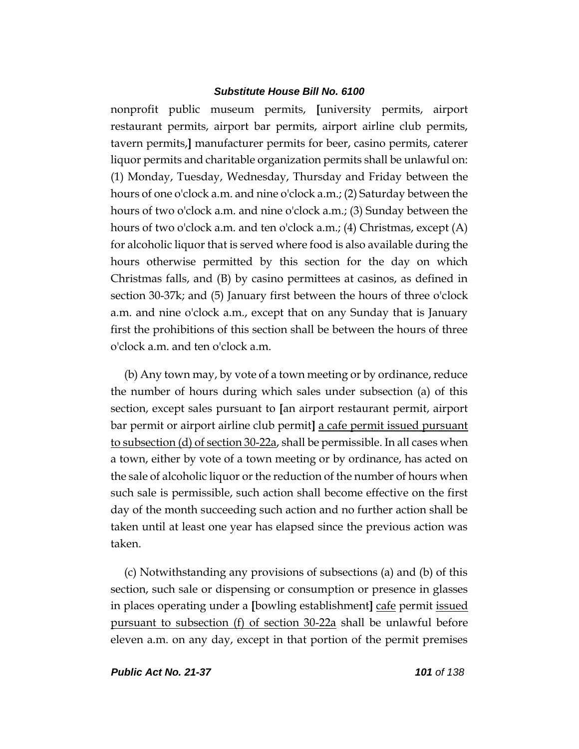nonprofit public museum permits, **[**university permits, airport restaurant permits, airport bar permits, airport airline club permits, tavern permits,**]** manufacturer permits for beer, casino permits, caterer liquor permits and charitable organization permits shall be unlawful on: (1) Monday, Tuesday, Wednesday, Thursday and Friday between the hours of one o'clock a.m. and nine o'clock a.m.; (2) Saturday between the hours of two o'clock a.m. and nine o'clock a.m.; (3) Sunday between the hours of two o'clock a.m. and ten o'clock a.m.; (4) Christmas, except (A) for alcoholic liquor that is served where food is also available during the hours otherwise permitted by this section for the day on which Christmas falls, and (B) by casino permittees at casinos, as defined in section 30-37k; and (5) January first between the hours of three o'clock a.m. and nine o'clock a.m., except that on any Sunday that is January first the prohibitions of this section shall be between the hours of three o'clock a.m. and ten o'clock a.m.

(b) Any town may, by vote of a town meeting or by ordinance, reduce the number of hours during which sales under subsection (a) of this section, except sales pursuant to **[**an airport restaurant permit, airport bar permit or airport airline club permit**]** a cafe permit issued pursuant to subsection (d) of section 30-22a, shall be permissible. In all cases when a town, either by vote of a town meeting or by ordinance, has acted on the sale of alcoholic liquor or the reduction of the number of hours when such sale is permissible, such action shall become effective on the first day of the month succeeding such action and no further action shall be taken until at least one year has elapsed since the previous action was taken.

(c) Notwithstanding any provisions of subsections (a) and (b) of this section, such sale or dispensing or consumption or presence in glasses in places operating under a **[**bowling establishment**]** cafe permit issued pursuant to subsection (f) of section 30-22a shall be unlawful before eleven a.m. on any day, except in that portion of the permit premises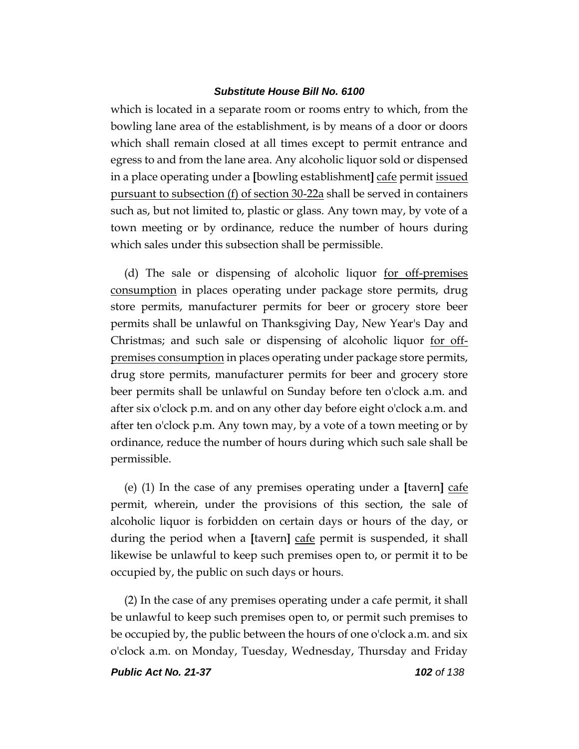which is located in a separate room or rooms entry to which, from the bowling lane area of the establishment, is by means of a door or doors which shall remain closed at all times except to permit entrance and egress to and from the lane area. Any alcoholic liquor sold or dispensed in a place operating under a **[**bowling establishment**]** cafe permit issued pursuant to subsection (f) of section 30-22a shall be served in containers such as, but not limited to, plastic or glass. Any town may, by vote of a town meeting or by ordinance, reduce the number of hours during which sales under this subsection shall be permissible.

(d) The sale or dispensing of alcoholic liquor for off-premises consumption in places operating under package store permits, drug store permits, manufacturer permits for beer or grocery store beer permits shall be unlawful on Thanksgiving Day, New Year's Day and Christmas; and such sale or dispensing of alcoholic liquor for offpremises consumption in places operating under package store permits, drug store permits, manufacturer permits for beer and grocery store beer permits shall be unlawful on Sunday before ten o'clock a.m. and after six o'clock p.m. and on any other day before eight o'clock a.m. and after ten o'clock p.m. Any town may, by a vote of a town meeting or by ordinance, reduce the number of hours during which such sale shall be permissible.

(e) (1) In the case of any premises operating under a **[**tavern**]** cafe permit, wherein, under the provisions of this section, the sale of alcoholic liquor is forbidden on certain days or hours of the day, or during the period when a **[**tavern**]** cafe permit is suspended, it shall likewise be unlawful to keep such premises open to, or permit it to be occupied by, the public on such days or hours.

(2) In the case of any premises operating under a cafe permit, it shall be unlawful to keep such premises open to, or permit such premises to be occupied by, the public between the hours of one o'clock a.m. and six o'clock a.m. on Monday, Tuesday, Wednesday, Thursday and Friday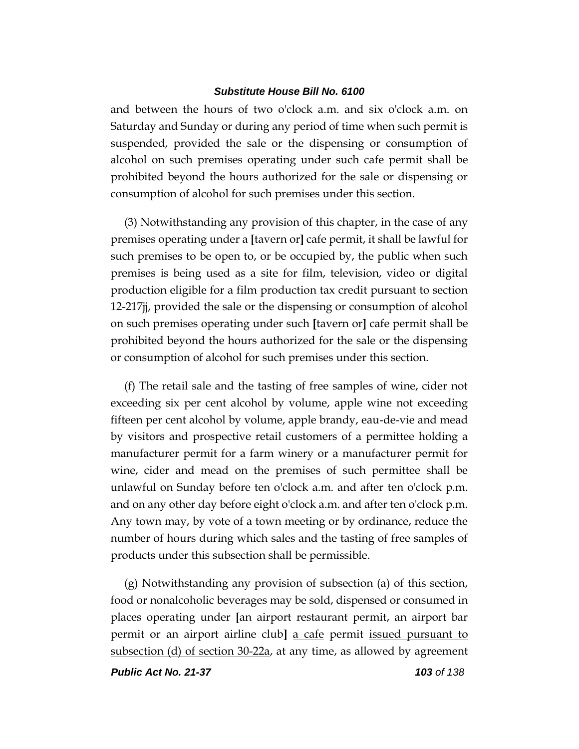and between the hours of two o'clock a.m. and six o'clock a.m. on Saturday and Sunday or during any period of time when such permit is suspended, provided the sale or the dispensing or consumption of alcohol on such premises operating under such cafe permit shall be prohibited beyond the hours authorized for the sale or dispensing or consumption of alcohol for such premises under this section.

(3) Notwithstanding any provision of this chapter, in the case of any premises operating under a **[**tavern or**]** cafe permit, it shall be lawful for such premises to be open to, or be occupied by, the public when such premises is being used as a site for film, television, video or digital production eligible for a film production tax credit pursuant to section 12-217jj, provided the sale or the dispensing or consumption of alcohol on such premises operating under such **[**tavern or**]** cafe permit shall be prohibited beyond the hours authorized for the sale or the dispensing or consumption of alcohol for such premises under this section.

(f) The retail sale and the tasting of free samples of wine, cider not exceeding six per cent alcohol by volume, apple wine not exceeding fifteen per cent alcohol by volume, apple brandy, eau-de-vie and mead by visitors and prospective retail customers of a permittee holding a manufacturer permit for a farm winery or a manufacturer permit for wine, cider and mead on the premises of such permittee shall be unlawful on Sunday before ten o'clock a.m. and after ten o'clock p.m. and on any other day before eight o'clock a.m. and after ten o'clock p.m. Any town may, by vote of a town meeting or by ordinance, reduce the number of hours during which sales and the tasting of free samples of products under this subsection shall be permissible.

(g) Notwithstanding any provision of subsection (a) of this section, food or nonalcoholic beverages may be sold, dispensed or consumed in places operating under **[**an airport restaurant permit, an airport bar permit or an airport airline club**]** a cafe permit issued pursuant to subsection (d) of section 30-22a, at any time, as allowed by agreement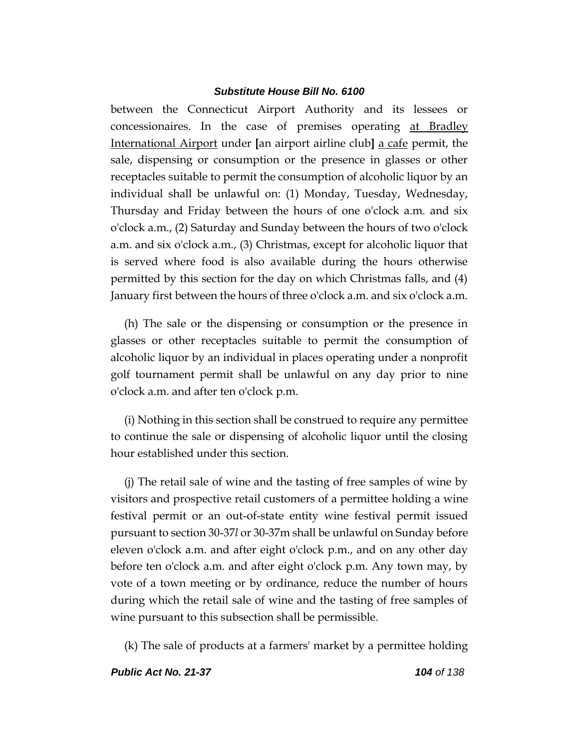between the Connecticut Airport Authority and its lessees or concessionaires. In the case of premises operating at Bradley International Airport under **[**an airport airline club**]** a cafe permit, the sale, dispensing or consumption or the presence in glasses or other receptacles suitable to permit the consumption of alcoholic liquor by an individual shall be unlawful on: (1) Monday, Tuesday, Wednesday, Thursday and Friday between the hours of one o'clock a.m. and six o'clock a.m., (2) Saturday and Sunday between the hours of two o'clock a.m. and six o'clock a.m., (3) Christmas, except for alcoholic liquor that is served where food is also available during the hours otherwise permitted by this section for the day on which Christmas falls, and (4) January first between the hours of three o'clock a.m. and six o'clock a.m.

(h) The sale or the dispensing or consumption or the presence in glasses or other receptacles suitable to permit the consumption of alcoholic liquor by an individual in places operating under a nonprofit golf tournament permit shall be unlawful on any day prior to nine o'clock a.m. and after ten o'clock p.m.

(i) Nothing in this section shall be construed to require any permittee to continue the sale or dispensing of alcoholic liquor until the closing hour established under this section.

(j) The retail sale of wine and the tasting of free samples of wine by visitors and prospective retail customers of a permittee holding a wine festival permit or an out-of-state entity wine festival permit issued pursuant to section 30-37*l* or 30-37m shall be unlawful on Sunday before eleven o'clock a.m. and after eight o'clock p.m., and on any other day before ten o'clock a.m. and after eight o'clock p.m. Any town may, by vote of a town meeting or by ordinance, reduce the number of hours during which the retail sale of wine and the tasting of free samples of wine pursuant to this subsection shall be permissible.

(k) The sale of products at a farmers' market by a permittee holding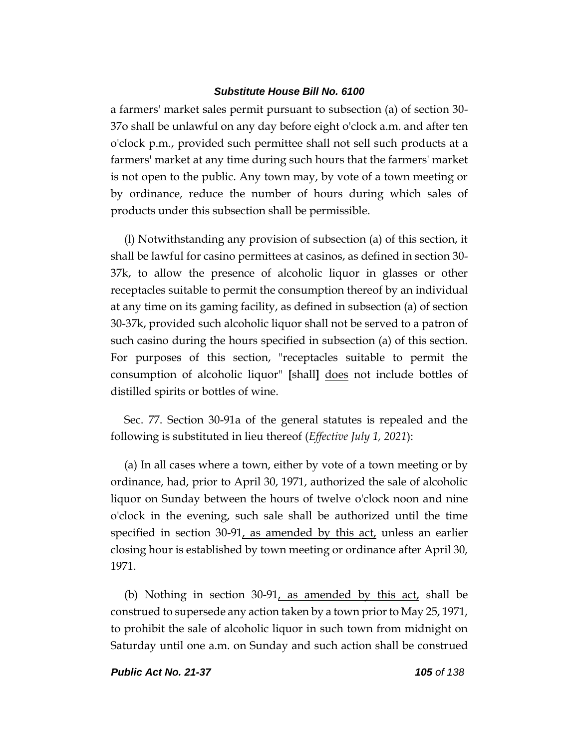a farmers' market sales permit pursuant to subsection (a) of section 30- 37o shall be unlawful on any day before eight o'clock a.m. and after ten o'clock p.m., provided such permittee shall not sell such products at a farmers' market at any time during such hours that the farmers' market is not open to the public. Any town may, by vote of a town meeting or by ordinance, reduce the number of hours during which sales of products under this subsection shall be permissible.

(l) Notwithstanding any provision of subsection (a) of this section, it shall be lawful for casino permittees at casinos, as defined in section 30- 37k, to allow the presence of alcoholic liquor in glasses or other receptacles suitable to permit the consumption thereof by an individual at any time on its gaming facility, as defined in subsection (a) of section 30-37k, provided such alcoholic liquor shall not be served to a patron of such casino during the hours specified in subsection (a) of this section. For purposes of this section, "receptacles suitable to permit the consumption of alcoholic liquor" **[**shall**]** does not include bottles of distilled spirits or bottles of wine.

Sec. 77. Section 30-91a of the general statutes is repealed and the following is substituted in lieu thereof (*Effective July 1, 2021*):

(a) In all cases where a town, either by vote of a town meeting or by ordinance, had, prior to April 30, 1971, authorized the sale of alcoholic liquor on Sunday between the hours of twelve o'clock noon and nine o'clock in the evening, such sale shall be authorized until the time specified in section  $30-91$ , as amended by this act, unless an earlier closing hour is established by town meeting or ordinance after April 30, 1971.

(b) Nothing in section 30-91, as amended by this act, shall be construed to supersede any action taken by a town prior to May 25, 1971, to prohibit the sale of alcoholic liquor in such town from midnight on Saturday until one a.m. on Sunday and such action shall be construed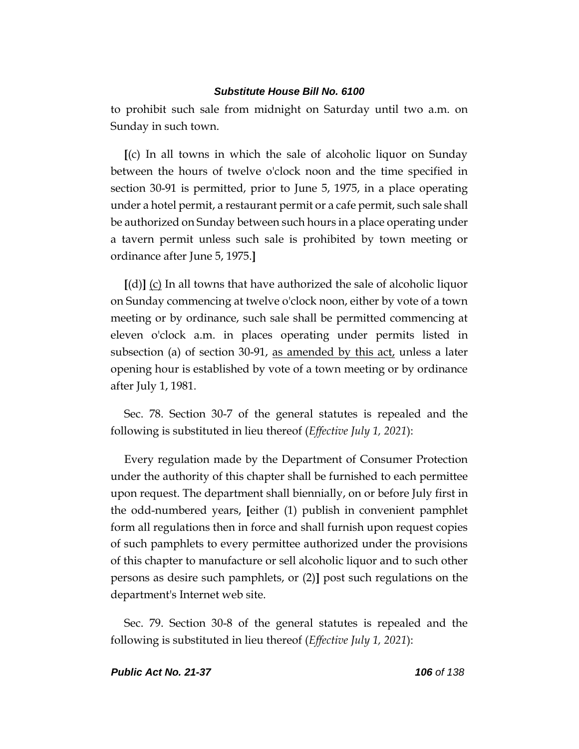to prohibit such sale from midnight on Saturday until two a.m. on Sunday in such town.

**[**(c) In all towns in which the sale of alcoholic liquor on Sunday between the hours of twelve o'clock noon and the time specified in section 30-91 is permitted, prior to June 5, 1975, in a place operating under a hotel permit, a restaurant permit or a cafe permit, such sale shall be authorized on Sunday between such hours in a place operating under a tavern permit unless such sale is prohibited by town meeting or ordinance after June 5, 1975.**]**

**[**(d)**]** (c) In all towns that have authorized the sale of alcoholic liquor on Sunday commencing at twelve o'clock noon, either by vote of a town meeting or by ordinance, such sale shall be permitted commencing at eleven o'clock a.m. in places operating under permits listed in subsection (a) of section 30-91, as amended by this  $act$ , unless a later opening hour is established by vote of a town meeting or by ordinance after July 1, 1981.

Sec. 78. Section 30-7 of the general statutes is repealed and the following is substituted in lieu thereof (*Effective July 1, 2021*):

Every regulation made by the Department of Consumer Protection under the authority of this chapter shall be furnished to each permittee upon request. The department shall biennially, on or before July first in the odd-numbered years, **[**either (1) publish in convenient pamphlet form all regulations then in force and shall furnish upon request copies of such pamphlets to every permittee authorized under the provisions of this chapter to manufacture or sell alcoholic liquor and to such other persons as desire such pamphlets, or (2)**]** post such regulations on the department's Internet web site.

Sec. 79. Section 30-8 of the general statutes is repealed and the following is substituted in lieu thereof (*Effective July 1, 2021*):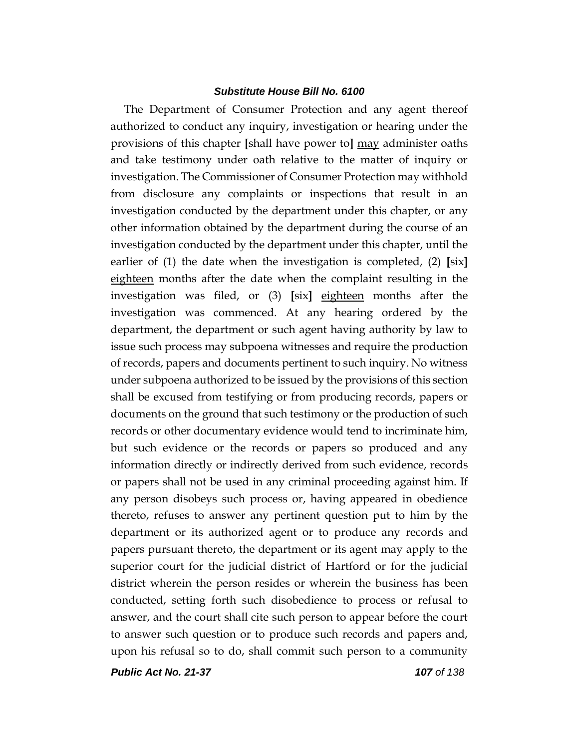The Department of Consumer Protection and any agent thereof authorized to conduct any inquiry, investigation or hearing under the provisions of this chapter **[**shall have power to**]** may administer oaths and take testimony under oath relative to the matter of inquiry or investigation. The Commissioner of Consumer Protection may withhold from disclosure any complaints or inspections that result in an investigation conducted by the department under this chapter, or any other information obtained by the department during the course of an investigation conducted by the department under this chapter, until the earlier of (1) the date when the investigation is completed, (2) **[**six**]** eighteen months after the date when the complaint resulting in the investigation was filed, or (3) **[**six**]** eighteen months after the investigation was commenced. At any hearing ordered by the department, the department or such agent having authority by law to issue such process may subpoena witnesses and require the production of records, papers and documents pertinent to such inquiry. No witness under subpoena authorized to be issued by the provisions of this section shall be excused from testifying or from producing records, papers or documents on the ground that such testimony or the production of such records or other documentary evidence would tend to incriminate him, but such evidence or the records or papers so produced and any information directly or indirectly derived from such evidence, records or papers shall not be used in any criminal proceeding against him. If any person disobeys such process or, having appeared in obedience thereto, refuses to answer any pertinent question put to him by the department or its authorized agent or to produce any records and papers pursuant thereto, the department or its agent may apply to the superior court for the judicial district of Hartford or for the judicial district wherein the person resides or wherein the business has been conducted, setting forth such disobedience to process or refusal to answer, and the court shall cite such person to appear before the court to answer such question or to produce such records and papers and, upon his refusal so to do, shall commit such person to a community

*Public Act No. 21-37 107 of 138*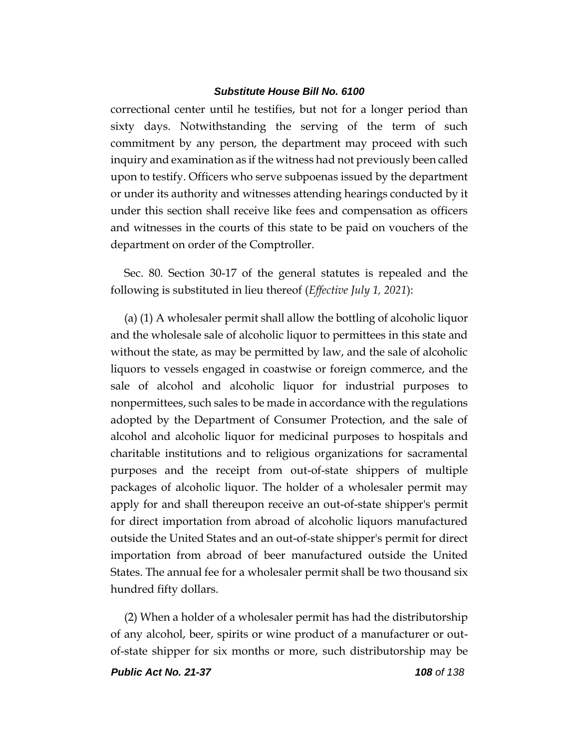correctional center until he testifies, but not for a longer period than sixty days. Notwithstanding the serving of the term of such commitment by any person, the department may proceed with such inquiry and examination as if the witness had not previously been called upon to testify. Officers who serve subpoenas issued by the department or under its authority and witnesses attending hearings conducted by it under this section shall receive like fees and compensation as officers and witnesses in the courts of this state to be paid on vouchers of the department on order of the Comptroller.

Sec. 80. Section 30-17 of the general statutes is repealed and the following is substituted in lieu thereof (*Effective July 1, 2021*):

(a) (1) A wholesaler permit shall allow the bottling of alcoholic liquor and the wholesale sale of alcoholic liquor to permittees in this state and without the state, as may be permitted by law, and the sale of alcoholic liquors to vessels engaged in coastwise or foreign commerce, and the sale of alcohol and alcoholic liquor for industrial purposes to nonpermittees, such sales to be made in accordance with the regulations adopted by the Department of Consumer Protection, and the sale of alcohol and alcoholic liquor for medicinal purposes to hospitals and charitable institutions and to religious organizations for sacramental purposes and the receipt from out-of-state shippers of multiple packages of alcoholic liquor. The holder of a wholesaler permit may apply for and shall thereupon receive an out-of-state shipper's permit for direct importation from abroad of alcoholic liquors manufactured outside the United States and an out-of-state shipper's permit for direct importation from abroad of beer manufactured outside the United States. The annual fee for a wholesaler permit shall be two thousand six hundred fifty dollars.

(2) When a holder of a wholesaler permit has had the distributorship of any alcohol, beer, spirits or wine product of a manufacturer or outof-state shipper for six months or more, such distributorship may be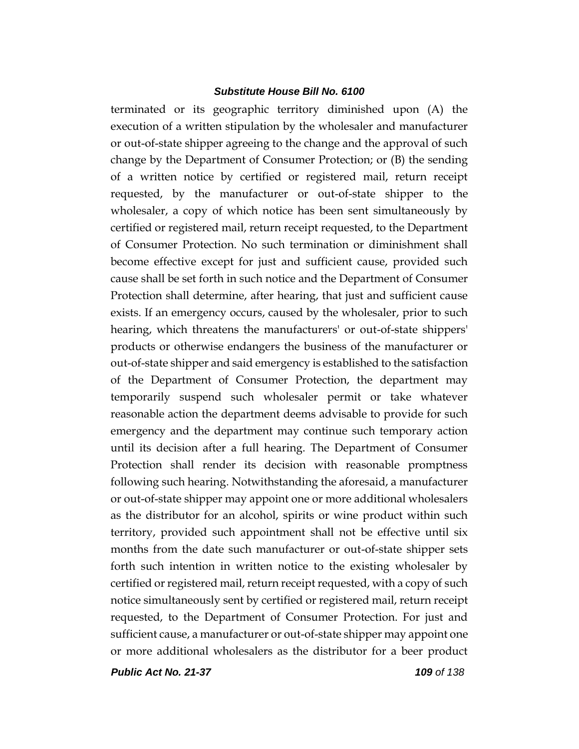terminated or its geographic territory diminished upon (A) the execution of a written stipulation by the wholesaler and manufacturer or out-of-state shipper agreeing to the change and the approval of such change by the Department of Consumer Protection; or (B) the sending of a written notice by certified or registered mail, return receipt requested, by the manufacturer or out-of-state shipper to the wholesaler, a copy of which notice has been sent simultaneously by certified or registered mail, return receipt requested, to the Department of Consumer Protection. No such termination or diminishment shall become effective except for just and sufficient cause, provided such cause shall be set forth in such notice and the Department of Consumer Protection shall determine, after hearing, that just and sufficient cause exists. If an emergency occurs, caused by the wholesaler, prior to such hearing, which threatens the manufacturers' or out-of-state shippers' products or otherwise endangers the business of the manufacturer or out-of-state shipper and said emergency is established to the satisfaction of the Department of Consumer Protection, the department may temporarily suspend such wholesaler permit or take whatever reasonable action the department deems advisable to provide for such emergency and the department may continue such temporary action until its decision after a full hearing. The Department of Consumer Protection shall render its decision with reasonable promptness following such hearing. Notwithstanding the aforesaid, a manufacturer or out-of-state shipper may appoint one or more additional wholesalers as the distributor for an alcohol, spirits or wine product within such territory, provided such appointment shall not be effective until six months from the date such manufacturer or out-of-state shipper sets forth such intention in written notice to the existing wholesaler by certified or registered mail, return receipt requested, with a copy of such notice simultaneously sent by certified or registered mail, return receipt requested, to the Department of Consumer Protection. For just and sufficient cause, a manufacturer or out-of-state shipper may appoint one or more additional wholesalers as the distributor for a beer product

*Public Act No. 21-37 109 of 138*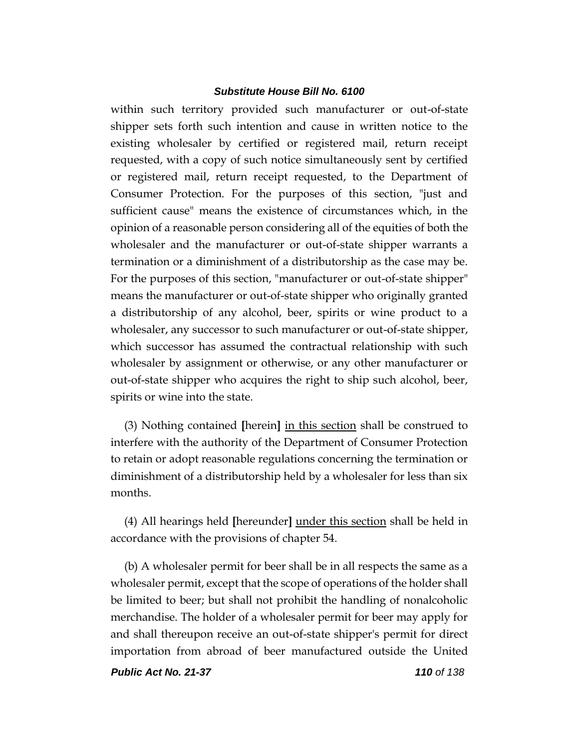within such territory provided such manufacturer or out-of-state shipper sets forth such intention and cause in written notice to the existing wholesaler by certified or registered mail, return receipt requested, with a copy of such notice simultaneously sent by certified or registered mail, return receipt requested, to the Department of Consumer Protection. For the purposes of this section, "just and sufficient cause" means the existence of circumstances which, in the opinion of a reasonable person considering all of the equities of both the wholesaler and the manufacturer or out-of-state shipper warrants a termination or a diminishment of a distributorship as the case may be. For the purposes of this section, "manufacturer or out-of-state shipper" means the manufacturer or out-of-state shipper who originally granted a distributorship of any alcohol, beer, spirits or wine product to a wholesaler, any successor to such manufacturer or out-of-state shipper, which successor has assumed the contractual relationship with such wholesaler by assignment or otherwise, or any other manufacturer or out-of-state shipper who acquires the right to ship such alcohol, beer, spirits or wine into the state.

(3) Nothing contained **[**herein**]** in this section shall be construed to interfere with the authority of the Department of Consumer Protection to retain or adopt reasonable regulations concerning the termination or diminishment of a distributorship held by a wholesaler for less than six months.

(4) All hearings held **[**hereunder**]** under this section shall be held in accordance with the provisions of chapter 54.

(b) A wholesaler permit for beer shall be in all respects the same as a wholesaler permit, except that the scope of operations of the holder shall be limited to beer; but shall not prohibit the handling of nonalcoholic merchandise. The holder of a wholesaler permit for beer may apply for and shall thereupon receive an out-of-state shipper's permit for direct importation from abroad of beer manufactured outside the United

*Public Act No. 21-37 110 of 138*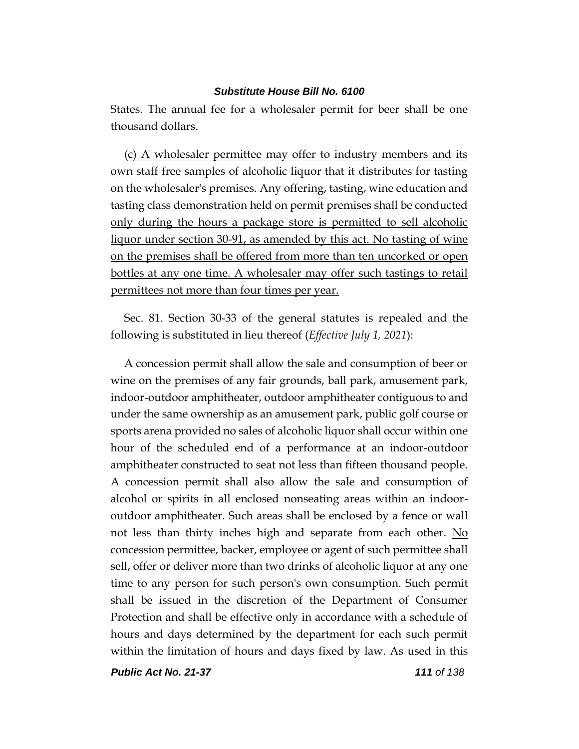States. The annual fee for a wholesaler permit for beer shall be one thousand dollars.

(c) A wholesaler permittee may offer to industry members and its own staff free samples of alcoholic liquor that it distributes for tasting on the wholesaler's premises. Any offering, tasting, wine education and tasting class demonstration held on permit premises shall be conducted only during the hours a package store is permitted to sell alcoholic liquor under section 30-91, as amended by this act. No tasting of wine on the premises shall be offered from more than ten uncorked or open bottles at any one time. A wholesaler may offer such tastings to retail permittees not more than four times per year.

Sec. 81. Section 30-33 of the general statutes is repealed and the following is substituted in lieu thereof (*Effective July 1, 2021*):

A concession permit shall allow the sale and consumption of beer or wine on the premises of any fair grounds, ball park, amusement park, indoor-outdoor amphitheater, outdoor amphitheater contiguous to and under the same ownership as an amusement park, public golf course or sports arena provided no sales of alcoholic liquor shall occur within one hour of the scheduled end of a performance at an indoor-outdoor amphitheater constructed to seat not less than fifteen thousand people. A concession permit shall also allow the sale and consumption of alcohol or spirits in all enclosed nonseating areas within an indooroutdoor amphitheater. Such areas shall be enclosed by a fence or wall not less than thirty inches high and separate from each other. No concession permittee, backer, employee or agent of such permittee shall sell, offer or deliver more than two drinks of alcoholic liquor at any one time to any person for such person's own consumption. Such permit shall be issued in the discretion of the Department of Consumer Protection and shall be effective only in accordance with a schedule of hours and days determined by the department for each such permit within the limitation of hours and days fixed by law. As used in this

*Public Act No. 21-37 111 of 138*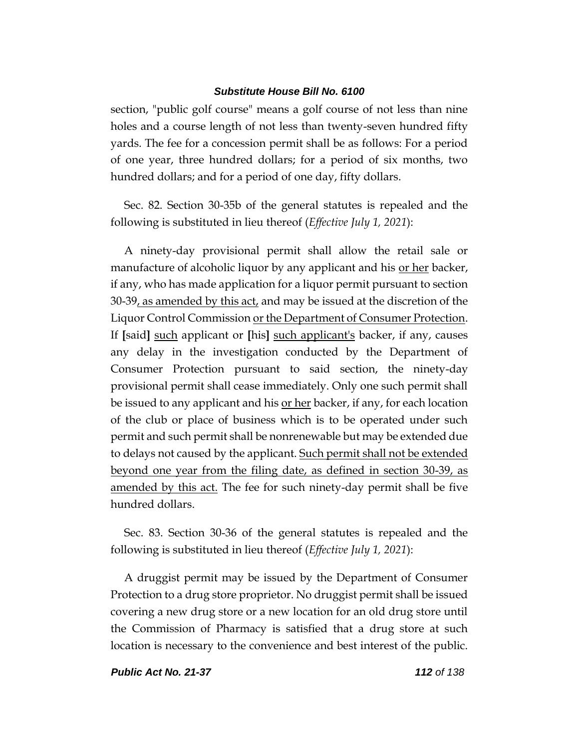section, "public golf course" means a golf course of not less than nine holes and a course length of not less than twenty-seven hundred fifty yards. The fee for a concession permit shall be as follows: For a period of one year, three hundred dollars; for a period of six months, two hundred dollars; and for a period of one day, fifty dollars.

Sec. 82. Section 30-35b of the general statutes is repealed and the following is substituted in lieu thereof (*Effective July 1, 2021*):

A ninety-day provisional permit shall allow the retail sale or manufacture of alcoholic liquor by any applicant and his <u>or her</u> backer, if any, who has made application for a liquor permit pursuant to section 30-39, as amended by this act, and may be issued at the discretion of the Liquor Control Commission or the Department of Consumer Protection. If **[**said**]** such applicant or **[**his**]** such applicant's backer, if any, causes any delay in the investigation conducted by the Department of Consumer Protection pursuant to said section, the ninety-day provisional permit shall cease immediately. Only one such permit shall be issued to any applicant and his <u>or her</u> backer, if any, for each location of the club or place of business which is to be operated under such permit and such permit shall be nonrenewable but may be extended due to delays not caused by the applicant. Such permit shall not be extended beyond one year from the filing date, as defined in section 30-39, as amended by this act. The fee for such ninety-day permit shall be five hundred dollars.

Sec. 83. Section 30-36 of the general statutes is repealed and the following is substituted in lieu thereof (*Effective July 1, 2021*):

A druggist permit may be issued by the Department of Consumer Protection to a drug store proprietor. No druggist permit shall be issued covering a new drug store or a new location for an old drug store until the Commission of Pharmacy is satisfied that a drug store at such location is necessary to the convenience and best interest of the public.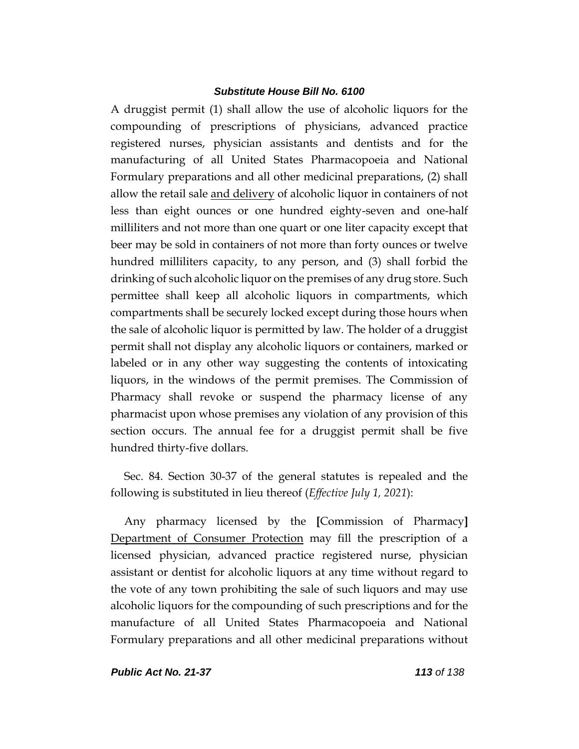A druggist permit (1) shall allow the use of alcoholic liquors for the compounding of prescriptions of physicians, advanced practice registered nurses, physician assistants and dentists and for the manufacturing of all United States Pharmacopoeia and National Formulary preparations and all other medicinal preparations, (2) shall allow the retail sale and delivery of alcoholic liquor in containers of not less than eight ounces or one hundred eighty-seven and one-half milliliters and not more than one quart or one liter capacity except that beer may be sold in containers of not more than forty ounces or twelve hundred milliliters capacity, to any person, and (3) shall forbid the drinking of such alcoholic liquor on the premises of any drug store. Such permittee shall keep all alcoholic liquors in compartments, which compartments shall be securely locked except during those hours when the sale of alcoholic liquor is permitted by law. The holder of a druggist permit shall not display any alcoholic liquors or containers, marked or labeled or in any other way suggesting the contents of intoxicating liquors, in the windows of the permit premises. The Commission of Pharmacy shall revoke or suspend the pharmacy license of any pharmacist upon whose premises any violation of any provision of this section occurs. The annual fee for a druggist permit shall be five hundred thirty-five dollars.

Sec. 84. Section 30-37 of the general statutes is repealed and the following is substituted in lieu thereof (*Effective July 1, 2021*):

Any pharmacy licensed by the **[**Commission of Pharmacy**]** Department of Consumer Protection may fill the prescription of a licensed physician, advanced practice registered nurse, physician assistant or dentist for alcoholic liquors at any time without regard to the vote of any town prohibiting the sale of such liquors and may use alcoholic liquors for the compounding of such prescriptions and for the manufacture of all United States Pharmacopoeia and National Formulary preparations and all other medicinal preparations without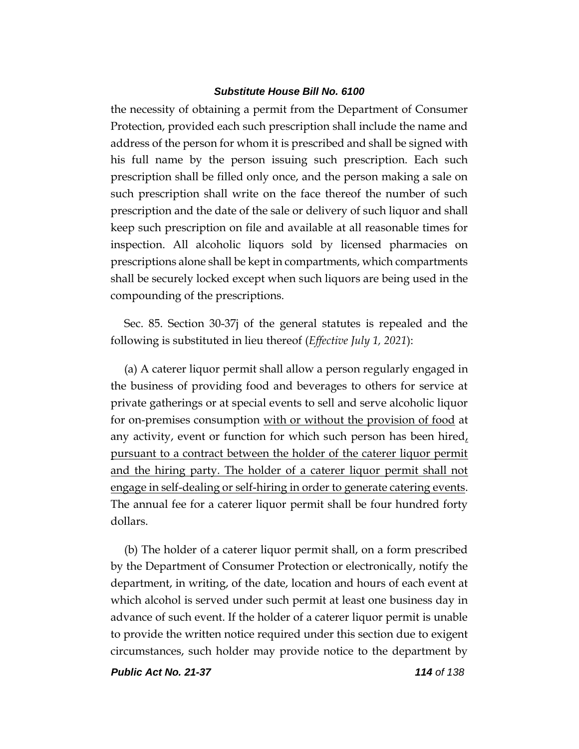the necessity of obtaining a permit from the Department of Consumer Protection, provided each such prescription shall include the name and address of the person for whom it is prescribed and shall be signed with his full name by the person issuing such prescription. Each such prescription shall be filled only once, and the person making a sale on such prescription shall write on the face thereof the number of such prescription and the date of the sale or delivery of such liquor and shall keep such prescription on file and available at all reasonable times for inspection. All alcoholic liquors sold by licensed pharmacies on prescriptions alone shall be kept in compartments, which compartments shall be securely locked except when such liquors are being used in the compounding of the prescriptions.

Sec. 85. Section 30-37j of the general statutes is repealed and the following is substituted in lieu thereof (*Effective July 1, 2021*):

(a) A caterer liquor permit shall allow a person regularly engaged in the business of providing food and beverages to others for service at private gatherings or at special events to sell and serve alcoholic liquor for on-premises consumption with or without the provision of food at any activity, event or function for which such person has been hired, pursuant to a contract between the holder of the caterer liquor permit and the hiring party. The holder of a caterer liquor permit shall not engage in self-dealing or self-hiring in order to generate catering events. The annual fee for a caterer liquor permit shall be four hundred forty dollars.

(b) The holder of a caterer liquor permit shall, on a form prescribed by the Department of Consumer Protection or electronically, notify the department, in writing, of the date, location and hours of each event at which alcohol is served under such permit at least one business day in advance of such event. If the holder of a caterer liquor permit is unable to provide the written notice required under this section due to exigent circumstances, such holder may provide notice to the department by

*Public Act No. 21-37 114 of 138*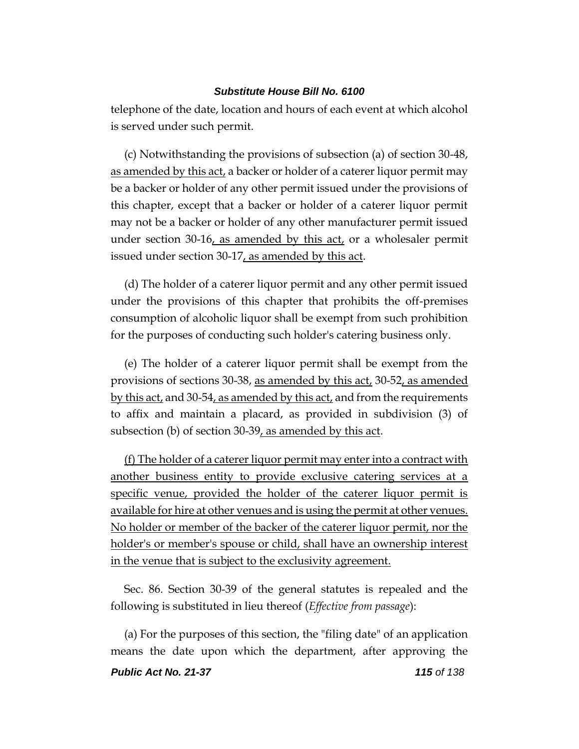telephone of the date, location and hours of each event at which alcohol is served under such permit.

(c) Notwithstanding the provisions of subsection (a) of section 30-48, as amended by this act, a backer or holder of a caterer liquor permit may be a backer or holder of any other permit issued under the provisions of this chapter, except that a backer or holder of a caterer liquor permit may not be a backer or holder of any other manufacturer permit issued under section 30-16, as amended by this act, or a wholesaler permit issued under section 30-17, as amended by this act.

(d) The holder of a caterer liquor permit and any other permit issued under the provisions of this chapter that prohibits the off-premises consumption of alcoholic liquor shall be exempt from such prohibition for the purposes of conducting such holder's catering business only.

(e) The holder of a caterer liquor permit shall be exempt from the provisions of sections 30-38, as amended by this act, 30-52, as amended by this act, and 30-54, as amended by this act, and from the requirements to affix and maintain a placard, as provided in subdivision (3) of subsection (b) of section 30-39, as amended by this act.

(f) The holder of a caterer liquor permit may enter into a contract with another business entity to provide exclusive catering services at a specific venue, provided the holder of the caterer liquor permit is available for hire at other venues and is using the permit at other venues. No holder or member of the backer of the caterer liquor permit, nor the holder's or member's spouse or child, shall have an ownership interest in the venue that is subject to the exclusivity agreement.

Sec. 86. Section 30-39 of the general statutes is repealed and the following is substituted in lieu thereof (*Effective from passage*):

(a) For the purposes of this section, the "filing date" of an application means the date upon which the department, after approving the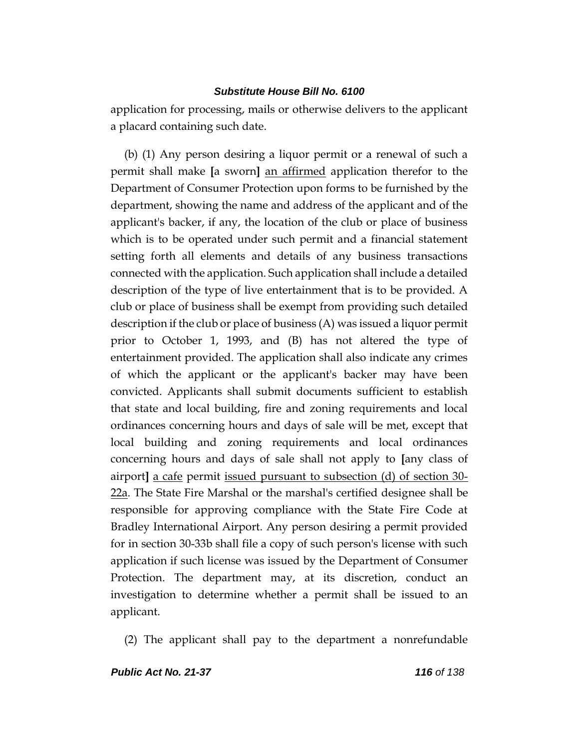application for processing, mails or otherwise delivers to the applicant a placard containing such date.

(b) (1) Any person desiring a liquor permit or a renewal of such a permit shall make **[**a sworn**]** an affirmed application therefor to the Department of Consumer Protection upon forms to be furnished by the department, showing the name and address of the applicant and of the applicant's backer, if any, the location of the club or place of business which is to be operated under such permit and a financial statement setting forth all elements and details of any business transactions connected with the application. Such application shall include a detailed description of the type of live entertainment that is to be provided. A club or place of business shall be exempt from providing such detailed description if the club or place of business (A) was issued a liquor permit prior to October 1, 1993, and (B) has not altered the type of entertainment provided. The application shall also indicate any crimes of which the applicant or the applicant's backer may have been convicted. Applicants shall submit documents sufficient to establish that state and local building, fire and zoning requirements and local ordinances concerning hours and days of sale will be met, except that local building and zoning requirements and local ordinances concerning hours and days of sale shall not apply to **[**any class of airport**]** a cafe permit issued pursuant to subsection (d) of section 30- 22a. The State Fire Marshal or the marshal's certified designee shall be responsible for approving compliance with the State Fire Code at Bradley International Airport. Any person desiring a permit provided for in section 30-33b shall file a copy of such person's license with such application if such license was issued by the Department of Consumer Protection. The department may, at its discretion, conduct an investigation to determine whether a permit shall be issued to an applicant.

(2) The applicant shall pay to the department a nonrefundable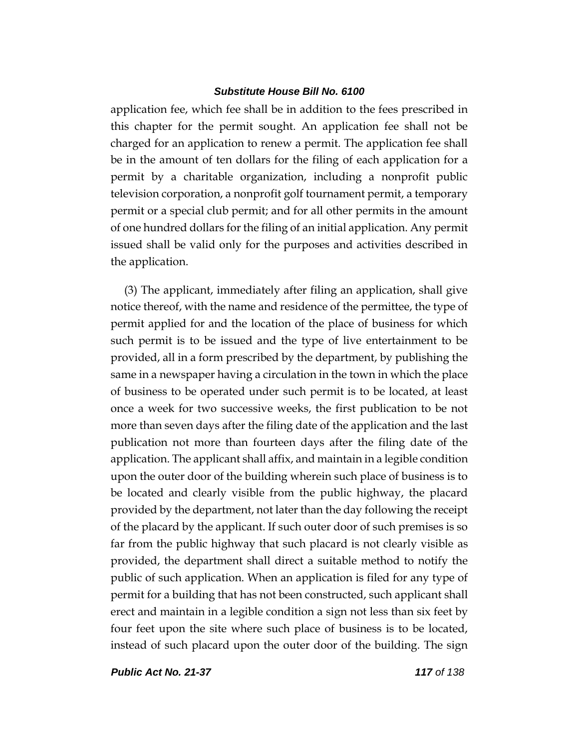application fee, which fee shall be in addition to the fees prescribed in this chapter for the permit sought. An application fee shall not be charged for an application to renew a permit. The application fee shall be in the amount of ten dollars for the filing of each application for a permit by a charitable organization, including a nonprofit public television corporation, a nonprofit golf tournament permit, a temporary permit or a special club permit; and for all other permits in the amount of one hundred dollars for the filing of an initial application. Any permit issued shall be valid only for the purposes and activities described in the application.

(3) The applicant, immediately after filing an application, shall give notice thereof, with the name and residence of the permittee, the type of permit applied for and the location of the place of business for which such permit is to be issued and the type of live entertainment to be provided, all in a form prescribed by the department, by publishing the same in a newspaper having a circulation in the town in which the place of business to be operated under such permit is to be located, at least once a week for two successive weeks, the first publication to be not more than seven days after the filing date of the application and the last publication not more than fourteen days after the filing date of the application. The applicant shall affix, and maintain in a legible condition upon the outer door of the building wherein such place of business is to be located and clearly visible from the public highway, the placard provided by the department, not later than the day following the receipt of the placard by the applicant. If such outer door of such premises is so far from the public highway that such placard is not clearly visible as provided, the department shall direct a suitable method to notify the public of such application. When an application is filed for any type of permit for a building that has not been constructed, such applicant shall erect and maintain in a legible condition a sign not less than six feet by four feet upon the site where such place of business is to be located, instead of such placard upon the outer door of the building. The sign

*Public Act No. 21-37 117 of 138*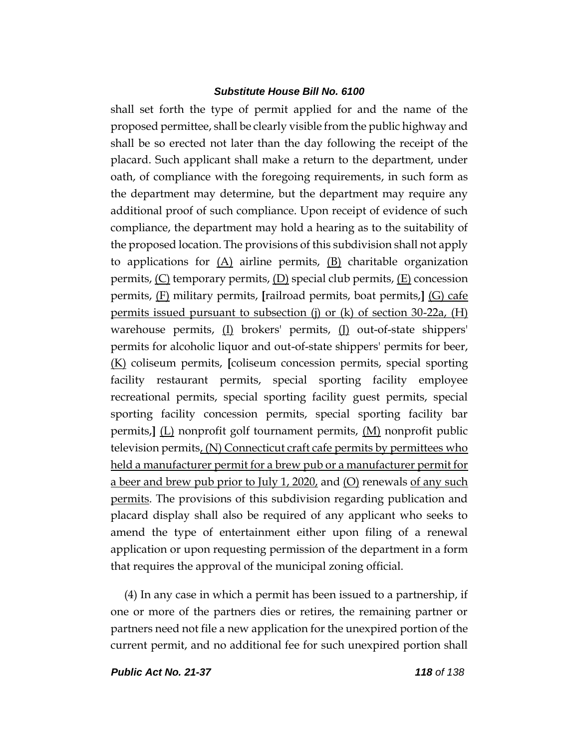shall set forth the type of permit applied for and the name of the proposed permittee, shall be clearly visible from the public highway and shall be so erected not later than the day following the receipt of the placard. Such applicant shall make a return to the department, under oath, of compliance with the foregoing requirements, in such form as the department may determine, but the department may require any additional proof of such compliance. Upon receipt of evidence of such compliance, the department may hold a hearing as to the suitability of the proposed location. The provisions of this subdivision shall not apply to applications for  $(A)$  airline permits,  $(B)$  charitable organization permits,  $(C)$  temporary permits,  $(D)$  special club permits,  $(E)$  concession permits, (F) military permits, **[**railroad permits, boat permits,**]** (G) cafe permits issued pursuant to subsection (j) or (k) of section  $30-22a$ , (H) warehouse permits, (I) brokers' permits, (J) out-of-state shippers' permits for alcoholic liquor and out-of-state shippers' permits for beer, (K) coliseum permits, **[**coliseum concession permits, special sporting facility restaurant permits, special sporting facility employee recreational permits, special sporting facility guest permits, special sporting facility concession permits, special sporting facility bar permits,**]** (L) nonprofit golf tournament permits, (M) nonprofit public television permits,  $(N)$  Connecticut craft cafe permits by permittees who held a manufacturer permit for a brew pub or a manufacturer permit for a beer and brew pub prior to July 1, 2020, and (O) renewals of any such permits. The provisions of this subdivision regarding publication and placard display shall also be required of any applicant who seeks to amend the type of entertainment either upon filing of a renewal application or upon requesting permission of the department in a form that requires the approval of the municipal zoning official.

(4) In any case in which a permit has been issued to a partnership, if one or more of the partners dies or retires, the remaining partner or partners need not file a new application for the unexpired portion of the current permit, and no additional fee for such unexpired portion shall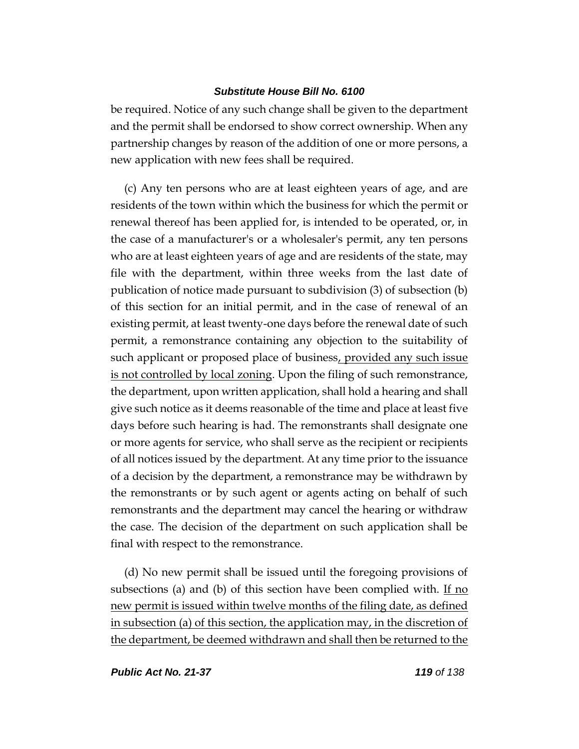be required. Notice of any such change shall be given to the department and the permit shall be endorsed to show correct ownership. When any partnership changes by reason of the addition of one or more persons, a new application with new fees shall be required.

(c) Any ten persons who are at least eighteen years of age, and are residents of the town within which the business for which the permit or renewal thereof has been applied for, is intended to be operated, or, in the case of a manufacturer's or a wholesaler's permit, any ten persons who are at least eighteen years of age and are residents of the state, may file with the department, within three weeks from the last date of publication of notice made pursuant to subdivision (3) of subsection (b) of this section for an initial permit, and in the case of renewal of an existing permit, at least twenty-one days before the renewal date of such permit, a remonstrance containing any objection to the suitability of such applicant or proposed place of business, provided any such issue is not controlled by local zoning. Upon the filing of such remonstrance, the department, upon written application, shall hold a hearing and shall give such notice as it deems reasonable of the time and place at least five days before such hearing is had. The remonstrants shall designate one or more agents for service, who shall serve as the recipient or recipients of all notices issued by the department. At any time prior to the issuance of a decision by the department, a remonstrance may be withdrawn by the remonstrants or by such agent or agents acting on behalf of such remonstrants and the department may cancel the hearing or withdraw the case. The decision of the department on such application shall be final with respect to the remonstrance.

(d) No new permit shall be issued until the foregoing provisions of subsections (a) and (b) of this section have been complied with. If no new permit is issued within twelve months of the filing date, as defined in subsection (a) of this section, the application may, in the discretion of the department, be deemed withdrawn and shall then be returned to the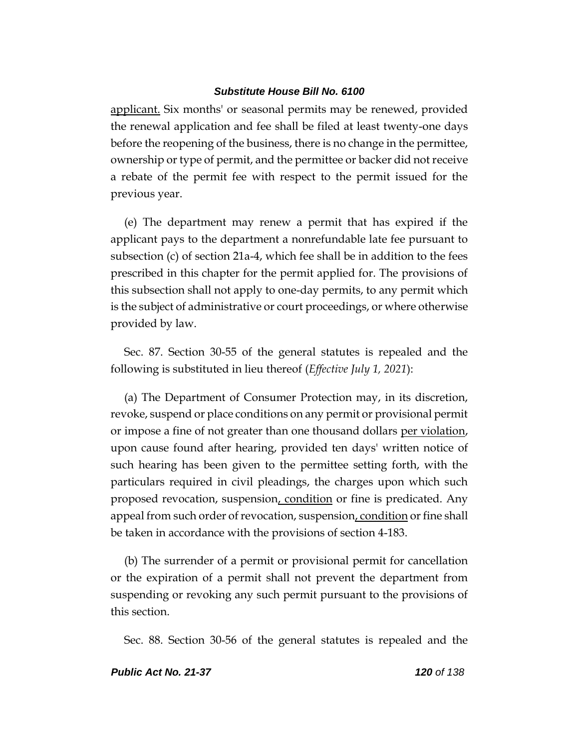applicant. Six months' or seasonal permits may be renewed, provided the renewal application and fee shall be filed at least twenty-one days before the reopening of the business, there is no change in the permittee, ownership or type of permit, and the permittee or backer did not receive a rebate of the permit fee with respect to the permit issued for the previous year.

(e) The department may renew a permit that has expired if the applicant pays to the department a nonrefundable late fee pursuant to subsection (c) of section 21a-4, which fee shall be in addition to the fees prescribed in this chapter for the permit applied for. The provisions of this subsection shall not apply to one-day permits, to any permit which is the subject of administrative or court proceedings, or where otherwise provided by law.

Sec. 87. Section 30-55 of the general statutes is repealed and the following is substituted in lieu thereof (*Effective July 1, 2021*):

(a) The Department of Consumer Protection may, in its discretion, revoke, suspend or place conditions on any permit or provisional permit or impose a fine of not greater than one thousand dollars per violation, upon cause found after hearing, provided ten days' written notice of such hearing has been given to the permittee setting forth, with the particulars required in civil pleadings, the charges upon which such proposed revocation, suspension, condition or fine is predicated. Any appeal from such order of revocation, suspension, condition or fine shall be taken in accordance with the provisions of section 4-183.

(b) The surrender of a permit or provisional permit for cancellation or the expiration of a permit shall not prevent the department from suspending or revoking any such permit pursuant to the provisions of this section.

Sec. 88. Section 30-56 of the general statutes is repealed and the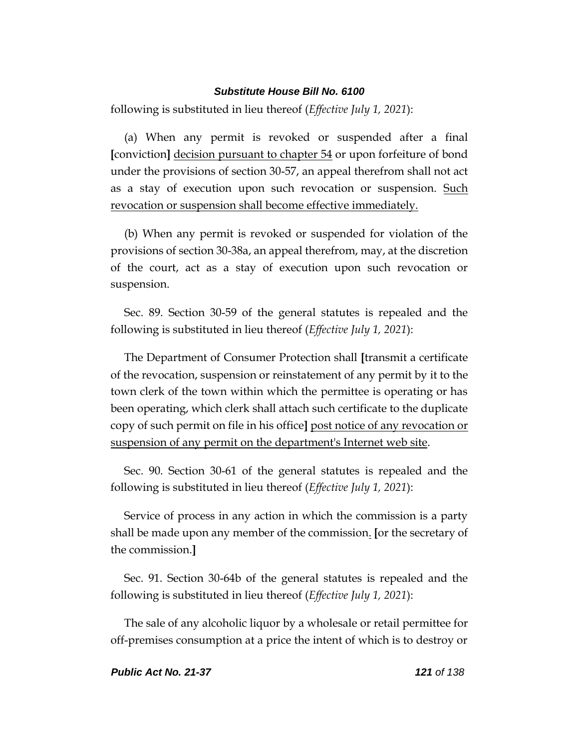following is substituted in lieu thereof (*Effective July 1, 2021*):

(a) When any permit is revoked or suspended after a final **[**conviction**]** decision pursuant to chapter 54 or upon forfeiture of bond under the provisions of section 30-57, an appeal therefrom shall not act as a stay of execution upon such revocation or suspension. Such revocation or suspension shall become effective immediately.

(b) When any permit is revoked or suspended for violation of the provisions of section 30-38a, an appeal therefrom, may, at the discretion of the court, act as a stay of execution upon such revocation or suspension.

Sec. 89. Section 30-59 of the general statutes is repealed and the following is substituted in lieu thereof (*Effective July 1, 2021*):

The Department of Consumer Protection shall **[**transmit a certificate of the revocation, suspension or reinstatement of any permit by it to the town clerk of the town within which the permittee is operating or has been operating, which clerk shall attach such certificate to the duplicate copy of such permit on file in his office**]** post notice of any revocation or suspension of any permit on the department's Internet web site.

Sec. 90. Section 30-61 of the general statutes is repealed and the following is substituted in lieu thereof (*Effective July 1, 2021*):

Service of process in any action in which the commission is a party shall be made upon any member of the commission. **[**or the secretary of the commission.**]**

Sec. 91. Section 30-64b of the general statutes is repealed and the following is substituted in lieu thereof (*Effective July 1, 2021*):

The sale of any alcoholic liquor by a wholesale or retail permittee for off-premises consumption at a price the intent of which is to destroy or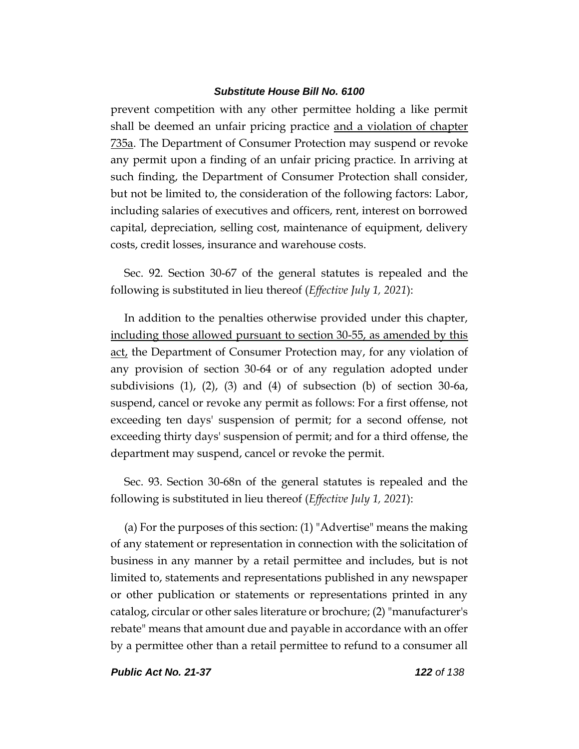prevent competition with any other permittee holding a like permit shall be deemed an unfair pricing practice and a violation of chapter 735a. The Department of Consumer Protection may suspend or revoke any permit upon a finding of an unfair pricing practice. In arriving at such finding, the Department of Consumer Protection shall consider, but not be limited to, the consideration of the following factors: Labor, including salaries of executives and officers, rent, interest on borrowed capital, depreciation, selling cost, maintenance of equipment, delivery costs, credit losses, insurance and warehouse costs.

Sec. 92. Section 30-67 of the general statutes is repealed and the following is substituted in lieu thereof (*Effective July 1, 2021*):

In addition to the penalties otherwise provided under this chapter, including those allowed pursuant to section 30-55, as amended by this act, the Department of Consumer Protection may, for any violation of any provision of section 30-64 or of any regulation adopted under subdivisions (1), (2), (3) and (4) of subsection (b) of section 30-6a, suspend, cancel or revoke any permit as follows: For a first offense, not exceeding ten days' suspension of permit; for a second offense, not exceeding thirty days' suspension of permit; and for a third offense, the department may suspend, cancel or revoke the permit.

Sec. 93. Section 30-68n of the general statutes is repealed and the following is substituted in lieu thereof (*Effective July 1, 2021*):

(a) For the purposes of this section: (1) "Advertise" means the making of any statement or representation in connection with the solicitation of business in any manner by a retail permittee and includes, but is not limited to, statements and representations published in any newspaper or other publication or statements or representations printed in any catalog, circular or other sales literature or brochure; (2) "manufacturer's rebate" means that amount due and payable in accordance with an offer by a permittee other than a retail permittee to refund to a consumer all

*Public Act No. 21-37 122 of 138*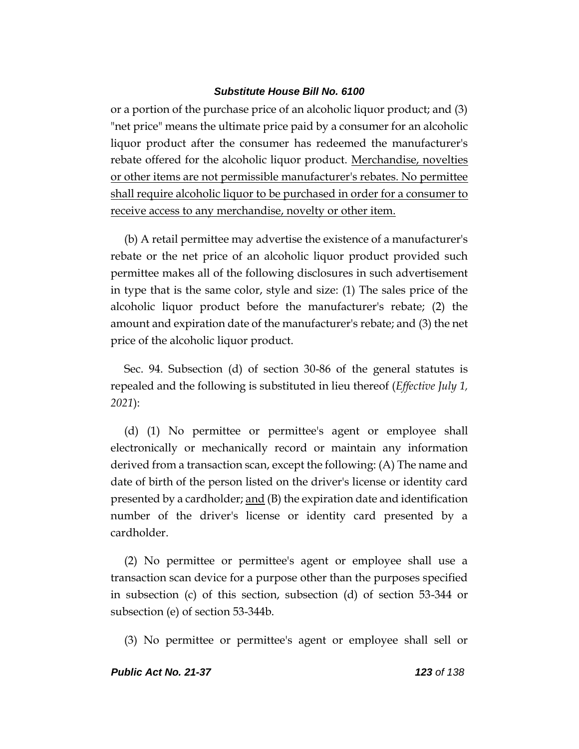or a portion of the purchase price of an alcoholic liquor product; and (3) "net price" means the ultimate price paid by a consumer for an alcoholic liquor product after the consumer has redeemed the manufacturer's rebate offered for the alcoholic liquor product. Merchandise, novelties or other items are not permissible manufacturer's rebates. No permittee shall require alcoholic liquor to be purchased in order for a consumer to receive access to any merchandise, novelty or other item.

(b) A retail permittee may advertise the existence of a manufacturer's rebate or the net price of an alcoholic liquor product provided such permittee makes all of the following disclosures in such advertisement in type that is the same color, style and size: (1) The sales price of the alcoholic liquor product before the manufacturer's rebate; (2) the amount and expiration date of the manufacturer's rebate; and (3) the net price of the alcoholic liquor product.

Sec. 94. Subsection (d) of section 30-86 of the general statutes is repealed and the following is substituted in lieu thereof (*Effective July 1, 2021*):

(d) (1) No permittee or permittee's agent or employee shall electronically or mechanically record or maintain any information derived from a transaction scan, except the following: (A) The name and date of birth of the person listed on the driver's license or identity card presented by a cardholder; <u>and</u> (B) the expiration date and identification number of the driver's license or identity card presented by a cardholder.

(2) No permittee or permittee's agent or employee shall use a transaction scan device for a purpose other than the purposes specified in subsection (c) of this section, subsection (d) of section 53-344 or subsection (e) of section 53-344b.

(3) No permittee or permittee's agent or employee shall sell or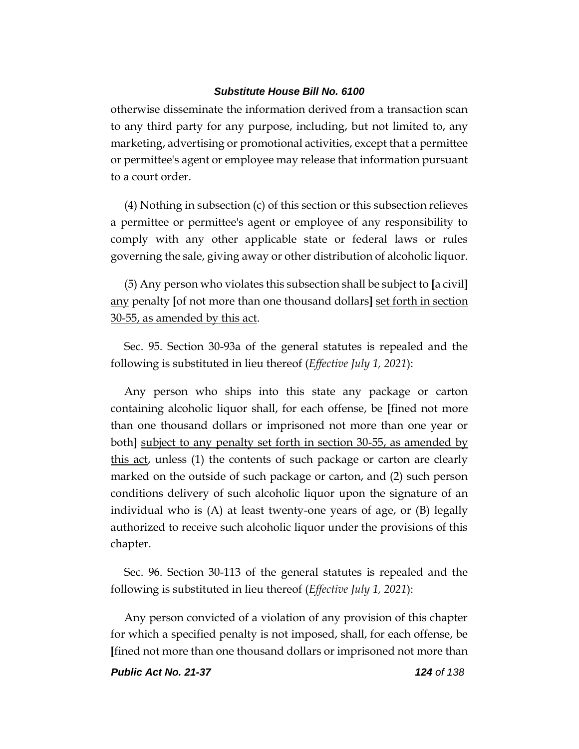otherwise disseminate the information derived from a transaction scan to any third party for any purpose, including, but not limited to, any marketing, advertising or promotional activities, except that a permittee or permittee's agent or employee may release that information pursuant to a court order.

(4) Nothing in subsection (c) of this section or this subsection relieves a permittee or permittee's agent or employee of any responsibility to comply with any other applicable state or federal laws or rules governing the sale, giving away or other distribution of alcoholic liquor.

(5) Any person who violates this subsection shall be subject to **[**a civil**]** any penalty **[**of not more than one thousand dollars**]** set forth in section 30-55, as amended by this act.

Sec. 95. Section 30-93a of the general statutes is repealed and the following is substituted in lieu thereof (*Effective July 1, 2021*):

Any person who ships into this state any package or carton containing alcoholic liquor shall, for each offense, be **[**fined not more than one thousand dollars or imprisoned not more than one year or both**]** subject to any penalty set forth in section 30-55, as amended by this act, unless (1) the contents of such package or carton are clearly marked on the outside of such package or carton, and (2) such person conditions delivery of such alcoholic liquor upon the signature of an individual who is (A) at least twenty-one years of age, or (B) legally authorized to receive such alcoholic liquor under the provisions of this chapter.

Sec. 96. Section 30-113 of the general statutes is repealed and the following is substituted in lieu thereof (*Effective July 1, 2021*):

Any person convicted of a violation of any provision of this chapter for which a specified penalty is not imposed, shall, for each offense, be **[**fined not more than one thousand dollars or imprisoned not more than

*Public Act No. 21-37 124 of 138*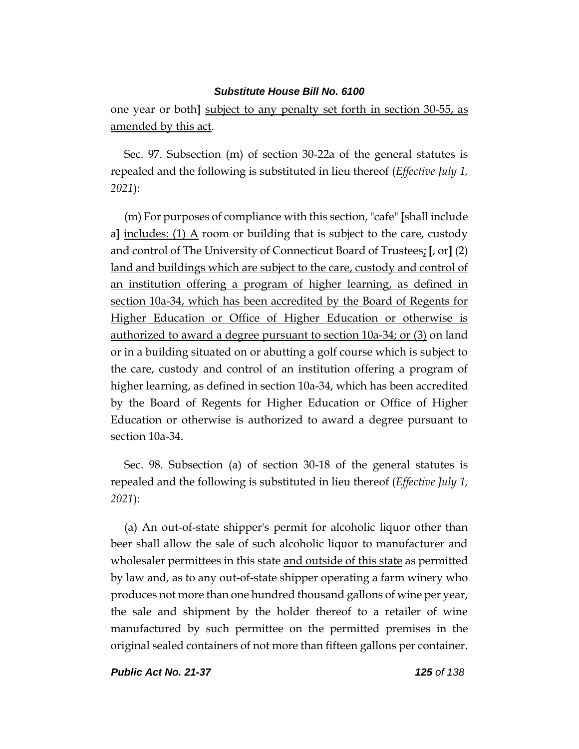one year or both**]** subject to any penalty set forth in section 30-55, as amended by this act.

Sec. 97. Subsection (m) of section 30-22a of the general statutes is repealed and the following is substituted in lieu thereof (*Effective July 1, 2021*):

(m) For purposes of compliance with this section, "cafe" **[**shall include a) includes:  $(1)$   $\triangle$  room or building that is subject to the care, custody and control of The University of Connecticut Board of Trustees; **[**, or**]** (2) land and buildings which are subject to the care, custody and control of an institution offering a program of higher learning, as defined in section 10a-34, which has been accredited by the Board of Regents for Higher Education or Office of Higher Education or otherwise is authorized to award a degree pursuant to section 10a-34; or (3) on land or in a building situated on or abutting a golf course which is subject to the care, custody and control of an institution offering a program of higher learning, as defined in section 10a-34, which has been accredited by the Board of Regents for Higher Education or Office of Higher Education or otherwise is authorized to award a degree pursuant to section 10a-34.

Sec. 98. Subsection (a) of section 30-18 of the general statutes is repealed and the following is substituted in lieu thereof (*Effective July 1, 2021*):

(a) An out-of-state shipper's permit for alcoholic liquor other than beer shall allow the sale of such alcoholic liquor to manufacturer and wholesaler permittees in this state and outside of this state as permitted by law and, as to any out-of-state shipper operating a farm winery who produces not more than one hundred thousand gallons of wine per year, the sale and shipment by the holder thereof to a retailer of wine manufactured by such permittee on the permitted premises in the original sealed containers of not more than fifteen gallons per container.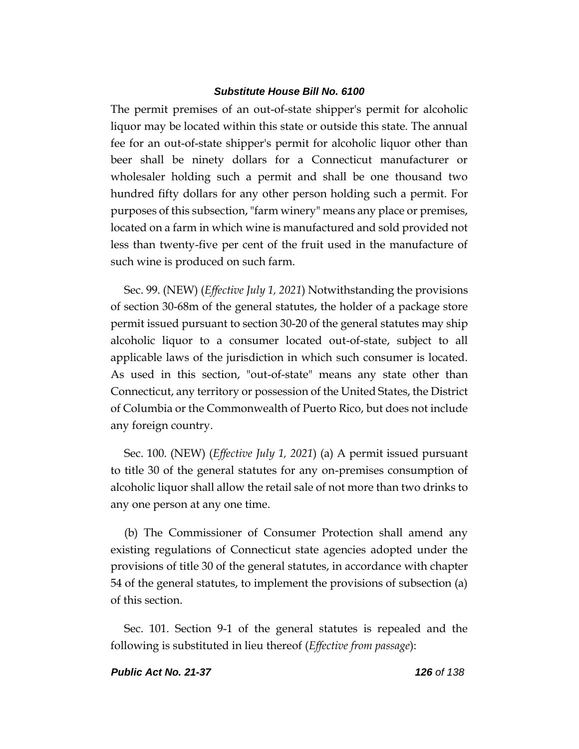The permit premises of an out-of-state shipper's permit for alcoholic liquor may be located within this state or outside this state. The annual fee for an out-of-state shipper's permit for alcoholic liquor other than beer shall be ninety dollars for a Connecticut manufacturer or wholesaler holding such a permit and shall be one thousand two hundred fifty dollars for any other person holding such a permit. For purposes of this subsection, "farm winery" means any place or premises, located on a farm in which wine is manufactured and sold provided not less than twenty-five per cent of the fruit used in the manufacture of such wine is produced on such farm.

Sec. 99. (NEW) (*Effective July 1, 2021*) Notwithstanding the provisions of section 30-68m of the general statutes, the holder of a package store permit issued pursuant to section 30-20 of the general statutes may ship alcoholic liquor to a consumer located out-of-state, subject to all applicable laws of the jurisdiction in which such consumer is located. As used in this section, "out-of-state" means any state other than Connecticut, any territory or possession of the United States, the District of Columbia or the Commonwealth of Puerto Rico, but does not include any foreign country.

Sec. 100. (NEW) (*Effective July 1, 2021*) (a) A permit issued pursuant to title 30 of the general statutes for any on-premises consumption of alcoholic liquor shall allow the retail sale of not more than two drinks to any one person at any one time.

(b) The Commissioner of Consumer Protection shall amend any existing regulations of Connecticut state agencies adopted under the provisions of title 30 of the general statutes, in accordance with chapter 54 of the general statutes, to implement the provisions of subsection (a) of this section.

Sec. 101. Section 9-1 of the general statutes is repealed and the following is substituted in lieu thereof (*Effective from passage*):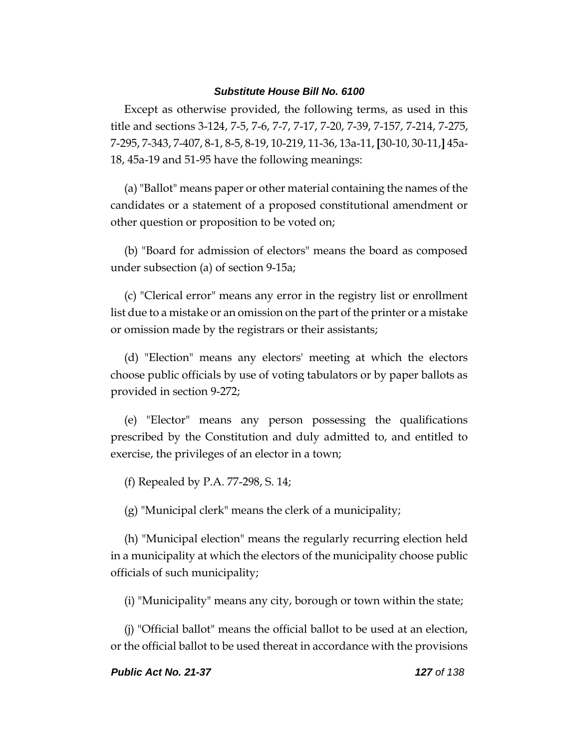Except as otherwise provided, the following terms, as used in this title and sections 3-124, 7-5, 7-6, 7-7, 7-17, 7-20, 7-39, 7-157, 7-214, 7-275, 7-295, 7-343, 7-407, 8-1, 8-5, 8-19, 10-219, 11-36, 13a-11, **[**30-10, 30-11,**]** 45a-18, 45a-19 and 51-95 have the following meanings:

(a) "Ballot" means paper or other material containing the names of the candidates or a statement of a proposed constitutional amendment or other question or proposition to be voted on;

(b) "Board for admission of electors" means the board as composed under subsection (a) of section 9-15a;

(c) "Clerical error" means any error in the registry list or enrollment list due to a mistake or an omission on the part of the printer or a mistake or omission made by the registrars or their assistants;

(d) "Election" means any electors' meeting at which the electors choose public officials by use of voting tabulators or by paper ballots as provided in section 9-272;

(e) "Elector" means any person possessing the qualifications prescribed by the Constitution and duly admitted to, and entitled to exercise, the privileges of an elector in a town;

(f) Repealed by P.A. 77-298, S. 14;

(g) "Municipal clerk" means the clerk of a municipality;

(h) "Municipal election" means the regularly recurring election held in a municipality at which the electors of the municipality choose public officials of such municipality;

(i) "Municipality" means any city, borough or town within the state;

(j) "Official ballot" means the official ballot to be used at an election, or the official ballot to be used thereat in accordance with the provisions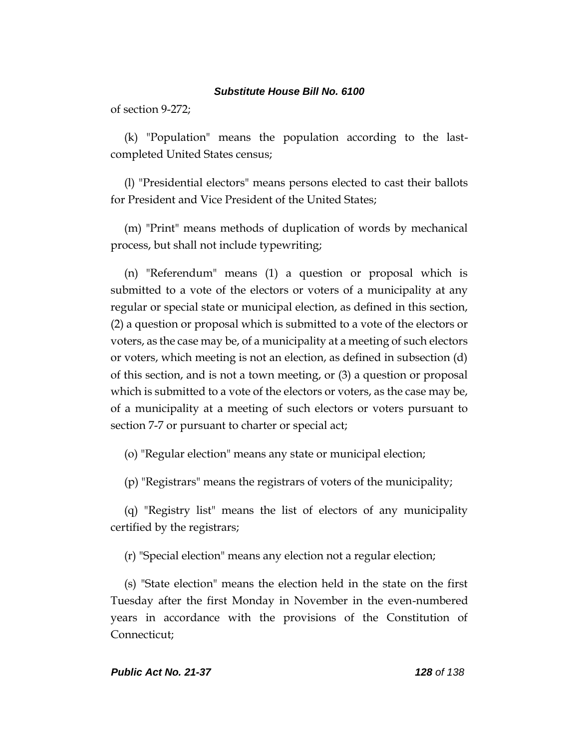of section 9-272;

(k) "Population" means the population according to the lastcompleted United States census;

(l) "Presidential electors" means persons elected to cast their ballots for President and Vice President of the United States;

(m) "Print" means methods of duplication of words by mechanical process, but shall not include typewriting;

(n) "Referendum" means (1) a question or proposal which is submitted to a vote of the electors or voters of a municipality at any regular or special state or municipal election, as defined in this section, (2) a question or proposal which is submitted to a vote of the electors or voters, as the case may be, of a municipality at a meeting of such electors or voters, which meeting is not an election, as defined in subsection (d) of this section, and is not a town meeting, or (3) a question or proposal which is submitted to a vote of the electors or voters, as the case may be, of a municipality at a meeting of such electors or voters pursuant to section 7-7 or pursuant to charter or special act;

(o) "Regular election" means any state or municipal election;

(p) "Registrars" means the registrars of voters of the municipality;

(q) "Registry list" means the list of electors of any municipality certified by the registrars;

(r) "Special election" means any election not a regular election;

(s) "State election" means the election held in the state on the first Tuesday after the first Monday in November in the even-numbered years in accordance with the provisions of the Constitution of Connecticut;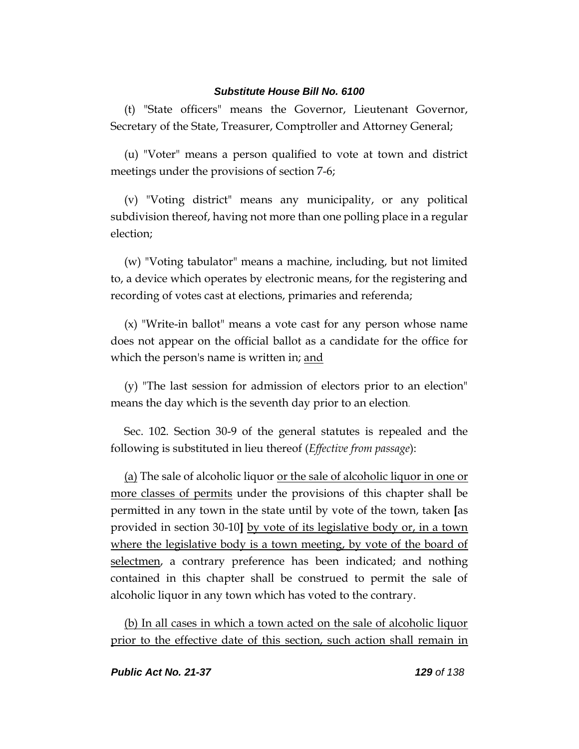(t) "State officers" means the Governor, Lieutenant Governor, Secretary of the State, Treasurer, Comptroller and Attorney General;

(u) "Voter" means a person qualified to vote at town and district meetings under the provisions of section 7-6;

(v) "Voting district" means any municipality, or any political subdivision thereof, having not more than one polling place in a regular election;

(w) "Voting tabulator" means a machine, including, but not limited to, a device which operates by electronic means, for the registering and recording of votes cast at elections, primaries and referenda;

(x) "Write-in ballot" means a vote cast for any person whose name does not appear on the official ballot as a candidate for the office for which the person's name is written in; and

(y) "The last session for admission of electors prior to an election" means the day which is the seventh day prior to an election.

Sec. 102. Section 30-9 of the general statutes is repealed and the following is substituted in lieu thereof (*Effective from passage*):

(a) The sale of alcoholic liquor or the sale of alcoholic liquor in one or more classes of permits under the provisions of this chapter shall be permitted in any town in the state until by vote of the town, taken **[**as provided in section 30-10**]** by vote of its legislative body or, in a town where the legislative body is a town meeting, by vote of the board of selectmen, a contrary preference has been indicated; and nothing contained in this chapter shall be construed to permit the sale of alcoholic liquor in any town which has voted to the contrary.

(b) In all cases in which a town acted on the sale of alcoholic liquor prior to the effective date of this section, such action shall remain in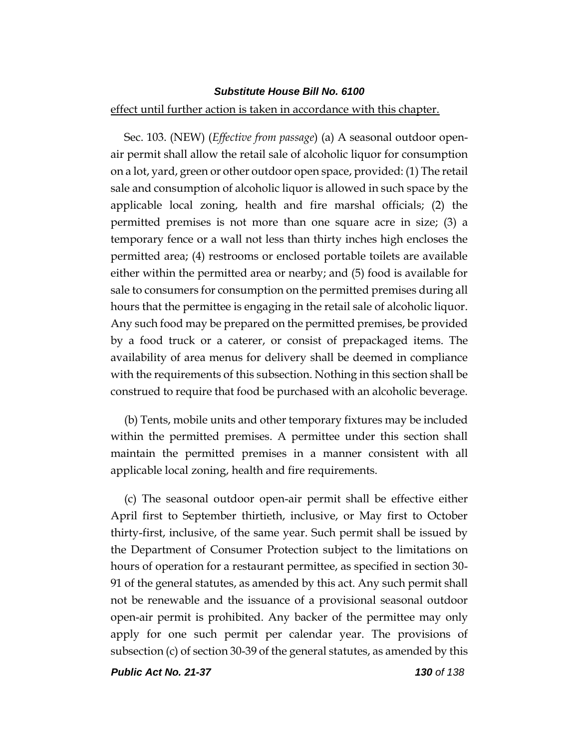#### effect until further action is taken in accordance with this chapter.

Sec. 103. (NEW) (*Effective from passage*) (a) A seasonal outdoor openair permit shall allow the retail sale of alcoholic liquor for consumption on a lot, yard, green or other outdoor open space, provided: (1) The retail sale and consumption of alcoholic liquor is allowed in such space by the applicable local zoning, health and fire marshal officials; (2) the permitted premises is not more than one square acre in size; (3) a temporary fence or a wall not less than thirty inches high encloses the permitted area; (4) restrooms or enclosed portable toilets are available either within the permitted area or nearby; and (5) food is available for sale to consumers for consumption on the permitted premises during all hours that the permittee is engaging in the retail sale of alcoholic liquor. Any such food may be prepared on the permitted premises, be provided by a food truck or a caterer, or consist of prepackaged items. The availability of area menus for delivery shall be deemed in compliance with the requirements of this subsection. Nothing in this section shall be construed to require that food be purchased with an alcoholic beverage.

(b) Tents, mobile units and other temporary fixtures may be included within the permitted premises. A permittee under this section shall maintain the permitted premises in a manner consistent with all applicable local zoning, health and fire requirements.

(c) The seasonal outdoor open-air permit shall be effective either April first to September thirtieth, inclusive, or May first to October thirty-first, inclusive, of the same year. Such permit shall be issued by the Department of Consumer Protection subject to the limitations on hours of operation for a restaurant permittee, as specified in section 30- 91 of the general statutes, as amended by this act. Any such permit shall not be renewable and the issuance of a provisional seasonal outdoor open-air permit is prohibited. Any backer of the permittee may only apply for one such permit per calendar year. The provisions of subsection (c) of section 30-39 of the general statutes, as amended by this

*Public Act No. 21-37 130 of 138*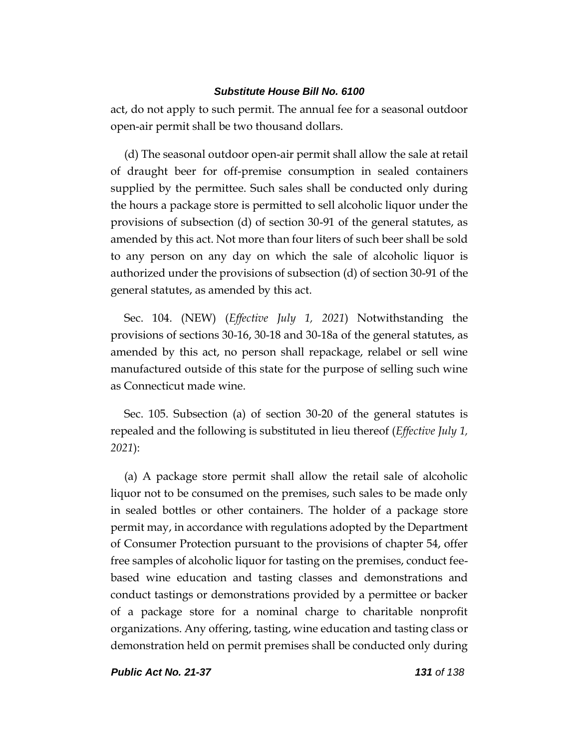act, do not apply to such permit. The annual fee for a seasonal outdoor open-air permit shall be two thousand dollars.

(d) The seasonal outdoor open-air permit shall allow the sale at retail of draught beer for off-premise consumption in sealed containers supplied by the permittee. Such sales shall be conducted only during the hours a package store is permitted to sell alcoholic liquor under the provisions of subsection (d) of section 30-91 of the general statutes, as amended by this act. Not more than four liters of such beer shall be sold to any person on any day on which the sale of alcoholic liquor is authorized under the provisions of subsection (d) of section 30-91 of the general statutes, as amended by this act.

Sec. 104. (NEW) (*Effective July 1, 2021*) Notwithstanding the provisions of sections 30-16, 30-18 and 30-18a of the general statutes, as amended by this act, no person shall repackage, relabel or sell wine manufactured outside of this state for the purpose of selling such wine as Connecticut made wine.

Sec. 105. Subsection (a) of section 30-20 of the general statutes is repealed and the following is substituted in lieu thereof (*Effective July 1, 2021*):

(a) A package store permit shall allow the retail sale of alcoholic liquor not to be consumed on the premises, such sales to be made only in sealed bottles or other containers. The holder of a package store permit may, in accordance with regulations adopted by the Department of Consumer Protection pursuant to the provisions of chapter 54, offer free samples of alcoholic liquor for tasting on the premises, conduct feebased wine education and tasting classes and demonstrations and conduct tastings or demonstrations provided by a permittee or backer of a package store for a nominal charge to charitable nonprofit organizations. Any offering, tasting, wine education and tasting class or demonstration held on permit premises shall be conducted only during

*Public Act No. 21-37 131 of 138*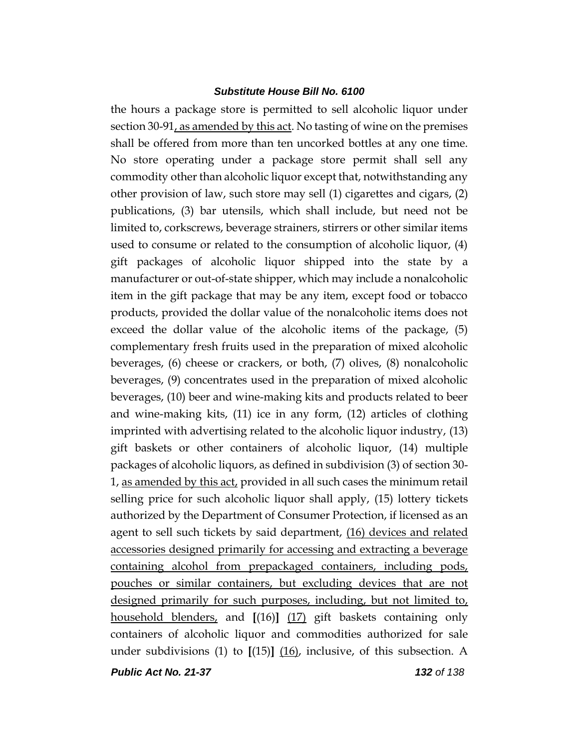the hours a package store is permitted to sell alcoholic liquor under section 30-91, as amended by this act. No tasting of wine on the premises shall be offered from more than ten uncorked bottles at any one time. No store operating under a package store permit shall sell any commodity other than alcoholic liquor except that, notwithstanding any other provision of law, such store may sell (1) cigarettes and cigars, (2) publications, (3) bar utensils, which shall include, but need not be limited to, corkscrews, beverage strainers, stirrers or other similar items used to consume or related to the consumption of alcoholic liquor, (4) gift packages of alcoholic liquor shipped into the state by a manufacturer or out-of-state shipper, which may include a nonalcoholic item in the gift package that may be any item, except food or tobacco products, provided the dollar value of the nonalcoholic items does not exceed the dollar value of the alcoholic items of the package, (5) complementary fresh fruits used in the preparation of mixed alcoholic beverages, (6) cheese or crackers, or both, (7) olives, (8) nonalcoholic beverages, (9) concentrates used in the preparation of mixed alcoholic beverages, (10) beer and wine-making kits and products related to beer and wine-making kits, (11) ice in any form, (12) articles of clothing imprinted with advertising related to the alcoholic liquor industry, (13) gift baskets or other containers of alcoholic liquor, (14) multiple packages of alcoholic liquors, as defined in subdivision (3) of section 30- 1, as amended by this act, provided in all such cases the minimum retail selling price for such alcoholic liquor shall apply, (15) lottery tickets authorized by the Department of Consumer Protection, if licensed as an agent to sell such tickets by said department, (16) devices and related accessories designed primarily for accessing and extracting a beverage containing alcohol from prepackaged containers, including pods, pouches or similar containers, but excluding devices that are not designed primarily for such purposes, including, but not limited to, household blenders, and **[**(16)**]** (17) gift baskets containing only containers of alcoholic liquor and commodities authorized for sale under subdivisions (1) to **[**(15)**]** (16), inclusive, of this subsection. A

*Public Act No. 21-37 132 of 138*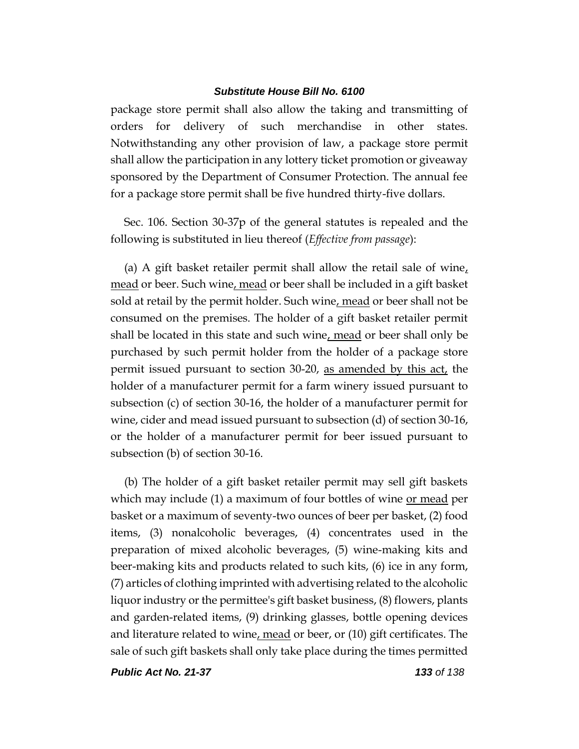package store permit shall also allow the taking and transmitting of orders for delivery of such merchandise in other states. Notwithstanding any other provision of law, a package store permit shall allow the participation in any lottery ticket promotion or giveaway sponsored by the Department of Consumer Protection. The annual fee for a package store permit shall be five hundred thirty-five dollars.

Sec. 106. Section 30-37p of the general statutes is repealed and the following is substituted in lieu thereof (*Effective from passage*):

(a) A gift basket retailer permit shall allow the retail sale of wine, mead or beer. Such wine, mead or beer shall be included in a gift basket sold at retail by the permit holder. Such wine, mead or beer shall not be consumed on the premises. The holder of a gift basket retailer permit shall be located in this state and such wine, mead or beer shall only be purchased by such permit holder from the holder of a package store permit issued pursuant to section 30-20, as amended by this act, the holder of a manufacturer permit for a farm winery issued pursuant to subsection (c) of section 30-16, the holder of a manufacturer permit for wine, cider and mead issued pursuant to subsection (d) of section 30-16, or the holder of a manufacturer permit for beer issued pursuant to subsection (b) of section 30-16.

(b) The holder of a gift basket retailer permit may sell gift baskets which may include (1) a maximum of four bottles of wine <u>or mead</u> per basket or a maximum of seventy-two ounces of beer per basket, (2) food items, (3) nonalcoholic beverages, (4) concentrates used in the preparation of mixed alcoholic beverages, (5) wine-making kits and beer-making kits and products related to such kits, (6) ice in any form, (7) articles of clothing imprinted with advertising related to the alcoholic liquor industry or the permittee's gift basket business, (8) flowers, plants and garden-related items, (9) drinking glasses, bottle opening devices and literature related to wine, mead or beer, or  $(10)$  gift certificates. The sale of such gift baskets shall only take place during the times permitted

*Public Act No. 21-37 133 of 138*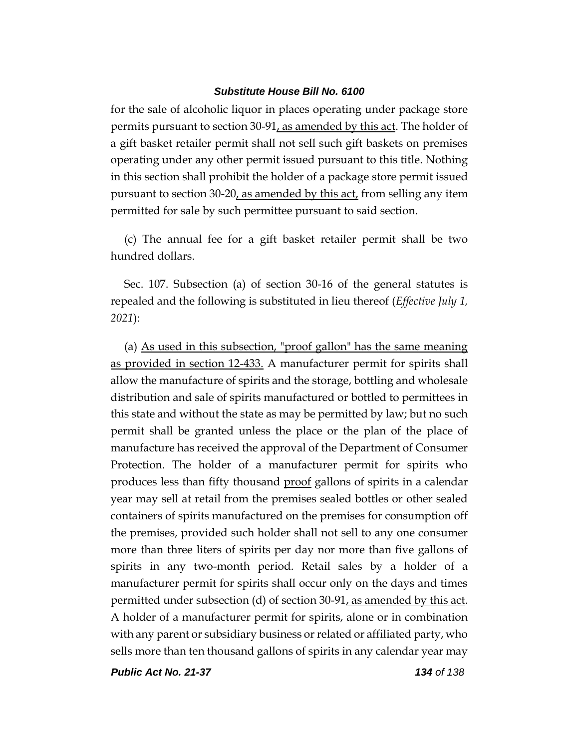for the sale of alcoholic liquor in places operating under package store permits pursuant to section 30-91, as amended by this act. The holder of a gift basket retailer permit shall not sell such gift baskets on premises operating under any other permit issued pursuant to this title. Nothing in this section shall prohibit the holder of a package store permit issued pursuant to section 30-20, as amended by this act, from selling any item permitted for sale by such permittee pursuant to said section.

(c) The annual fee for a gift basket retailer permit shall be two hundred dollars.

Sec. 107. Subsection (a) of section 30-16 of the general statutes is repealed and the following is substituted in lieu thereof (*Effective July 1, 2021*):

(a) As used in this subsection, "proof gallon" has the same meaning as provided in section 12-433. A manufacturer permit for spirits shall allow the manufacture of spirits and the storage, bottling and wholesale distribution and sale of spirits manufactured or bottled to permittees in this state and without the state as may be permitted by law; but no such permit shall be granted unless the place or the plan of the place of manufacture has received the approval of the Department of Consumer Protection. The holder of a manufacturer permit for spirits who produces less than fifty thousand <u>proof</u> gallons of spirits in a calendar year may sell at retail from the premises sealed bottles or other sealed containers of spirits manufactured on the premises for consumption off the premises, provided such holder shall not sell to any one consumer more than three liters of spirits per day nor more than five gallons of spirits in any two-month period. Retail sales by a holder of a manufacturer permit for spirits shall occur only on the days and times permitted under subsection (d) of section 30-91, as amended by this act. A holder of a manufacturer permit for spirits, alone or in combination with any parent or subsidiary business or related or affiliated party, who sells more than ten thousand gallons of spirits in any calendar year may

*Public Act No. 21-37 134 of 138*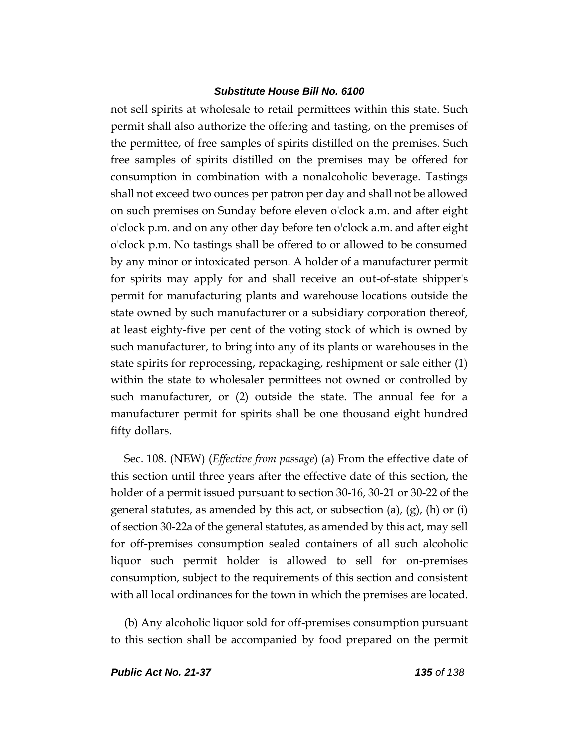not sell spirits at wholesale to retail permittees within this state. Such permit shall also authorize the offering and tasting, on the premises of the permittee, of free samples of spirits distilled on the premises. Such free samples of spirits distilled on the premises may be offered for consumption in combination with a nonalcoholic beverage. Tastings shall not exceed two ounces per patron per day and shall not be allowed on such premises on Sunday before eleven o'clock a.m. and after eight o'clock p.m. and on any other day before ten o'clock a.m. and after eight o'clock p.m. No tastings shall be offered to or allowed to be consumed by any minor or intoxicated person. A holder of a manufacturer permit for spirits may apply for and shall receive an out-of-state shipper's permit for manufacturing plants and warehouse locations outside the state owned by such manufacturer or a subsidiary corporation thereof, at least eighty-five per cent of the voting stock of which is owned by such manufacturer, to bring into any of its plants or warehouses in the state spirits for reprocessing, repackaging, reshipment or sale either (1) within the state to wholesaler permittees not owned or controlled by such manufacturer, or (2) outside the state. The annual fee for a manufacturer permit for spirits shall be one thousand eight hundred fifty dollars.

Sec. 108. (NEW) (*Effective from passage*) (a) From the effective date of this section until three years after the effective date of this section, the holder of a permit issued pursuant to section 30-16, 30-21 or 30-22 of the general statutes, as amended by this act, or subsection (a),  $(g)$ , (h) or (i) of section 30-22a of the general statutes, as amended by this act, may sell for off-premises consumption sealed containers of all such alcoholic liquor such permit holder is allowed to sell for on-premises consumption, subject to the requirements of this section and consistent with all local ordinances for the town in which the premises are located.

(b) Any alcoholic liquor sold for off-premises consumption pursuant to this section shall be accompanied by food prepared on the permit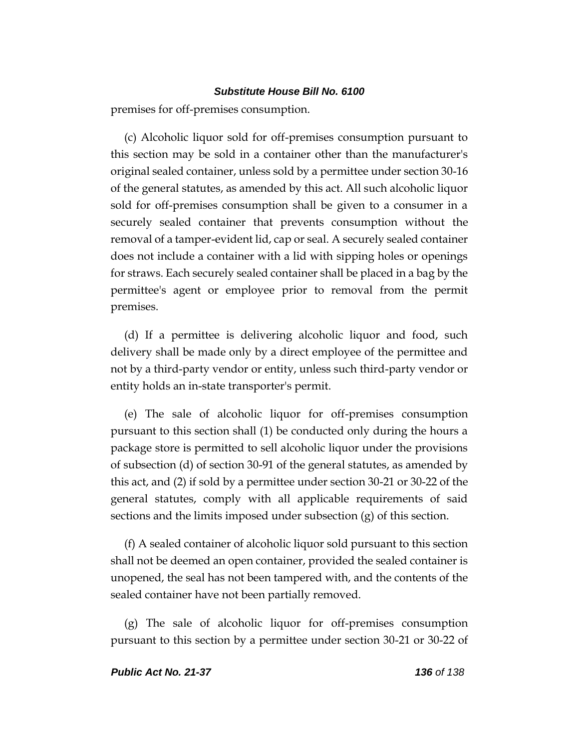premises for off-premises consumption.

(c) Alcoholic liquor sold for off-premises consumption pursuant to this section may be sold in a container other than the manufacturer's original sealed container, unless sold by a permittee under section 30-16 of the general statutes, as amended by this act. All such alcoholic liquor sold for off-premises consumption shall be given to a consumer in a securely sealed container that prevents consumption without the removal of a tamper-evident lid, cap or seal. A securely sealed container does not include a container with a lid with sipping holes or openings for straws. Each securely sealed container shall be placed in a bag by the permittee's agent or employee prior to removal from the permit premises.

(d) If a permittee is delivering alcoholic liquor and food, such delivery shall be made only by a direct employee of the permittee and not by a third-party vendor or entity, unless such third-party vendor or entity holds an in-state transporter's permit.

(e) The sale of alcoholic liquor for off-premises consumption pursuant to this section shall (1) be conducted only during the hours a package store is permitted to sell alcoholic liquor under the provisions of subsection (d) of section 30-91 of the general statutes, as amended by this act, and (2) if sold by a permittee under section 30-21 or 30-22 of the general statutes, comply with all applicable requirements of said sections and the limits imposed under subsection (g) of this section.

(f) A sealed container of alcoholic liquor sold pursuant to this section shall not be deemed an open container, provided the sealed container is unopened, the seal has not been tampered with, and the contents of the sealed container have not been partially removed.

(g) The sale of alcoholic liquor for off-premises consumption pursuant to this section by a permittee under section 30-21 or 30-22 of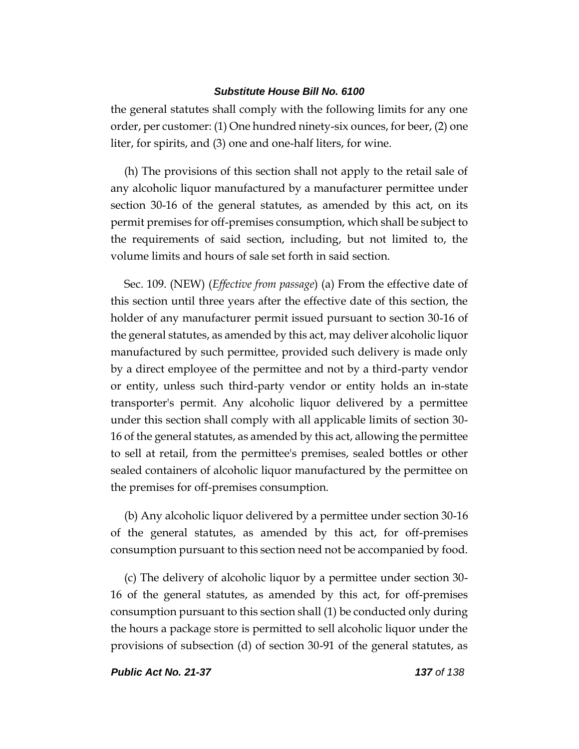the general statutes shall comply with the following limits for any one order, per customer: (1) One hundred ninety-six ounces, for beer, (2) one liter, for spirits, and (3) one and one-half liters, for wine.

(h) The provisions of this section shall not apply to the retail sale of any alcoholic liquor manufactured by a manufacturer permittee under section 30-16 of the general statutes, as amended by this act, on its permit premises for off-premises consumption, which shall be subject to the requirements of said section, including, but not limited to, the volume limits and hours of sale set forth in said section.

Sec. 109. (NEW) (*Effective from passage*) (a) From the effective date of this section until three years after the effective date of this section, the holder of any manufacturer permit issued pursuant to section 30-16 of the general statutes, as amended by this act, may deliver alcoholic liquor manufactured by such permittee, provided such delivery is made only by a direct employee of the permittee and not by a third-party vendor or entity, unless such third-party vendor or entity holds an in-state transporter's permit. Any alcoholic liquor delivered by a permittee under this section shall comply with all applicable limits of section 30- 16 of the general statutes, as amended by this act, allowing the permittee to sell at retail, from the permittee's premises, sealed bottles or other sealed containers of alcoholic liquor manufactured by the permittee on the premises for off-premises consumption.

(b) Any alcoholic liquor delivered by a permittee under section 30-16 of the general statutes, as amended by this act, for off-premises consumption pursuant to this section need not be accompanied by food.

(c) The delivery of alcoholic liquor by a permittee under section 30- 16 of the general statutes, as amended by this act, for off-premises consumption pursuant to this section shall (1) be conducted only during the hours a package store is permitted to sell alcoholic liquor under the provisions of subsection (d) of section 30-91 of the general statutes, as